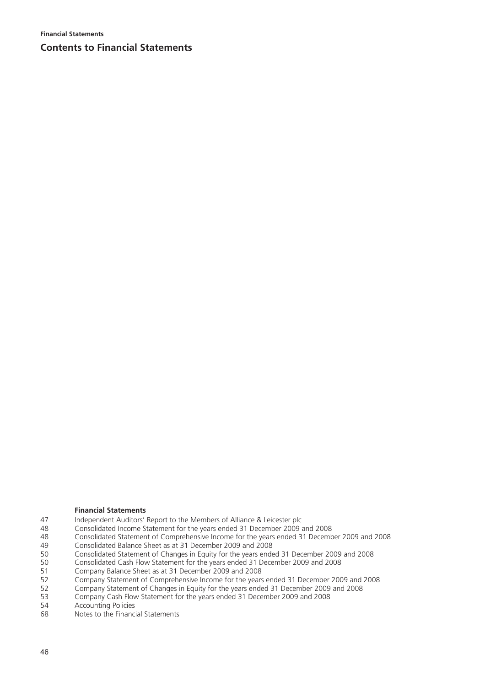**Financial Statements** 

# **Contents to Financial Statements**

### **Financial Statements**

- 47 Independent Auditors' Report to the Members of Alliance & Leicester plc
- 48 Consolidated Income Statement for the years ended 31 December 2009 and 2008
- 48 Consolidated Statement of Comprehensive Income for the years ended 31 December 2009 and 2008<br>49 Consolidated Balance Sheet as at 31 December 2009 and 2008 49 Consolidated Balance Sheet as at 31 December 2009 and 2008<br>50 Consolidated Statement of Changes in Fquity for the years ende
- 50 Consolidated Statement of Changes in Equity for the years ended 31 December 2009 and 2008<br>50 Consolidated Cash Flow Statement for the years ended 31 December 2009 and 2008
- 50 Consolidated Cash Flow Statement for the years ended 31 December 2009 and 2008
- 51 Company Balance Sheet as at 31 December 2009 and 2008<br>52 Company Statement of Comprehensive Income for the vears
- 52 Company Statement of Comprehensive Income for the years ended 31 December 2009 and 2008<br>52 Company Statement of Changes in Fquity for the years ended 31 December 2009 and 2008
- 52 Company Statement of Changes in Equity for the years ended 31 December 2009 and 2008<br>53 Company Cash Flow Statement for the years ended 31 December 2009 and 2008
- 53 Company Cash Flow Statement for the years ended 31 December 2009 and 2008
- 54 Accounting Policies<br>68 Notes to the Financi
- 68 Notes to the Financial Statements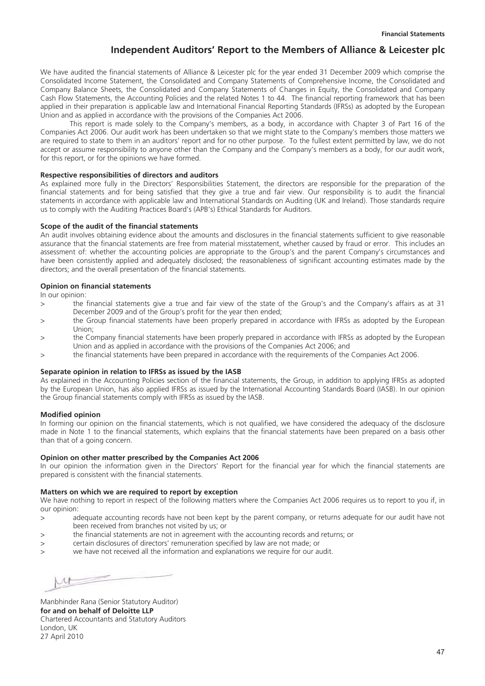# **Independent Auditors' Report to the Members of Alliance & Leicester plc**

We have audited the financial statements of Alliance & Leicester plc for the year ended 31 December 2009 which comprise the Consolidated Income Statement, the Consolidated and Company Statements of Comprehensive Income, the Consolidated and Company Balance Sheets, the Consolidated and Company Statements of Changes in Equity, the Consolidated and Company Cash Flow Statements, the Accounting Policies and the related Notes 1 to 44. The financial reporting framework that has been applied in their preparation is applicable law and International Financial Reporting Standards (IFRSs) as adopted by the European Union and as applied in accordance with the provisions of the Companies Act 2006.

This report is made solely to the Company's members, as a body, in accordance with Chapter 3 of Part 16 of the Companies Act 2006. Our audit work has been undertaken so that we might state to the Company's members those matters we are required to state to them in an auditors' report and for no other purpose. To the fullest extent permitted by law, we do not accept or assume responsibility to anyone other than the Company and the Company's members as a body, for our audit work, for this report, or for the opinions we have formed.

### **Respective responsibilities of directors and auditors**

As explained more fully in the Directors' Responsibilities Statement, the directors are responsible for the preparation of the financial statements and for being satisfied that they give a true and fair view. Our responsibility is to audit the financial statements in accordance with applicable law and International Standards on Auditing (UK and Ireland). Those standards require us to comply with the Auditing Practices Board's (APB's) Ethical Standards for Auditors.

### **Scope of the audit of the financial statements**

An audit involves obtaining evidence about the amounts and disclosures in the financial statements sufficient to give reasonable assurance that the financial statements are free from material misstatement, whether caused by fraud or error. This includes an assessment of: whether the accounting policies are appropriate to the Group's and the parent Company's circumstances and have been consistently applied and adequately disclosed; the reasonableness of significant accounting estimates made by the directors; and the overall presentation of the financial statements.

#### **Opinion on financial statements**

In our opinion:

- > the financial statements give a true and fair view of the state of the Group's and the Company's affairs as at 31 December 2009 and of the Group's profit for the year then ended;
- > the Group financial statements have been properly prepared in accordance with IFRSs as adopted by the European Union;
- > the Company financial statements have been properly prepared in accordance with IFRSs as adopted by the European Union and as applied in accordance with the provisions of the Companies Act 2006; and
- > the financial statements have been prepared in accordance with the requirements of the Companies Act 2006.

#### **Separate opinion in relation to IFRSs as issued by the IASB**

As explained in the Accounting Policies section of the financial statements, the Group, in addition to applying IFRSs as adopted by the European Union, has also applied IFRSs as issued by the International Accounting Standards Board (IASB). In our opinion the Group financial statements comply with IFRSs as issued by the IASB.

### **Modified opinion**

In forming our opinion on the financial statements, which is not qualified, we have considered the adequacy of the disclosure made in Note 1 to the financial statements, which explains that the financial statements have been prepared on a basis other than that of a going concern.

#### **Opinion on other matter prescribed by the Companies Act 2006**

In our opinion the information given in the Directors' Report for the financial year for which the financial statements are prepared is consistent with the financial statements.

### **Matters on which we are required to report by exception**

We have nothing to report in respect of the following matters where the Companies Act 2006 requires us to report to you if, in our opinion:

- > adequate accounting records have not been kept by the parent company, or returns adequate for our audit have not been received from branches not visited by us; or
- > the financial statements are not in agreement with the accounting records and returns; or
- > certain disclosures of directors' remuneration specified by law are not made; or
- > we have not received all the information and explanations we require for our audit.

 $\Lambda$ 

Manbhinder Rana (Senior Statutory Auditor) **for and on behalf of Deloitte LLP**  Chartered Accountants and Statutory Auditors London, UK 27 April 2010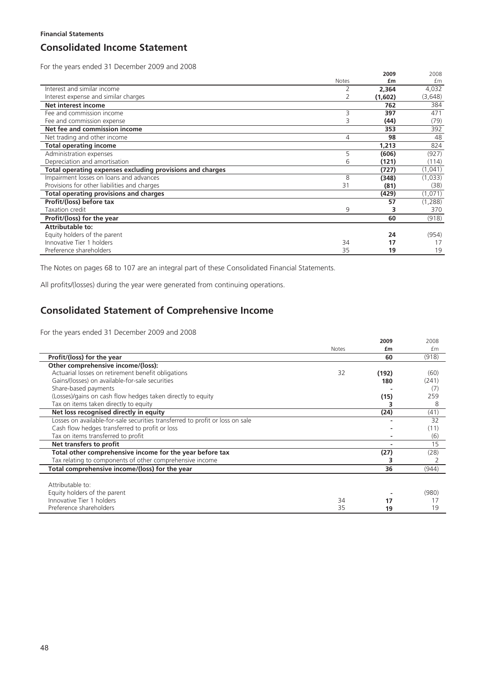# **Consolidated Income Statement**

For the years ended 31 December 2009 and 2008

|                                                           |       | 2009    | 2008    |
|-----------------------------------------------------------|-------|---------|---------|
|                                                           | Notes | £m      | £m      |
| Interest and similar income                               |       | 2,364   | 4,032   |
| Interest expense and similar charges                      |       | (1,602) | (3,648) |
| Net interest income                                       |       | 762     | 384     |
| Fee and commission income                                 | 3     | 397     | 471     |
| Fee and commission expense                                | Β     | (44)    | (79)    |
| Net fee and commission income                             |       | 353     | 392     |
| Net trading and other income                              | 4     | 98      | 48      |
| <b>Total operating income</b>                             |       | 1,213   | 824     |
| Administration expenses                                   | 5     | (606)   | (927)   |
| Depreciation and amortisation                             | 6     | (121)   | (114)   |
| Total operating expenses excluding provisions and charges |       | (727)   | (1,041) |
| Impairment losses on loans and advances                   | 8     | (348)   | (1,033) |
| Provisions for other liabilities and charges              | 31    | (81)    | (38)    |
| <b>Total operating provisions and charges</b>             |       | (429)   | (1,071) |
| Profit/(loss) before tax                                  |       | 57      | (1,288) |
| Taxation credit                                           | 9     | 3       | 370     |
| Profit/(loss) for the year                                |       | 60      | (918)   |
| Attributable to:                                          |       |         |         |
| Equity holders of the parent                              |       | 24      | (954)   |
| Innovative Tier 1 holders                                 | 34    | 17      | 17      |
| Preference shareholders                                   | 35    | 19      | 19      |

The Notes on pages 68 to 107 are an integral part of these Consolidated Financial Statements.

All profits/(losses) during the year were generated from continuing operations.

# **Consolidated Statement of Comprehensive Income**

For the years ended 31 December 2009 and 2008

|                                                                               |              | 2009  | 2008  |
|-------------------------------------------------------------------------------|--------------|-------|-------|
|                                                                               | <b>Notes</b> | £m    | fm    |
| Profit/(loss) for the year                                                    |              | 60    | (918) |
| Other comprehensive income/(loss):                                            |              |       |       |
| Actuarial losses on retirement benefit obligations                            | 32           | (192) | (60)  |
| Gains/(losses) on available-for-sale securities                               |              | 180   | (241) |
| Share-based payments                                                          |              |       | (7)   |
| (Losses)/gains on cash flow hedges taken directly to equity                   |              | (15)  | 259   |
| Tax on items taken directly to equity                                         |              |       | 8     |
| Net loss recognised directly in equity                                        |              | (24)  | (41)  |
| Losses on available-for-sale securities transferred to profit or loss on sale |              |       | 32    |
| Cash flow hedges transferred to profit or loss                                |              |       | (11)  |
| Tax on items transferred to profit                                            |              |       | (6)   |
| Net transfers to profit                                                       |              |       | 15    |
| Total other comprehensive income for the year before tax                      |              | (27)  | (28)  |
| Tax relating to components of other comprehensive income                      |              |       |       |
| Total comprehensive income/(loss) for the year                                |              | 36    | (944) |
|                                                                               |              |       |       |
| Attributable to:                                                              |              |       |       |
| Equity holders of the parent                                                  |              |       | (980) |
| Innovative Tier 1 holders                                                     | 34           | 17    |       |
| Preference shareholders                                                       | 35           | 19    | 19    |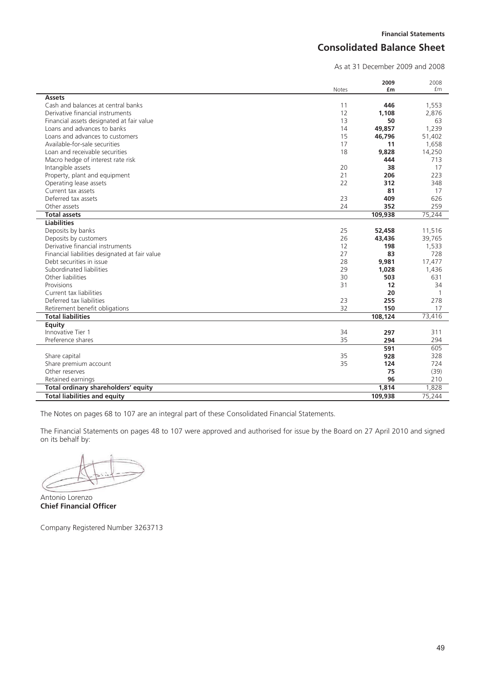# **Consolidated Balance Sheet**

As at 31 December 2009 and 2008

|                                                            | <b>Notes</b> | 2009<br>£m | 2008<br>fm   |
|------------------------------------------------------------|--------------|------------|--------------|
| <b>Assets</b>                                              |              |            |              |
| Cash and balances at central banks                         | 11           | 446        | 1,553        |
| Derivative financial instruments                           | 12           | 1.108      | 2,876        |
| Financial assets designated at fair value                  | 13           | 50         | 63           |
| Loans and advances to banks                                | 14           | 49,857     | 1,239        |
| Loans and advances to customers                            | 15           | 46,796     | 51,402       |
| Available-for-sale securities                              | 17           | 11         | 1,658        |
| Loan and receivable securities                             | 18           | 9,828      | 14,250       |
| Macro hedge of interest rate risk                          |              | 444        | 713          |
| Intangible assets                                          | 20           | 38         | 17           |
| Property, plant and equipment                              | 21           | 206        | 223          |
| Operating lease assets                                     | 22           | 312        | 348          |
| Current tax assets                                         |              | 81         | 17           |
| Deferred tax assets                                        | 23           | 409        | 626          |
| Other assets                                               | 24           | 352        | 259          |
| <b>Total assets</b>                                        |              | 109.938    | 75,244       |
| <b>Liabilities</b>                                         |              |            |              |
| Deposits by banks                                          | 25           | 52,458     | 11,516       |
| Deposits by customers                                      | 26           | 43,436     | 39,765       |
| Derivative financial instruments                           | 12           | 198        | 1,533        |
| Financial liabilities designated at fair value             | 27           | 83         | 728          |
| Debt securities in issue                                   | 28           | 9,981      | 17,477       |
| Subordinated liabilities                                   | 29           | 1,028      | 1,436        |
| Other liabilities                                          | 30           | 503        | 631          |
| Provisions                                                 | 31           | 12         | 34           |
| Current tax liabilities                                    |              | 20         | $\mathbf{1}$ |
| Deferred tax liabilities                                   | 23           | 255        | 278          |
|                                                            | 32           | 150        |              |
| Retirement benefit obligations<br><b>Total liabilities</b> |              | 108,124    | 17           |
|                                                            |              |            | 73,416       |
| <b>Equity</b><br>Innovative Tier 1                         | 34           | 297        | 311          |
| Preference shares                                          | 35           | 294        | 294          |
|                                                            |              | 591        | 605          |
|                                                            | 35           | 928        | 328          |
| Share capital                                              |              |            |              |
| Share premium account<br>Other reserves                    | 35           | 124        | 724          |
|                                                            |              | 75         | (39)         |
| Retained earnings                                          |              | 96         | 210          |
| Total ordinary shareholders' equity                        |              | 1,814      | 1,828        |
| <b>Total liabilities and equity</b>                        |              | 109.938    | 75,244       |

The Notes on pages 68 to 107 are an integral part of these Consolidated Financial Statements.

The Financial Statements on pages 48 to 107 were approved and authorised for issue by the Board on 27 April 2010 and signed on its behalf by:

Antonio Lorenzo **Chief Financial Officer**

Company Registered Number 3263713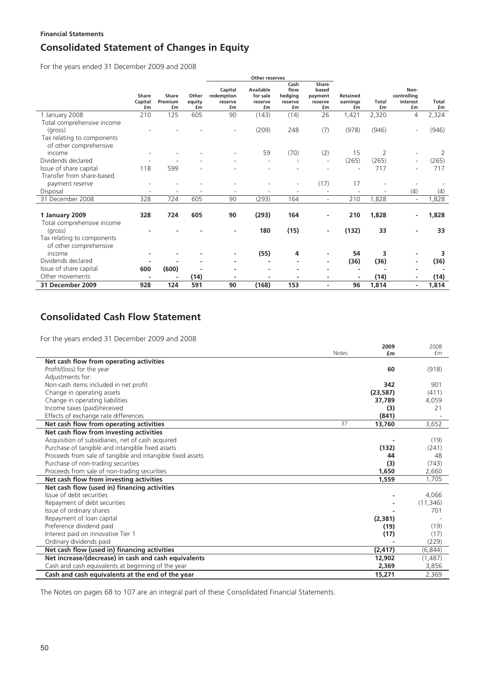## **Financial Statements**

# **Consolidated Statement of Changes in Equity**

For the years ended 31 December 2009 and 2008

|                                                                     |                        |                        |                       | <b>Other reserves</b>                  |                                        |                                          |                                            |                                   |                    |                                       |                    |
|---------------------------------------------------------------------|------------------------|------------------------|-----------------------|----------------------------------------|----------------------------------------|------------------------------------------|--------------------------------------------|-----------------------------------|--------------------|---------------------------------------|--------------------|
|                                                                     | Share<br>Capital<br>£m | Share<br>Premium<br>£m | Other<br>equity<br>£m | Capital<br>redemption<br>reserve<br>£m | Available<br>for sale<br>reserve<br>£m | Cash<br>flow<br>hedging<br>reserve<br>£m | Share<br>based<br>payment<br>reserve<br>£m | <b>Retained</b><br>earnings<br>£m | <b>Total</b><br>£m | Non-<br>controlling<br>interest<br>£m | <b>Total</b><br>£m |
| 1 January 2008                                                      | 210                    | 125                    | 605                   | 90                                     | (143)                                  | (14)                                     | 26                                         | 1,421                             | 2,320              | 4                                     | 2,324              |
| Total comprehensive income<br>(gross)<br>Tax relating to components |                        |                        |                       |                                        | (209)                                  | 248                                      | (7)                                        | (978)                             | (946)              |                                       | (946)              |
| of other comprehensive                                              |                        |                        |                       |                                        |                                        |                                          |                                            |                                   |                    |                                       |                    |
| income                                                              |                        |                        |                       |                                        | 59                                     | (70)                                     | (2)                                        | 15                                | $\overline{2}$     |                                       | 2                  |
| Dividends declared                                                  |                        |                        |                       |                                        |                                        |                                          |                                            | (265)                             | (265)              |                                       | (265)              |
| Issue of share capital                                              | 118                    | 599                    |                       |                                        |                                        |                                          |                                            |                                   | 717                |                                       | 717                |
| Transfer from share-based<br>payment reserve                        |                        |                        |                       |                                        |                                        | $\overline{\phantom{0}}$                 | (17)                                       | 17                                |                    |                                       |                    |
| Disposal                                                            |                        |                        |                       |                                        |                                        |                                          |                                            |                                   |                    | (4)                                   | (4)                |
| 31 December 2008                                                    | 328                    | 724                    | 605                   | 90                                     | (293)                                  | 164                                      | $\sim$                                     | 210                               | 1,828              |                                       | 1,828              |
| 1 January 2009<br>Total comprehensive income                        | 328                    | 724                    | 605                   | 90                                     | (293)                                  | 164                                      |                                            | 210                               | 1,828              |                                       | 1,828              |
| (gross)                                                             |                        |                        |                       |                                        | 180                                    | (15)                                     |                                            | (132)                             | 33                 |                                       | 33                 |
| Tax relating to components<br>of other comprehensive                |                        |                        |                       |                                        |                                        |                                          |                                            |                                   |                    |                                       |                    |
| income                                                              |                        |                        |                       |                                        | (55)                                   | 4                                        |                                            | 54                                | 3                  |                                       | 3                  |
| Dividends declared                                                  |                        |                        |                       |                                        |                                        |                                          | $\overline{\phantom{a}}$                   | (36)                              | (36)               |                                       | (36)               |
| Issue of share capital                                              | 600                    | (600)                  |                       |                                        |                                        |                                          |                                            |                                   |                    |                                       |                    |
| Other movements                                                     |                        |                        | (14)                  |                                        |                                        |                                          |                                            |                                   | (14)               |                                       | (14)               |
| 31 December 2009                                                    | 928                    | 124                    | 591                   | 90                                     | (168)                                  | 153                                      | ٠                                          | 96                                | 1,814              |                                       | 1,814              |

# **Consolidated Cash Flow Statement**

For the years ended 31 December 2009 and 2008

|                                                            |              | 2009      | 2008      |
|------------------------------------------------------------|--------------|-----------|-----------|
|                                                            | <b>Notes</b> | £m        | £m        |
| Net cash flow from operating activities                    |              |           |           |
| Profit/(loss) for the year                                 |              | 60        | (918)     |
| Adjustments for:                                           |              |           |           |
| Non-cash items included in net profit                      |              | 342       | 901       |
| Change in operating assets                                 |              | (23, 587) | (411)     |
| Change in operating liabilities                            |              | 37.789    | 4,059     |
| Income taxes (paid)/received                               |              | (3)       | 21        |
| Effects of exchange rate differences                       |              | (841)     |           |
| Net cash flow from operating activities                    | 37           | 13,760    | 3,652     |
| Net cash flow from investing activities                    |              |           |           |
| Acquisition of subsidiaries, net of cash acquired          |              |           | (19)      |
| Purchase of tangible and intangible fixed assets           |              | (132)     | (241)     |
| Proceeds from sale of tangible and intangible fixed assets |              | 44        | 48        |
| Purchase of non-trading securities                         |              | (3)       | (743)     |
| Proceeds from sale of non-trading securities               |              | 1,650     | 2,660     |
| Net cash flow from investing activities                    |              | 1,559     | 1,705     |
| Net cash flow (used in) financing activities               |              |           |           |
| Issue of debt securities                                   |              |           | 4,066     |
| Repayment of debt securities                               |              |           | (11, 346) |
| Issue of ordinary shares                                   |              |           | 701       |
| Repayment of loan capital                                  |              | (2,381)   |           |
| Preference dividend paid                                   |              | (19)      | (19)      |
| Interest paid on innovative Tier 1                         |              | (17)      | (17)      |
| Ordinary dividends paid                                    |              |           | (229)     |
| Net cash flow (used in) financing activities               |              | (2, 417)  | (6, 844)  |
| Net increase/(decrease) in cash and cash equivalents       |              | 12,902    | (1, 487)  |
| Cash and cash equivalents at beginning of the year         |              | 2,369     | 3,856     |
| Cash and cash equivalents at the end of the year           |              | 15,271    | 2,369     |

The Notes on pages 68 to 107 are an integral part of these Consolidated Financial Statements.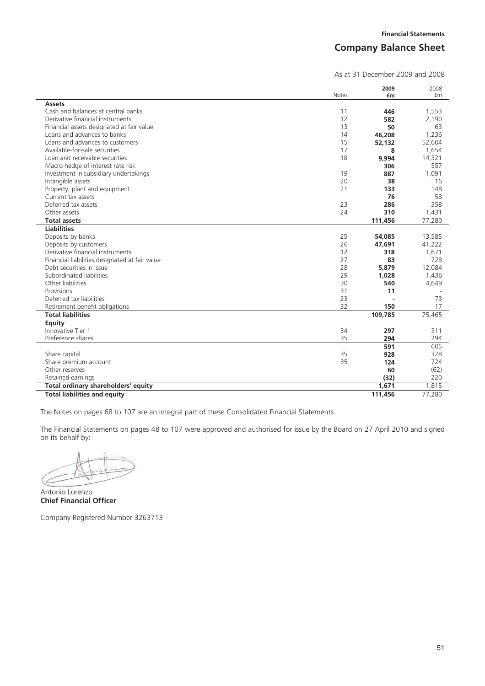# **Company Balance Sheet**

As at 31 December 2009 and 2008

|                                                | <b>Notes</b> | 2009<br>£m | 2008<br>fm |
|------------------------------------------------|--------------|------------|------------|
| <b>Assets</b>                                  |              |            |            |
| Cash and balances at central banks             | 11           | 446        | 1,553      |
| Derivative financial instruments               | 12           | 582        | 2,190      |
| Financial assets designated at fair value      | 13           | 50         | 63         |
| Loans and advances to banks                    | 14           | 46,208     | 1,236      |
| Loans and advances to customers                | 15           | 52,132     | 52,604     |
| Available-for-sale securities                  | 17           | 8          | 1,654      |
| Loan and receivable securities                 | 18           | 9,994      | 14,321     |
| Macro hedge of interest rate risk              |              | 306        | 557        |
| Investment in subsidiary undertakings          | 19           | 887        | 1,091      |
| Intangible assets                              | 20           | 38         | 16         |
| Property, plant and equipment                  | 21           | 133        | 148        |
| Current tax assets                             |              | 76         | 58         |
| Deferred tax assets                            | 23           | 286        | 358        |
| Other assets                                   | 24           | 310        | 1,431      |
| <b>Total assets</b>                            |              | 111,456    | 77,280     |
| <b>Liabilities</b>                             |              |            |            |
| Deposits by banks                              | 25           | 54,085     | 13,585     |
| Deposits by customers                          | 26           | 47,691     | 41,222     |
| Derivative financial instruments               | 12           | 318        | 1,671      |
| Financial liabilities designated at fair value | 27           | 83         | 728        |
| Debt securities in issue                       | 28           | 5,879      | 12,084     |
| Subordinated liabilities                       | 29           | 1,028      | 1,436      |
| Other liabilities                              | 30           | 540        | 4,649      |
| Provisions                                     | 31           | 11         |            |
| Deferred tax liabilities                       | 23           |            | 73         |
| Retirement benefit obligations                 | 32           | 150        | 17         |
| <b>Total liabilities</b>                       |              | 109,785    | 75,465     |
| Equity                                         |              |            |            |
| Innovative Tier 1                              | 34           | 297        | 311        |
| Preference shares                              | 35           | 294        | 294        |
|                                                |              | 591        | 605        |
| Share capital                                  | 35           | 928        | 328        |
| Share premium account                          | 35           | 124        | 724        |
| Other reserves                                 |              | 60         | (62)       |
| Retained earnings                              |              | (32)       | 220        |
| Total ordinary shareholders' equity            |              | 1,671      | 1,815      |
| <b>Total liabilities and equity</b>            |              | 111,456    | 77,280     |

The Notes on pages 68 to 107 are an integral part of these Consolidated Financial Statements.

The Financial Statements on pages 48 to 107 were approved and authorised for issue by the Board on 27 April 2010 and signed on its behalf by:

Antonio Lorenzo **Chief Financial Officer** 

Company Registered Number 3263713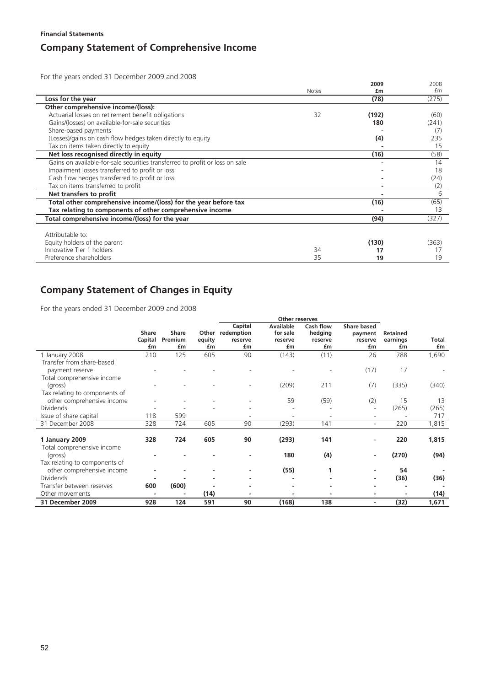# **Company Statement of Comprehensive Income**

For the years ended 31 December 2009 and 2008

|                                                                              |              | 2009  | 2008  |
|------------------------------------------------------------------------------|--------------|-------|-------|
|                                                                              | <b>Notes</b> | £m    | £m    |
| Loss for the year                                                            |              | (78)  | (275) |
| Other comprehensive income/(loss):                                           |              |       |       |
| Actuarial losses on retirement benefit obligations                           | 32           | (192) | (60)  |
| Gains/(losses) on available-for-sale securities                              |              | 180   | (241) |
| Share-based payments                                                         |              |       | (7)   |
| (Losses)/gains on cash flow hedges taken directly to equity                  |              | (4)   | 235   |
| Tax on items taken directly to equity                                        |              |       | 15    |
| Net loss recognised directly in equity                                       |              | (16)  | (58)  |
| Gains on available-for-sale securities transferred to profit or loss on sale |              |       | 14    |
| Impairment losses transferred to profit or loss                              |              |       | 18    |
| Cash flow hedges transferred to profit or loss                               |              |       | (24)  |
| Tax on items transferred to profit                                           |              |       | (2)   |
| Net transfers to profit                                                      |              |       | 6     |
| Total other comprehensive income/(loss) for the year before tax              |              | (16)  | (65)  |
| Tax relating to components of other comprehensive income                     |              |       | 13    |
| Total comprehensive income/(loss) for the year                               |              | (94)  | (327) |
|                                                                              |              |       |       |
| Attributable to:                                                             |              |       |       |
| Equity holders of the parent                                                 |              | (130) | (363) |
| Innovative Tier 1 holders                                                    | 34           | 17    |       |
| Preference shareholders                                                      | 35           | 19    | 19    |

# **Company Statement of Changes in Equity**

For the years ended 31 December 2009 and 2008

|                               |         |         |        |                  | Other reserves   |           |                          |          |       |
|-------------------------------|---------|---------|--------|------------------|------------------|-----------|--------------------------|----------|-------|
|                               |         |         |        | Capital          | <b>Available</b> | Cash flow | <b>Share based</b>       |          |       |
|                               | Share   | Share   |        | Other redemption | for sale         | hedging   | payment                  | Retained |       |
|                               | Capital | Premium | equity | reserve          | reserve          | reserve   | reserve                  | earnings | Total |
|                               | £m      | £m      | £m     | £m               | £m               | £m        | £m                       | £m       | £m    |
| 1 January 2008                | 210     | 125     | 605    | 90               | (143)            | (11)      | 26                       | 788      | 1,690 |
| Transfer from share-based     |         |         |        |                  |                  |           |                          |          |       |
| payment reserve               |         |         |        |                  |                  |           | (17)                     | 17       |       |
| Total comprehensive income    |         |         |        |                  |                  |           |                          |          |       |
| (gross)                       |         |         |        |                  | (209)            | 211       | (7)                      | (335)    | (340) |
| Tax relating to components of |         |         |        |                  |                  |           |                          |          |       |
| other comprehensive income    |         |         |        |                  | 59               | (59)      | (2)                      | 15       | 13    |
| <b>Dividends</b>              |         |         |        |                  |                  |           |                          | (265)    | (265) |
| Issue of share capital        | 118     | 599     |        |                  |                  |           | ٠                        |          | 717   |
| 31 December 2008              | 328     | 724     | 605    | 90               | (293)            | 141       | $\overline{\phantom{a}}$ | 220      | 1,815 |
|                               |         |         |        |                  |                  |           |                          |          |       |
| 1 January 2009                | 328     | 724     | 605    | 90               | (293)            | 141       | $\overline{\phantom{0}}$ | 220      | 1,815 |
| Total comprehensive income    |         |         |        |                  |                  |           |                          |          |       |
| (gross)                       |         |         |        |                  | 180              | (4)       | ٠                        | (270)    | (94)  |
| Tax relating to components of |         |         |        |                  |                  |           |                          |          |       |
| other comprehensive income    |         |         |        |                  | (55)             |           |                          | 54       |       |
| <b>Dividends</b>              |         |         |        |                  |                  |           | ٠                        | (36)     | (36)  |
| Transfer between reserves     | 600     | (600)   |        |                  |                  |           |                          |          |       |
| Other movements               |         |         | (14)   |                  |                  |           | $\blacksquare$           |          | (14)  |
| 31 December 2009              | 928     | 124     | 591    | 90               | (168)            | 138       | $\blacksquare$           | (32)     | 1,671 |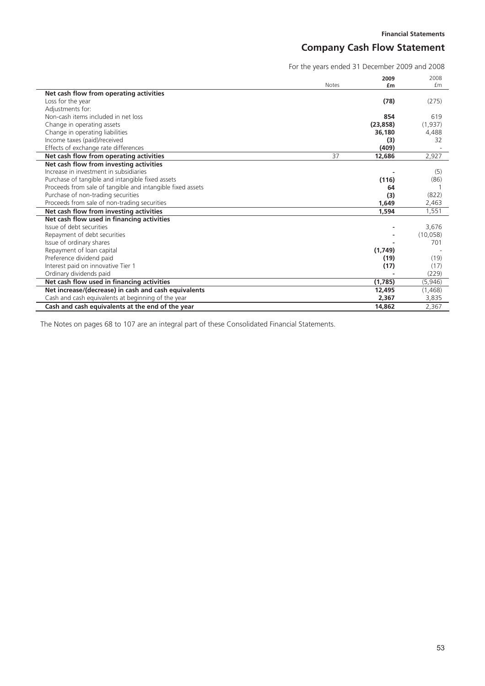# **Company Cash Flow Statement**

For the years ended 31 December 2009 and 2008

|                                                            |              | 2009      | 2008     |
|------------------------------------------------------------|--------------|-----------|----------|
|                                                            | <b>Notes</b> | £m        | £m       |
| Net cash flow from operating activities                    |              |           |          |
| Loss for the year                                          |              | (78)      | (275)    |
| Adjustments for:                                           |              |           |          |
| Non-cash items included in net loss                        |              | 854       | 619      |
| Change in operating assets                                 |              | (23, 858) | (1,937)  |
| Change in operating liabilities                            |              | 36,180    | 4,488    |
| Income taxes (paid)/received                               |              | (3)       | 32       |
| Effects of exchange rate differences                       |              | (409)     |          |
| Net cash flow from operating activities                    | 37           | 12,686    | 2,927    |
| Net cash flow from investing activities                    |              |           |          |
| Increase in investment in subsidiaries                     |              |           | (5)      |
| Purchase of tangible and intangible fixed assets           |              | (116)     | (86)     |
| Proceeds from sale of tangible and intangible fixed assets |              | 64        |          |
| Purchase of non-trading securities                         |              | (3)       | (822)    |
| Proceeds from sale of non-trading securities               |              | 1,649     | 2,463    |
| Net cash flow from investing activities                    |              | 1.594     | 1,551    |
| Net cash flow used in financing activities                 |              |           |          |
| Issue of debt securities                                   |              |           | 3,676    |
| Repayment of debt securities                               |              |           | (10,058) |
| Issue of ordinary shares                                   |              |           | 701      |
| Repayment of loan capital                                  |              | (1,749)   |          |
| Preference dividend paid                                   |              | (19)      | (19)     |
| Interest paid on innovative Tier 1                         |              | (17)      | (17)     |
| Ordinary dividends paid                                    |              |           | (229)    |
| Net cash flow used in financing activities                 |              | (1,785)   | (5,946)  |
| Net increase/(decrease) in cash and cash equivalents       |              | 12,495    | (1, 468) |
| Cash and cash equivalents at beginning of the year         |              | 2,367     | 3,835    |
| Cash and cash equivalents at the end of the year           |              | 14.862    | 2,367    |

The Notes on pages 68 to 107 are an integral part of these Consolidated Financial Statements.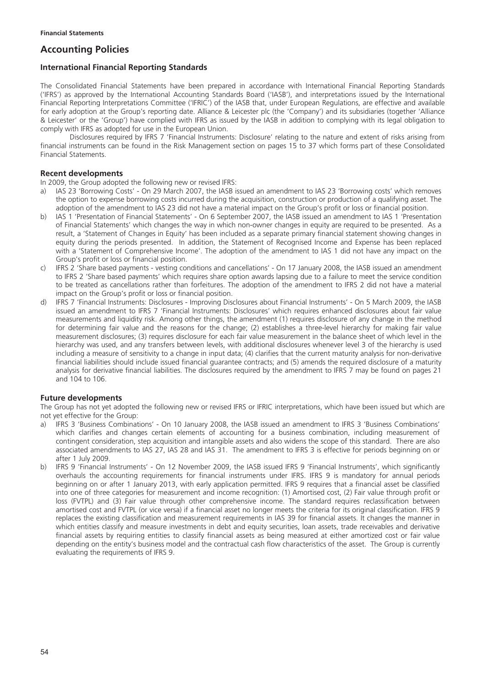# **Accounting Policies**

## **International Financial Reporting Standards**

The Consolidated Financial Statements have been prepared in accordance with International Financial Reporting Standards ('IFRS') as approved by the International Accounting Standards Board ('IASB'), and interpretations issued by the International Financial Reporting Interpretations Committee ('IFRIC') of the IASB that, under European Regulations, are effective and available for early adoption at the Group's reporting date. Alliance & Leicester plc (the 'Company') and its subsidiaries (together 'Alliance & Leicester' or the 'Group') have complied with IFRS as issued by the IASB in addition to complying with its legal obligation to comply with IFRS as adopted for use in the European Union.

Disclosures required by IFRS 7 'Financial Instruments: Disclosure' relating to the nature and extent of risks arising from financial instruments can be found in the Risk Management section on pages 15 to 37 which forms part of these Consolidated Financial Statements.

### **Recent developments**

In 2009, the Group adopted the following new or revised IFRS:

- a) IAS 23 'Borrowing Costs' On 29 March 2007, the IASB issued an amendment to IAS 23 'Borrowing costs' which removes the option to expense borrowing costs incurred during the acquisition, construction or production of a qualifying asset. The adoption of the amendment to IAS 23 did not have a material impact on the Group's profit or loss or financial position.
- b) IAS 1 'Presentation of Financial Statements' On 6 September 2007, the IASB issued an amendment to IAS 1 'Presentation of Financial Statements' which changes the way in which non-owner changes in equity are required to be presented. As a result, a 'Statement of Changes in Equity' has been included as a separate primary financial statement showing changes in equity during the periods presented. In addition, the Statement of Recognised Income and Expense has been replaced with a 'Statement of Comprehensive Income'. The adoption of the amendment to IAS 1 did not have any impact on the Group's profit or loss or financial position.
- c) IFRS 2 'Share based payments vesting conditions and cancellations' On 17 January 2008, the IASB issued an amendment to IFRS 2 'Share based payments' which requires share option awards lapsing due to a failure to meet the service condition to be treated as cancellations rather than forfeitures. The adoption of the amendment to IFRS 2 did not have a material impact on the Group's profit or loss or financial position.
- d) IFRS 7 'Financial Instruments: Disclosures Improving Disclosures about Financial Instruments' On 5 March 2009, the IASB issued an amendment to IFRS 7 'Financial Instruments: Disclosures' which requires enhanced disclosures about fair value measurements and liquidity risk. Among other things, the amendment (1) requires disclosure of any change in the method for determining fair value and the reasons for the change; (2) establishes a three-level hierarchy for making fair value measurement disclosures; (3) requires disclosure for each fair value measurement in the balance sheet of which level in the hierarchy was used, and any transfers between levels, with additional disclosures whenever level 3 of the hierarchy is used including a measure of sensitivity to a change in input data; (4) clarifies that the current maturity analysis for non-derivative financial liabilities should include issued financial guarantee contracts; and (5) amends the required disclosure of a maturity analysis for derivative financial liabilities. The disclosures required by the amendment to IFRS 7 may be found on pages 21 and 104 to 106.

### **Future developments**

The Group has not yet adopted the following new or revised IFRS or IFRIC interpretations, which have been issued but which are not yet effective for the Group:

- a) IFRS 3 'Business Combinations' On 10 January 2008, the IASB issued an amendment to IFRS 3 'Business Combinations' which clarifies and changes certain elements of accounting for a business combination, including measurement of contingent consideration, step acquisition and intangible assets and also widens the scope of this standard. There are also associated amendments to IAS 27, IAS 28 and IAS 31. The amendment to IFRS 3 is effective for periods beginning on or after 1 July 2009.
- b) IFRS 9 'Financial Instruments' On 12 November 2009, the IASB issued IFRS 9 'Financial Instruments', which significantly overhauls the accounting requirements for financial instruments under IFRS. IFRS 9 is mandatory for annual periods beginning on or after 1 January 2013, with early application permitted. IFRS 9 requires that a financial asset be classified into one of three categories for measurement and income recognition: (1) Amortised cost, (2) Fair value through profit or loss (FVTPL) and (3) Fair value through other comprehensive income. The standard requires reclassification between amortised cost and FVTPL (or vice versa) if a financial asset no longer meets the criteria for its original classification. IFRS 9 replaces the existing classification and measurement requirements in IAS 39 for financial assets. It changes the manner in which entities classify and measure investments in debt and equity securities, loan assets, trade receivables and derivative financial assets by requiring entities to classify financial assets as being measured at either amortized cost or fair value depending on the entity's business model and the contractual cash flow characteristics of the asset. The Group is currently evaluating the requirements of IFRS 9.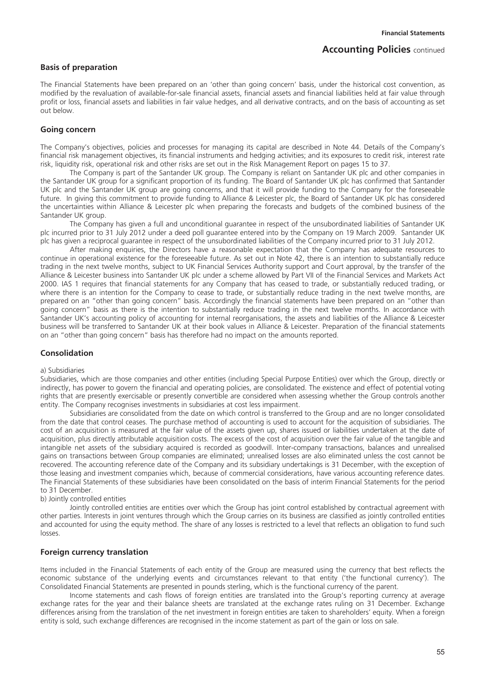### **Basis of preparation**

The Financial Statements have been prepared on an 'other than going concern' basis, under the historical cost convention, as modified by the revaluation of available-for-sale financial assets, financial assets and financial liabilities held at fair value through profit or loss, financial assets and liabilities in fair value hedges, and all derivative contracts, and on the basis of accounting as set out below.

### **Going concern**

The Company's objectives, policies and processes for managing its capital are described in Note 44. Details of the Company's financial risk management objectives, its financial instruments and hedging activities; and its exposures to credit risk, interest rate risk, liquidity risk, operational risk and other risks are set out in the Risk Management Report on pages 15 to 37.

The Company is part of the Santander UK group. The Company is reliant on Santander UK plc and other companies in the Santander UK group for a significant proportion of its funding. The Board of Santander UK plc has confirmed that Santander UK plc and the Santander UK group are going concerns, and that it will provide funding to the Company for the foreseeable future. In giving this commitment to provide funding to Alliance & Leicester plc, the Board of Santander UK plc has considered the uncertainties within Alliance & Leicester plc when preparing the forecasts and budgets of the combined business of the Santander UK group.

The Company has given a full and unconditional guarantee in respect of the unsubordinated liabilities of Santander UK plc incurred prior to 31 July 2012 under a deed poll guarantee entered into by the Company on 19 March 2009. Santander UK plc has given a reciprocal guarantee in respect of the unsubordinated liabilities of the Company incurred prior to 31 July 2012.

After making enquiries, the Directors have a reasonable expectation that the Company has adequate resources to continue in operational existence for the foreseeable future. As set out in Note 42, there is an intention to substantially reduce trading in the next twelve months, subject to UK Financial Services Authority support and Court approval, by the transfer of the Alliance & Leicester business into Santander UK plc under a scheme allowed by Part VII of the Financial Services and Markets Act 2000. IAS 1 requires that financial statements for any Company that has ceased to trade, or substantially reduced trading, or where there is an intention for the Company to cease to trade, or substantially reduce trading in the next twelve months, are prepared on an "other than going concern" basis. Accordingly the financial statements have been prepared on an "other than going concern" basis as there is the intention to substantially reduce trading in the next twelve months. In accordance with Santander UK's accounting policy of accounting for internal reorganisations, the assets and liabilities of the Alliance & Leicester business will be transferred to Santander UK at their book values in Alliance & Leicester. Preparation of the financial statements on an "other than going concern" basis has therefore had no impact on the amounts reported.

### **Consolidation**

#### a) Subsidiaries

Subsidiaries, which are those companies and other entities (including Special Purpose Entities) over which the Group, directly or indirectly, has power to govern the financial and operating policies, are consolidated. The existence and effect of potential voting rights that are presently exercisable or presently convertible are considered when assessing whether the Group controls another entity. The Company recognises investments in subsidiaries at cost less impairment.

Subsidiaries are consolidated from the date on which control is transferred to the Group and are no longer consolidated from the date that control ceases. The purchase method of accounting is used to account for the acquisition of subsidiaries. The cost of an acquisition is measured at the fair value of the assets given up, shares issued or liabilities undertaken at the date of acquisition, plus directly attributable acquisition costs. The excess of the cost of acquisition over the fair value of the tangible and intangible net assets of the subsidiary acquired is recorded as goodwill. Inter-company transactions, balances and unrealised gains on transactions between Group companies are eliminated; unrealised losses are also eliminated unless the cost cannot be recovered. The accounting reference date of the Company and its subsidiary undertakings is 31 December, with the exception of those leasing and investment companies which, because of commercial considerations, have various accounting reference dates. The Financial Statements of these subsidiaries have been consolidated on the basis of interim Financial Statements for the period to 31 December.

#### b) Jointly controlled entities

Jointly controlled entities are entities over which the Group has joint control established by contractual agreement with other parties. Interests in joint ventures through which the Group carries on its business are classified as jointly controlled entities and accounted for using the equity method. The share of any losses is restricted to a level that reflects an obligation to fund such losses.

### **Foreign currency translation**

Items included in the Financial Statements of each entity of the Group are measured using the currency that best reflects the economic substance of the underlying events and circumstances relevant to that entity ('the functional currency'). The Consolidated Financial Statements are presented in pounds sterling, which is the functional currency of the parent.

Income statements and cash flows of foreign entities are translated into the Group's reporting currency at average exchange rates for the year and their balance sheets are translated at the exchange rates ruling on 31 December. Exchange differences arising from the translation of the net investment in foreign entities are taken to shareholders' equity. When a foreign entity is sold, such exchange differences are recognised in the income statement as part of the gain or loss on sale.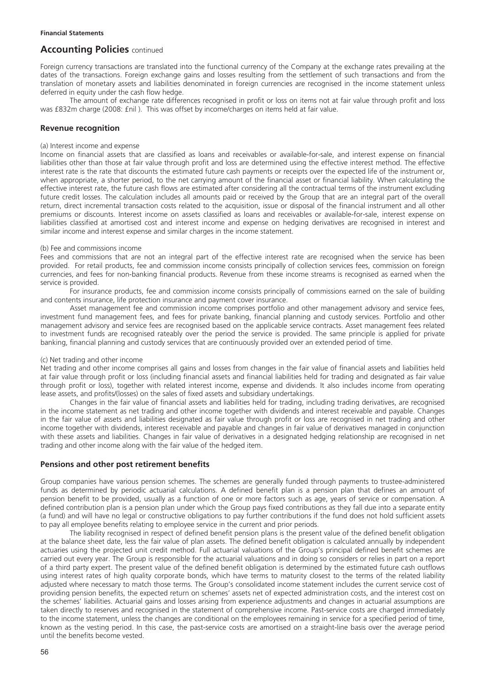Foreign currency transactions are translated into the functional currency of the Company at the exchange rates prevailing at the dates of the transactions. Foreign exchange gains and losses resulting from the settlement of such transactions and from the translation of monetary assets and liabilities denominated in foreign currencies are recognised in the income statement unless deferred in equity under the cash flow hedge.

The amount of exchange rate differences recognised in profit or loss on items not at fair value through profit and loss was £832m charge (2008: £nil ). This was offset by income/charges on items held at fair value.

### **Revenue recognition**

#### (a) Interest income and expense

Income on financial assets that are classified as loans and receivables or available-for-sale, and interest expense on financial liabilities other than those at fair value through profit and loss are determined using the effective interest method. The effective interest rate is the rate that discounts the estimated future cash payments or receipts over the expected life of the instrument or, when appropriate, a shorter period, to the net carrying amount of the financial asset or financial liability. When calculating the effective interest rate, the future cash flows are estimated after considering all the contractual terms of the instrument excluding future credit losses. The calculation includes all amounts paid or received by the Group that are an integral part of the overall return, direct incremental transaction costs related to the acquisition, issue or disposal of the financial instrument and all other premiums or discounts. Interest income on assets classified as loans and receivables or available-for-sale, interest expense on liabilities classified at amortised cost and interest income and expense on hedging derivatives are recognised in interest and similar income and interest expense and similar charges in the income statement.

### (b) Fee and commissions income

Fees and commissions that are not an integral part of the effective interest rate are recognised when the service has been provided. For retail products, fee and commission income consists principally of collection services fees, commission on foreign currencies, and fees for non-banking financial products. Revenue from these income streams is recognised as earned when the service is provided.

For insurance products, fee and commission income consists principally of commissions earned on the sale of building and contents insurance, life protection insurance and payment cover insurance.

Asset management fee and commission income comprises portfolio and other management advisory and service fees, investment fund management fees, and fees for private banking, financial planning and custody services. Portfolio and other management advisory and service fees are recognised based on the applicable service contracts. Asset management fees related to investment funds are recognised rateably over the period the service is provided. The same principle is applied for private banking, financial planning and custody services that are continuously provided over an extended period of time.

### (c) Net trading and other income

Net trading and other income comprises all gains and losses from changes in the fair value of financial assets and liabilities held at fair value through profit or loss (including financial assets and financial liabilities held for trading and designated as fair value through profit or loss), together with related interest income, expense and dividends. It also includes income from operating lease assets, and profits/(losses) on the sales of fixed assets and subsidiary undertakings.

Changes in the fair value of financial assets and liabilities held for trading, including trading derivatives, are recognised in the income statement as net trading and other income together with dividends and interest receivable and payable. Changes in the fair value of assets and liabilities designated as fair value through profit or loss are recognised in net trading and other income together with dividends, interest receivable and payable and changes in fair value of derivatives managed in conjunction with these assets and liabilities. Changes in fair value of derivatives in a designated hedging relationship are recognised in net trading and other income along with the fair value of the hedged item.

### **Pensions and other post retirement benefits**

Group companies have various pension schemes. The schemes are generally funded through payments to trustee-administered funds as determined by periodic actuarial calculations. A defined benefit plan is a pension plan that defines an amount of pension benefit to be provided, usually as a function of one or more factors such as age, years of service or compensation. A defined contribution plan is a pension plan under which the Group pays fixed contributions as they fall due into a separate entity (a fund) and will have no legal or constructive obligations to pay further contributions if the fund does not hold sufficient assets to pay all employee benefits relating to employee service in the current and prior periods.

The liability recognised in respect of defined benefit pension plans is the present value of the defined benefit obligation at the balance sheet date, less the fair value of plan assets. The defined benefit obligation is calculated annually by independent actuaries using the projected unit credit method. Full actuarial valuations of the Group's principal defined benefit schemes are carried out every year. The Group is responsible for the actuarial valuations and in doing so considers or relies in part on a report of a third party expert. The present value of the defined benefit obligation is determined by the estimated future cash outflows using interest rates of high quality corporate bonds, which have terms to maturity closest to the terms of the related liability adjusted where necessary to match those terms. The Group's consolidated income statement includes the current service cost of providing pension benefits, the expected return on schemes' assets net of expected administration costs, and the interest cost on the schemes' liabilities. Actuarial gains and losses arising from experience adjustments and changes in actuarial assumptions are taken directly to reserves and recognised in the statement of comprehensive income. Past-service costs are charged immediately to the income statement, unless the changes are conditional on the employees remaining in service for a specified period of time, known as the vesting period. In this case, the past-service costs are amortised on a straight-line basis over the average period until the benefits become vested.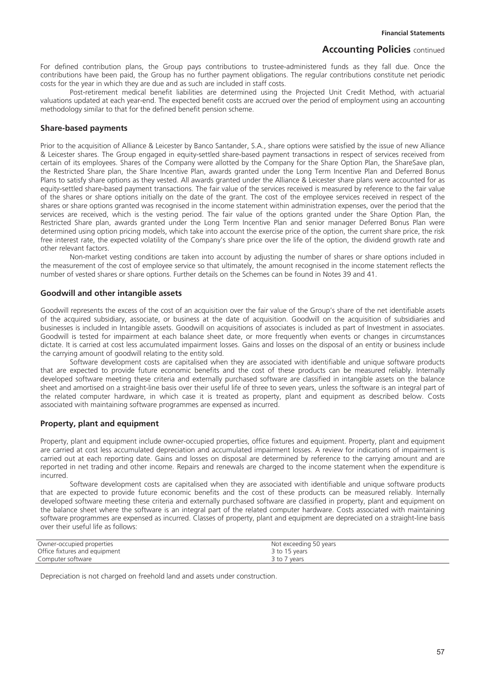For defined contribution plans, the Group pays contributions to trustee-administered funds as they fall due. Once the contributions have been paid, the Group has no further payment obligations. The regular contributions constitute net periodic costs for the year in which they are due and as such are included in staff costs.

Post-retirement medical benefit liabilities are determined using the Projected Unit Credit Method, with actuarial valuations updated at each year-end. The expected benefit costs are accrued over the period of employment using an accounting methodology similar to that for the defined benefit pension scheme.

### **Share-based payments**

Prior to the acquisition of Alliance & Leicester by Banco Santander, S.A., share options were satisfied by the issue of new Alliance & Leicester shares. The Group engaged in equity-settled share-based payment transactions in respect of services received from certain of its employees. Shares of the Company were allotted by the Company for the Share Option Plan, the ShareSave plan, the Restricted Share plan, the Share Incentive Plan, awards granted under the Long Term Incentive Plan and Deferred Bonus Plans to satisfy share options as they vested. All awards granted under the Alliance & Leicester share plans were accounted for as equity-settled share-based payment transactions. The fair value of the services received is measured by reference to the fair value of the shares or share options initially on the date of the grant. The cost of the employee services received in respect of the shares or share options granted was recognised in the income statement within administration expenses, over the period that the services are received, which is the vesting period. The fair value of the options granted under the Share Option Plan, the Restricted Share plan, awards granted under the Long Term Incentive Plan and senior manager Deferred Bonus Plan were determined using option pricing models, which take into account the exercise price of the option, the current share price, the risk free interest rate, the expected volatility of the Company's share price over the life of the option, the dividend growth rate and other relevant factors.

Non-market vesting conditions are taken into account by adjusting the number of shares or share options included in the measurement of the cost of employee service so that ultimately, the amount recognised in the income statement reflects the number of vested shares or share options. Further details on the Schemes can be found in Notes 39 and 41.

### **Goodwill and other intangible assets**

Goodwill represents the excess of the cost of an acquisition over the fair value of the Group's share of the net identifiable assets of the acquired subsidiary, associate, or business at the date of acquisition. Goodwill on the acquisition of subsidiaries and businesses is included in Intangible assets. Goodwill on acquisitions of associates is included as part of Investment in associates. Goodwill is tested for impairment at each balance sheet date, or more frequently when events or changes in circumstances dictate. It is carried at cost less accumulated impairment losses. Gains and losses on the disposal of an entity or business include the carrying amount of goodwill relating to the entity sold.

Software development costs are capitalised when they are associated with identifiable and unique software products that are expected to provide future economic benefits and the cost of these products can be measured reliably. Internally developed software meeting these criteria and externally purchased software are classified in intangible assets on the balance sheet and amortised on a straight-line basis over their useful life of three to seven years, unless the software is an integral part of the related computer hardware, in which case it is treated as property, plant and equipment as described below. Costs associated with maintaining software programmes are expensed as incurred.

### **Property, plant and equipment**

Property, plant and equipment include owner-occupied properties, office fixtures and equipment. Property, plant and equipment are carried at cost less accumulated depreciation and accumulated impairment losses. A review for indications of impairment is carried out at each reporting date. Gains and losses on disposal are determined by reference to the carrying amount and are reported in net trading and other income. Repairs and renewals are charged to the income statement when the expenditure is incurred.

Software development costs are capitalised when they are associated with identifiable and unique software products that are expected to provide future economic benefits and the cost of these products can be measured reliably. Internally developed software meeting these criteria and externally purchased software are classified in property, plant and equipment on the balance sheet where the software is an integral part of the related computer hardware. Costs associated with maintaining software programmes are expensed as incurred. Classes of property, plant and equipment are depreciated on a straight-line basis over their useful life as follows:

| Owner-occupied properties     | Not exceeding 50 years |
|-------------------------------|------------------------|
| Office fixtures and equipment | 3 to 15 years          |
| Computer software             | 3 to 7 years           |

Depreciation is not charged on freehold land and assets under construction.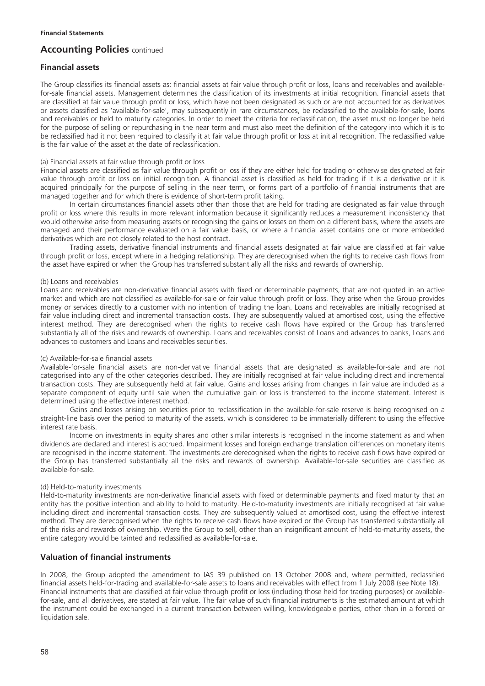## **Financial assets**

The Group classifies its financial assets as: financial assets at fair value through profit or loss, loans and receivables and availablefor-sale financial assets. Management determines the classification of its investments at initial recognition. Financial assets that are classified at fair value through profit or loss, which have not been designated as such or are not accounted for as derivatives or assets classified as 'available-for-sale', may subsequently in rare circumstances, be reclassified to the available-for-sale, loans and receivables or held to maturity categories. In order to meet the criteria for reclassification, the asset must no longer be held for the purpose of selling or repurchasing in the near term and must also meet the definition of the category into which it is to be reclassified had it not been required to classify it at fair value through profit or loss at initial recognition. The reclassified value is the fair value of the asset at the date of reclassification.

### (a) Financial assets at fair value through profit or loss

Financial assets are classified as fair value through profit or loss if they are either held for trading or otherwise designated at fair value through profit or loss on initial recognition. A financial asset is classified as held for trading if it is a derivative or it is acquired principally for the purpose of selling in the near term, or forms part of a portfolio of financial instruments that are managed together and for which there is evidence of short-term profit taking.

In certain circumstances financial assets other than those that are held for trading are designated as fair value through profit or loss where this results in more relevant information because it significantly reduces a measurement inconsistency that would otherwise arise from measuring assets or recognising the gains or losses on them on a different basis, where the assets are managed and their performance evaluated on a fair value basis, or where a financial asset contains one or more embedded derivatives which are not closely related to the host contract.

Trading assets, derivative financial instruments and financial assets designated at fair value are classified at fair value through profit or loss, except where in a hedging relationship. They are derecognised when the rights to receive cash flows from the asset have expired or when the Group has transferred substantially all the risks and rewards of ownership.

### (b) Loans and receivables

Loans and receivables are non-derivative financial assets with fixed or determinable payments, that are not quoted in an active market and which are not classified as available-for-sale or fair value through profit or loss. They arise when the Group provides money or services directly to a customer with no intention of trading the loan. Loans and receivables are initially recognised at fair value including direct and incremental transaction costs. They are subsequently valued at amortised cost, using the effective interest method. They are derecognised when the rights to receive cash flows have expired or the Group has transferred substantially all of the risks and rewards of ownership. Loans and receivables consist of Loans and advances to banks, Loans and advances to customers and Loans and receivables securities.

### (c) Available-for-sale financial assets

Available-for-sale financial assets are non-derivative financial assets that are designated as available-for-sale and are not categorised into any of the other categories described. They are initially recognised at fair value including direct and incremental transaction costs. They are subsequently held at fair value. Gains and losses arising from changes in fair value are included as a separate component of equity until sale when the cumulative gain or loss is transferred to the income statement. Interest is determined using the effective interest method.

Gains and losses arising on securities prior to reclassification in the available-for-sale reserve is being recognised on a straight-line basis over the period to maturity of the assets, which is considered to be immaterially different to using the effective interest rate basis.

Income on investments in equity shares and other similar interests is recognised in the income statement as and when dividends are declared and interest is accrued. Impairment losses and foreign exchange translation differences on monetary items are recognised in the income statement. The investments are derecognised when the rights to receive cash flows have expired or the Group has transferred substantially all the risks and rewards of ownership. Available-for-sale securities are classified as available-for-sale.

### (d) Held-to-maturity investments

Held-to-maturity investments are non-derivative financial assets with fixed or determinable payments and fixed maturity that an entity has the positive intention and ability to hold to maturity. Held-to-maturity investments are initially recognised at fair value including direct and incremental transaction costs. They are subsequently valued at amortised cost, using the effective interest method. They are derecognised when the rights to receive cash flows have expired or the Group has transferred substantially all of the risks and rewards of ownership. Were the Group to sell, other than an insignificant amount of held-to-maturity assets, the entire category would be tainted and reclassified as available-for-sale.

### **Valuation of financial instruments**

In 2008, the Group adopted the amendment to IAS 39 published on 13 October 2008 and, where permitted, reclassified financial assets held-for-trading and available-for-sale assets to loans and receivables with effect from 1 July 2008 (see Note 18). Financial instruments that are classified at fair value through profit or loss (including those held for trading purposes) or availablefor-sale, and all derivatives, are stated at fair value. The fair value of such financial instruments is the estimated amount at which the instrument could be exchanged in a current transaction between willing, knowledgeable parties, other than in a forced or liquidation sale.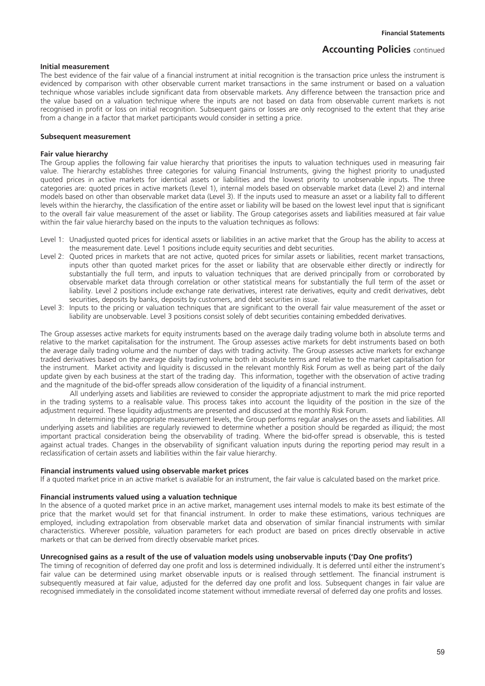### **Initial measurement**

The best evidence of the fair value of a financial instrument at initial recognition is the transaction price unless the instrument is evidenced by comparison with other observable current market transactions in the same instrument or based on a valuation technique whose variables include significant data from observable markets. Any difference between the transaction price and the value based on a valuation technique where the inputs are not based on data from observable current markets is not recognised in profit or loss on initial recognition. Subsequent gains or losses are only recognised to the extent that they arise from a change in a factor that market participants would consider in setting a price.

#### **Subsequent measurement**

#### **Fair value hierarchy**

The Group applies the following fair value hierarchy that prioritises the inputs to valuation techniques used in measuring fair value. The hierarchy establishes three categories for valuing Financial Instruments, giving the highest priority to unadjusted quoted prices in active markets for identical assets or liabilities and the lowest priority to unobservable inputs. The three categories are: quoted prices in active markets (Level 1), internal models based on observable market data (Level 2) and internal models based on other than observable market data (Level 3). If the inputs used to measure an asset or a liability fall to different levels within the hierarchy, the classification of the entire asset or liability will be based on the lowest level input that is significant to the overall fair value measurement of the asset or liability. The Group categorises assets and liabilities measured at fair value within the fair value hierarchy based on the inputs to the valuation techniques as follows:

- Level 1: Unadjusted quoted prices for identical assets or liabilities in an active market that the Group has the ability to access at the measurement date. Level 1 positions include equity securities and debt securities.
- Level 2: Quoted prices in markets that are not active, quoted prices for similar assets or liabilities, recent market transactions, inputs other than quoted market prices for the asset or liability that are observable either directly or indirectly for substantially the full term, and inputs to valuation techniques that are derived principally from or corroborated by observable market data through correlation or other statistical means for substantially the full term of the asset or liability. Level 2 positions include exchange rate derivatives, interest rate derivatives, equity and credit derivatives, debt securities, deposits by banks, deposits by customers, and debt securities in issue.
- Level 3: Inputs to the pricing or valuation techniques that are significant to the overall fair value measurement of the asset or liability are unobservable. Level 3 positions consist solely of debt securities containing embedded derivatives.

The Group assesses active markets for equity instruments based on the average daily trading volume both in absolute terms and relative to the market capitalisation for the instrument. The Group assesses active markets for debt instruments based on both the average daily trading volume and the number of days with trading activity. The Group assesses active markets for exchange traded derivatives based on the average daily trading volume both in absolute terms and relative to the market capitalisation for the instrument. Market activity and liquidity is discussed in the relevant monthly Risk Forum as well as being part of the daily update given by each business at the start of the trading day. This information, together with the observation of active trading and the magnitude of the bid-offer spreads allow consideration of the liquidity of a financial instrument.

All underlying assets and liabilities are reviewed to consider the appropriate adjustment to mark the mid price reported in the trading systems to a realisable value. This process takes into account the liquidity of the position in the size of the adjustment required. These liquidity adjustments are presented and discussed at the monthly Risk Forum.

In determining the appropriate measurement levels, the Group performs regular analyses on the assets and liabilities. All underlying assets and liabilities are regularly reviewed to determine whether a position should be regarded as illiquid; the most important practical consideration being the observability of trading. Where the bid-offer spread is observable, this is tested against actual trades. Changes in the observability of significant valuation inputs during the reporting period may result in a reclassification of certain assets and liabilities within the fair value hierarchy.

#### **Financial instruments valued using observable market prices**

If a quoted market price in an active market is available for an instrument, the fair value is calculated based on the market price.

#### **Financial instruments valued using a valuation technique**

In the absence of a quoted market price in an active market, management uses internal models to make its best estimate of the price that the market would set for that financial instrument. In order to make these estimations, various techniques are employed, including extrapolation from observable market data and observation of similar financial instruments with similar characteristics. Wherever possible, valuation parameters for each product are based on prices directly observable in active markets or that can be derived from directly observable market prices.

### **Unrecognised gains as a result of the use of valuation models using unobservable inputs ('Day One profits')**

The timing of recognition of deferred day one profit and loss is determined individually. It is deferred until either the instrument's fair value can be determined using market observable inputs or is realised through settlement. The financial instrument is subsequently measured at fair value, adjusted for the deferred day one profit and loss. Subsequent changes in fair value are recognised immediately in the consolidated income statement without immediate reversal of deferred day one profits and losses.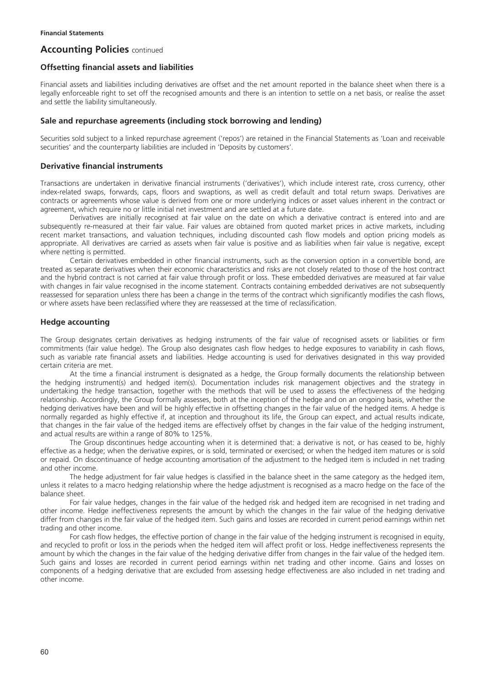### **Offsetting financial assets and liabilities**

Financial assets and liabilities including derivatives are offset and the net amount reported in the balance sheet when there is a legally enforceable right to set off the recognised amounts and there is an intention to settle on a net basis, or realise the asset and settle the liability simultaneously.

### **Sale and repurchase agreements (including stock borrowing and lending)**

Securities sold subject to a linked repurchase agreement ('repos') are retained in the Financial Statements as 'Loan and receivable securities' and the counterparty liabilities are included in 'Deposits by customers'.

## **Derivative financial instruments**

Transactions are undertaken in derivative financial instruments ('derivatives'), which include interest rate, cross currency, other index-related swaps, forwards, caps, floors and swaptions, as well as credit default and total return swaps. Derivatives are contracts or agreements whose value is derived from one or more underlying indices or asset values inherent in the contract or agreement, which require no or little initial net investment and are settled at a future date.

Derivatives are initially recognised at fair value on the date on which a derivative contract is entered into and are subsequently re-measured at their fair value. Fair values are obtained from quoted market prices in active markets, including recent market transactions, and valuation techniques, including discounted cash flow models and option pricing models as appropriate. All derivatives are carried as assets when fair value is positive and as liabilities when fair value is negative, except where netting is permitted.

Certain derivatives embedded in other financial instruments, such as the conversion option in a convertible bond, are treated as separate derivatives when their economic characteristics and risks are not closely related to those of the host contract and the hybrid contract is not carried at fair value through profit or loss. These embedded derivatives are measured at fair value with changes in fair value recognised in the income statement. Contracts containing embedded derivatives are not subsequently reassessed for separation unless there has been a change in the terms of the contract which significantly modifies the cash flows, or where assets have been reclassified where they are reassessed at the time of reclassification.

## **Hedge accounting**

The Group designates certain derivatives as hedging instruments of the fair value of recognised assets or liabilities or firm commitments (fair value hedge). The Group also designates cash flow hedges to hedge exposures to variability in cash flows, such as variable rate financial assets and liabilities. Hedge accounting is used for derivatives designated in this way provided certain criteria are met.

At the time a financial instrument is designated as a hedge, the Group formally documents the relationship between the hedging instrument(s) and hedged item(s). Documentation includes risk management objectives and the strategy in undertaking the hedge transaction, together with the methods that will be used to assess the effectiveness of the hedging relationship. Accordingly, the Group formally assesses, both at the inception of the hedge and on an ongoing basis, whether the hedging derivatives have been and will be highly effective in offsetting changes in the fair value of the hedged items. A hedge is normally regarded as highly effective if, at inception and throughout its life, the Group can expect, and actual results indicate, that changes in the fair value of the hedged items are effectively offset by changes in the fair value of the hedging instrument, and actual results are within a range of 80% to 125%.

The Group discontinues hedge accounting when it is determined that: a derivative is not, or has ceased to be, highly effective as a hedge; when the derivative expires, or is sold, terminated or exercised; or when the hedged item matures or is sold or repaid. On discontinuance of hedge accounting amortisation of the adjustment to the hedged item is included in net trading and other income.

The hedge adjustment for fair value hedges is classified in the balance sheet in the same category as the hedged item, unless it relates to a macro hedging relationship where the hedge adjustment is recognised as a macro hedge on the face of the balance sheet.

For fair value hedges, changes in the fair value of the hedged risk and hedged item are recognised in net trading and other income. Hedge ineffectiveness represents the amount by which the changes in the fair value of the hedging derivative differ from changes in the fair value of the hedged item. Such gains and losses are recorded in current period earnings within net trading and other income.

For cash flow hedges, the effective portion of change in the fair value of the hedging instrument is recognised in equity, and recycled to profit or loss in the periods when the hedged item will affect profit or loss. Hedge ineffectiveness represents the amount by which the changes in the fair value of the hedging derivative differ from changes in the fair value of the hedged item. Such gains and losses are recorded in current period earnings within net trading and other income. Gains and losses on components of a hedging derivative that are excluded from assessing hedge effectiveness are also included in net trading and other income.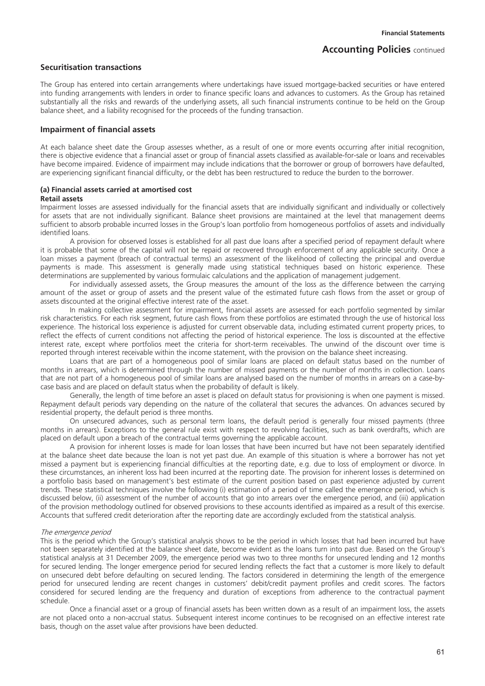### **Securitisation transactions**

The Group has entered into certain arrangements where undertakings have issued mortgage-backed securities or have entered into funding arrangements with lenders in order to finance specific loans and advances to customers. As the Group has retained substantially all the risks and rewards of the underlying assets, all such financial instruments continue to be held on the Group balance sheet, and a liability recognised for the proceeds of the funding transaction.

### **Impairment of financial assets**

At each balance sheet date the Group assesses whether, as a result of one or more events occurring after initial recognition, there is objective evidence that a financial asset or group of financial assets classified as available-for-sale or loans and receivables have become impaired. Evidence of impairment may include indications that the borrower or group of borrowers have defaulted, are experiencing significant financial difficulty, or the debt has been restructured to reduce the burden to the borrower.

# **(a) Financial assets carried at amortised cost**

**Retail assets** 

Impairment losses are assessed individually for the financial assets that are individually significant and individually or collectively for assets that are not individually significant. Balance sheet provisions are maintained at the level that management deems sufficient to absorb probable incurred losses in the Group's loan portfolio from homogeneous portfolios of assets and individually identified loans.

A provision for observed losses is established for all past due loans after a specified period of repayment default where it is probable that some of the capital will not be repaid or recovered through enforcement of any applicable security. Once a loan misses a payment (breach of contractual terms) an assessment of the likelihood of collecting the principal and overdue payments is made. This assessment is generally made using statistical techniques based on historic experience. These determinations are supplemented by various formulaic calculations and the application of management judgement.

For individually assessed assets, the Group measures the amount of the loss as the difference between the carrying amount of the asset or group of assets and the present value of the estimated future cash flows from the asset or group of assets discounted at the original effective interest rate of the asset.

In making collective assessment for impairment, financial assets are assessed for each portfolio segmented by similar risk characteristics. For each risk segment, future cash flows from these portfolios are estimated through the use of historical loss experience. The historical loss experience is adjusted for current observable data, including estimated current property prices, to reflect the effects of current conditions not affecting the period of historical experience. The loss is discounted at the effective interest rate, except where portfolios meet the criteria for short-term receivables. The unwind of the discount over time is reported through interest receivable within the income statement, with the provision on the balance sheet increasing.

Loans that are part of a homogeneous pool of similar loans are placed on default status based on the number of months in arrears, which is determined through the number of missed payments or the number of months in collection. Loans that are not part of a homogeneous pool of similar loans are analysed based on the number of months in arrears on a case-bycase basis and are placed on default status when the probability of default is likely.

Generally, the length of time before an asset is placed on default status for provisioning is when one payment is missed. Repayment default periods vary depending on the nature of the collateral that secures the advances. On advances secured by residential property, the default period is three months.

On unsecured advances, such as personal term loans, the default period is generally four missed payments (three months in arrears). Exceptions to the general rule exist with respect to revolving facilities, such as bank overdrafts, which are placed on default upon a breach of the contractual terms governing the applicable account.

A provision for inherent losses is made for loan losses that have been incurred but have not been separately identified at the balance sheet date because the loan is not yet past due. An example of this situation is where a borrower has not yet missed a payment but is experiencing financial difficulties at the reporting date, e.g. due to loss of employment or divorce. In these circumstances, an inherent loss had been incurred at the reporting date. The provision for inherent losses is determined on a portfolio basis based on management's best estimate of the current position based on past experience adjusted by current trends. These statistical techniques involve the following (i) estimation of a period of time called the emergence period, which is discussed below, (ii) assessment of the number of accounts that go into arrears over the emergence period, and (iii) application of the provision methodology outlined for observed provisions to these accounts identified as impaired as a result of this exercise. Accounts that suffered credit deterioration after the reporting date are accordingly excluded from the statistical analysis.

#### The emergence period

This is the period which the Group's statistical analysis shows to be the period in which losses that had been incurred but have not been separately identified at the balance sheet date, become evident as the loans turn into past due. Based on the Group's statistical analysis at 31 December 2009, the emergence period was two to three months for unsecured lending and 12 months for secured lending. The longer emergence period for secured lending reflects the fact that a customer is more likely to default on unsecured debt before defaulting on secured lending. The factors considered in determining the length of the emergence period for unsecured lending are recent changes in customers' debit/credit payment profiles and credit scores. The factors considered for secured lending are the frequency and duration of exceptions from adherence to the contractual payment schedule.

Once a financial asset or a group of financial assets has been written down as a result of an impairment loss, the assets are not placed onto a non-accrual status. Subsequent interest income continues to be recognised on an effective interest rate basis, though on the asset value after provisions have been deducted.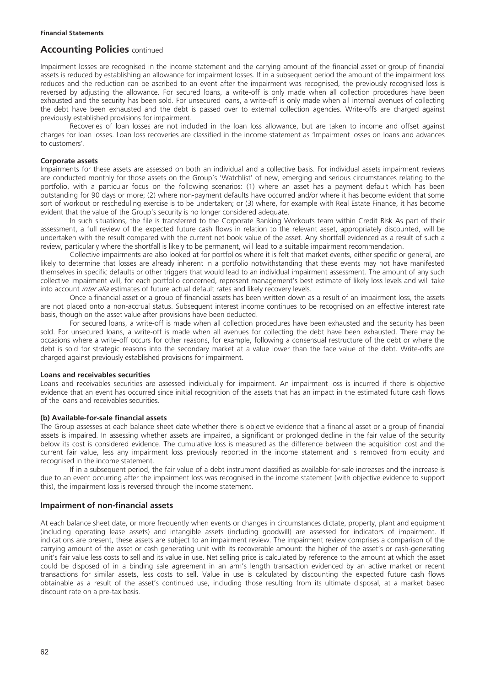Impairment losses are recognised in the income statement and the carrying amount of the financial asset or group of financial assets is reduced by establishing an allowance for impairment losses. If in a subsequent period the amount of the impairment loss reduces and the reduction can be ascribed to an event after the impairment was recognised, the previously recognised loss is reversed by adjusting the allowance. For secured loans, a write-off is only made when all collection procedures have been exhausted and the security has been sold. For unsecured loans, a write-off is only made when all internal avenues of collecting the debt have been exhausted and the debt is passed over to external collection agencies. Write-offs are charged against previously established provisions for impairment.

Recoveries of loan losses are not included in the loan loss allowance, but are taken to income and offset against charges for loan losses. Loan loss recoveries are classified in the income statement as 'Impairment losses on loans and advances to customers'.

#### **Corporate assets**

Impairments for these assets are assessed on both an individual and a collective basis. For individual assets impairment reviews are conducted monthly for those assets on the Group's 'Watchlist' of new, emerging and serious circumstances relating to the portfolio, with a particular focus on the following scenarios: (1) where an asset has a payment default which has been outstanding for 90 days or more; (2) where non-payment defaults have occurred and/or where it has become evident that some sort of workout or rescheduling exercise is to be undertaken; or (3) where, for example with Real Estate Finance, it has become evident that the value of the Group's security is no longer considered adequate.

In such situations, the file is transferred to the Corporate Banking Workouts team within Credit Risk As part of their assessment, a full review of the expected future cash flows in relation to the relevant asset, appropriately discounted, will be undertaken with the result compared with the current net book value of the asset. Any shortfall evidenced as a result of such a review, particularly where the shortfall is likely to be permanent, will lead to a suitable impairment recommendation.

Collective impairments are also looked at for portfolios where it is felt that market events, either specific or general, are likely to determine that losses are already inherent in a portfolio notwithstanding that these events may not have manifested themselves in specific defaults or other triggers that would lead to an individual impairment assessment. The amount of any such collective impairment will, for each portfolio concerned, represent management's best estimate of likely loss levels and will take into account inter alia estimates of future actual default rates and likely recovery levels.

Once a financial asset or a group of financial assets has been written down as a result of an impairment loss, the assets are not placed onto a non-accrual status. Subsequent interest income continues to be recognised on an effective interest rate basis, though on the asset value after provisions have been deducted.

For secured loans, a write-off is made when all collection procedures have been exhausted and the security has been sold. For unsecured loans, a write-off is made when all avenues for collecting the debt have been exhausted. There may be occasions where a write-off occurs for other reasons, for example, following a consensual restructure of the debt or where the debt is sold for strategic reasons into the secondary market at a value lower than the face value of the debt. Write-offs are charged against previously established provisions for impairment.

#### **Loans and receivables securities**

Loans and receivables securities are assessed individually for impairment. An impairment loss is incurred if there is objective evidence that an event has occurred since initial recognition of the assets that has an impact in the estimated future cash flows of the loans and receivables securities.

#### **(b) Available-for-sale financial assets**

The Group assesses at each balance sheet date whether there is objective evidence that a financial asset or a group of financial assets is impaired. In assessing whether assets are impaired, a significant or prolonged decline in the fair value of the security below its cost is considered evidence. The cumulative loss is measured as the difference between the acquisition cost and the current fair value, less any impairment loss previously reported in the income statement and is removed from equity and recognised in the income statement.

If in a subsequent period, the fair value of a debt instrument classified as available-for-sale increases and the increase is due to an event occurring after the impairment loss was recognised in the income statement (with objective evidence to support this), the impairment loss is reversed through the income statement.

### **Impairment of non-financial assets**

At each balance sheet date, or more frequently when events or changes in circumstances dictate, property, plant and equipment (including operating lease assets) and intangible assets (including goodwill) are assessed for indicators of impairment. If indications are present, these assets are subject to an impairment review. The impairment review comprises a comparison of the carrying amount of the asset or cash generating unit with its recoverable amount: the higher of the asset's or cash-generating unit's fair value less costs to sell and its value in use. Net selling price is calculated by reference to the amount at which the asset could be disposed of in a binding sale agreement in an arm's length transaction evidenced by an active market or recent transactions for similar assets, less costs to sell. Value in use is calculated by discounting the expected future cash flows obtainable as a result of the asset's continued use, including those resulting from its ultimate disposal, at a market based discount rate on a pre-tax basis.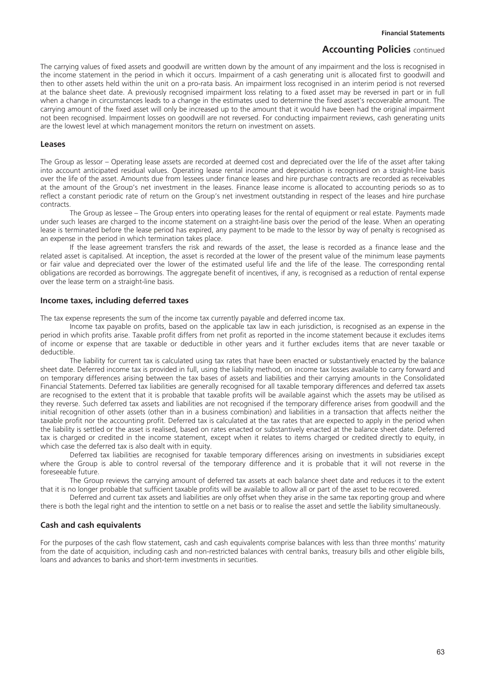The carrying values of fixed assets and goodwill are written down by the amount of any impairment and the loss is recognised in the income statement in the period in which it occurs. Impairment of a cash generating unit is allocated first to goodwill and then to other assets held within the unit on a pro-rata basis. An impairment loss recognised in an interim period is not reversed at the balance sheet date. A previously recognised impairment loss relating to a fixed asset may be reversed in part or in full when a change in circumstances leads to a change in the estimates used to determine the fixed asset's recoverable amount. The carrying amount of the fixed asset will only be increased up to the amount that it would have been had the original impairment not been recognised. Impairment losses on goodwill are not reversed. For conducting impairment reviews, cash generating units are the lowest level at which management monitors the return on investment on assets.

#### **Leases**

The Group as lessor – Operating lease assets are recorded at deemed cost and depreciated over the life of the asset after taking into account anticipated residual values. Operating lease rental income and depreciation is recognised on a straight-line basis over the life of the asset. Amounts due from lessees under finance leases and hire purchase contracts are recorded as receivables at the amount of the Group's net investment in the leases. Finance lease income is allocated to accounting periods so as to reflect a constant periodic rate of return on the Group's net investment outstanding in respect of the leases and hire purchase contracts.

The Group as lessee – The Group enters into operating leases for the rental of equipment or real estate. Payments made under such leases are charged to the income statement on a straight-line basis over the period of the lease. When an operating lease is terminated before the lease period has expired, any payment to be made to the lessor by way of penalty is recognised as an expense in the period in which termination takes place.

If the lease agreement transfers the risk and rewards of the asset, the lease is recorded as a finance lease and the related asset is capitalised. At inception, the asset is recorded at the lower of the present value of the minimum lease payments or fair value and depreciated over the lower of the estimated useful life and the life of the lease. The corresponding rental obligations are recorded as borrowings. The aggregate benefit of incentives, if any, is recognised as a reduction of rental expense over the lease term on a straight-line basis.

### **Income taxes, including deferred taxes**

The tax expense represents the sum of the income tax currently payable and deferred income tax.

Income tax payable on profits, based on the applicable tax law in each jurisdiction, is recognised as an expense in the period in which profits arise. Taxable profit differs from net profit as reported in the income statement because it excludes items of income or expense that are taxable or deductible in other years and it further excludes items that are never taxable or deductible.

The liability for current tax is calculated using tax rates that have been enacted or substantively enacted by the balance sheet date. Deferred income tax is provided in full, using the liability method, on income tax losses available to carry forward and on temporary differences arising between the tax bases of assets and liabilities and their carrying amounts in the Consolidated Financial Statements. Deferred tax liabilities are generally recognised for all taxable temporary differences and deferred tax assets are recognised to the extent that it is probable that taxable profits will be available against which the assets may be utilised as they reverse. Such deferred tax assets and liabilities are not recognised if the temporary difference arises from goodwill and the initial recognition of other assets (other than in a business combination) and liabilities in a transaction that affects neither the taxable profit nor the accounting profit. Deferred tax is calculated at the tax rates that are expected to apply in the period when the liability is settled or the asset is realised, based on rates enacted or substantively enacted at the balance sheet date. Deferred tax is charged or credited in the income statement, except when it relates to items charged or credited directly to equity, in which case the deferred tax is also dealt with in equity.

Deferred tax liabilities are recognised for taxable temporary differences arising on investments in subsidiaries except where the Group is able to control reversal of the temporary difference and it is probable that it will not reverse in the foreseeable future.

The Group reviews the carrying amount of deferred tax assets at each balance sheet date and reduces it to the extent that it is no longer probable that sufficient taxable profits will be available to allow all or part of the asset to be recovered.

Deferred and current tax assets and liabilities are only offset when they arise in the same tax reporting group and where there is both the legal right and the intention to settle on a net basis or to realise the asset and settle the liability simultaneously.

### **Cash and cash equivalents**

For the purposes of the cash flow statement, cash and cash equivalents comprise balances with less than three months' maturity from the date of acquisition, including cash and non-restricted balances with central banks, treasury bills and other eligible bills, loans and advances to banks and short-term investments in securities.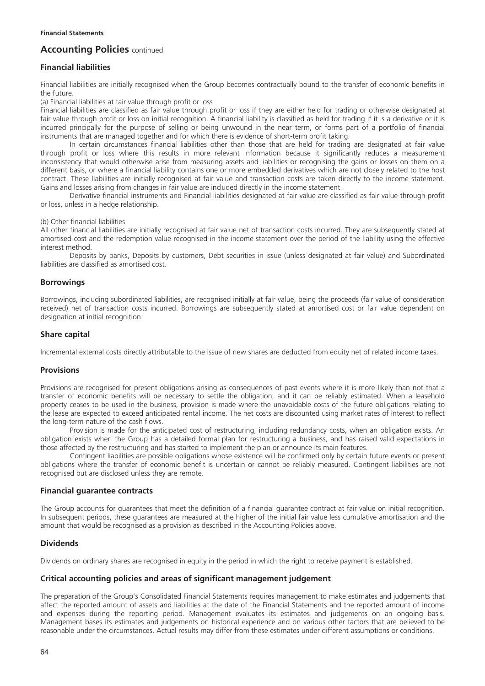# **Financial liabilities**

Financial liabilities are initially recognised when the Group becomes contractually bound to the transfer of economic benefits in the future.

(a) Financial liabilities at fair value through profit or loss

Financial liabilities are classified as fair value through profit or loss if they are either held for trading or otherwise designated at fair value through profit or loss on initial recognition. A financial liability is classified as held for trading if it is a derivative or it is incurred principally for the purpose of selling or being unwound in the near term, or forms part of a portfolio of financial instruments that are managed together and for which there is evidence of short-term profit taking.

In certain circumstances financial liabilities other than those that are held for trading are designated at fair value through profit or loss where this results in more relevant information because it significantly reduces a measurement inconsistency that would otherwise arise from measuring assets and liabilities or recognising the gains or losses on them on a different basis, or where a financial liability contains one or more embedded derivatives which are not closely related to the host contract. These liabilities are initially recognised at fair value and transaction costs are taken directly to the income statement. Gains and losses arising from changes in fair value are included directly in the income statement.

Derivative financial instruments and Financial liabilities designated at fair value are classified as fair value through profit or loss, unless in a hedge relationship.

(b) Other financial liabilities

All other financial liabilities are initially recognised at fair value net of transaction costs incurred. They are subsequently stated at amortised cost and the redemption value recognised in the income statement over the period of the liability using the effective interest method.

Deposits by banks, Deposits by customers, Debt securities in issue (unless designated at fair value) and Subordinated liabilities are classified as amortised cost.

### **Borrowings**

Borrowings, including subordinated liabilities, are recognised initially at fair value, being the proceeds (fair value of consideration received) net of transaction costs incurred. Borrowings are subsequently stated at amortised cost or fair value dependent on designation at initial recognition.

# **Share capital**

Incremental external costs directly attributable to the issue of new shares are deducted from equity net of related income taxes.

### **Provisions**

Provisions are recognised for present obligations arising as consequences of past events where it is more likely than not that a transfer of economic benefits will be necessary to settle the obligation, and it can be reliably estimated. When a leasehold property ceases to be used in the business, provision is made where the unavoidable costs of the future obligations relating to the lease are expected to exceed anticipated rental income. The net costs are discounted using market rates of interest to reflect the long-term nature of the cash flows.

Provision is made for the anticipated cost of restructuring, including redundancy costs, when an obligation exists. An obligation exists when the Group has a detailed formal plan for restructuring a business, and has raised valid expectations in those affected by the restructuring and has started to implement the plan or announce its main features.

Contingent liabilities are possible obligations whose existence will be confirmed only by certain future events or present obligations where the transfer of economic benefit is uncertain or cannot be reliably measured. Contingent liabilities are not recognised but are disclosed unless they are remote.

### **Financial guarantee contracts**

The Group accounts for guarantees that meet the definition of a financial guarantee contract at fair value on initial recognition. In subsequent periods, these guarantees are measured at the higher of the initial fair value less cumulative amortisation and the amount that would be recognised as a provision as described in the Accounting Policies above.

### **Dividends**

Dividends on ordinary shares are recognised in equity in the period in which the right to receive payment is established.

### **Critical accounting policies and areas of significant management judgement**

The preparation of the Group's Consolidated Financial Statements requires management to make estimates and judgements that affect the reported amount of assets and liabilities at the date of the Financial Statements and the reported amount of income and expenses during the reporting period. Management evaluates its estimates and judgements on an ongoing basis. Management bases its estimates and judgements on historical experience and on various other factors that are believed to be reasonable under the circumstances. Actual results may differ from these estimates under different assumptions or conditions.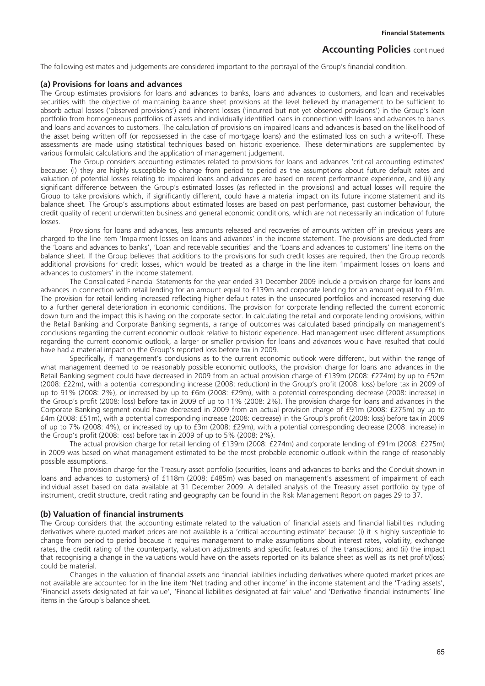The following estimates and judgements are considered important to the portrayal of the Group's financial condition.

#### **(a) Provisions for loans and advances**

The Group estimates provisions for loans and advances to banks, loans and advances to customers, and loan and receivables securities with the objective of maintaining balance sheet provisions at the level believed by management to be sufficient to absorb actual losses ('observed provisions') and inherent losses ('incurred but not yet observed provisions') in the Group's loan portfolio from homogeneous portfolios of assets and individually identified loans in connection with loans and advances to banks and loans and advances to customers. The calculation of provisions on impaired loans and advances is based on the likelihood of the asset being written off (or repossessed in the case of mortgage loans) and the estimated loss on such a write-off. These assessments are made using statistical techniques based on historic experience. These determinations are supplemented by various formulaic calculations and the application of management judgement.

The Group considers accounting estimates related to provisions for loans and advances 'critical accounting estimates' because: (i) they are highly susceptible to change from period to period as the assumptions about future default rates and valuation of potential losses relating to impaired loans and advances are based on recent performance experience, and (ii) any significant difference between the Group's estimated losses (as reflected in the provisions) and actual losses will require the Group to take provisions which, if significantly different, could have a material impact on its future income statement and its balance sheet. The Group's assumptions about estimated losses are based on past performance, past customer behaviour, the credit quality of recent underwritten business and general economic conditions, which are not necessarily an indication of future losses.

Provisions for loans and advances, less amounts released and recoveries of amounts written off in previous years are charged to the line item 'Impairment losses on loans and advances' in the income statement. The provisions are deducted from the 'Loans and advances to banks', 'Loan and receivable securities' and the 'Loans and advances to customers' line items on the balance sheet. If the Group believes that additions to the provisions for such credit losses are required, then the Group records additional provisions for credit losses, which would be treated as a charge in the line item 'Impairment losses on loans and advances to customers' in the income statement.

The Consolidated Financial Statements for the year ended 31 December 2009 include a provision charge for loans and advances in connection with retail lending for an amount equal to £139m and corporate lending for an amount equal to £91m. The provision for retail lending increased reflecting higher default rates in the unsecured portfolios and increased reserving due to a further general deterioration in economic conditions. The provision for corporate lending reflected the current economic down turn and the impact this is having on the corporate sector. In calculating the retail and corporate lending provisions, within the Retail Banking and Corporate Banking segments, a range of outcomes was calculated based principally on management's conclusions regarding the current economic outlook relative to historic experience. Had management used different assumptions regarding the current economic outlook, a larger or smaller provision for loans and advances would have resulted that could have had a material impact on the Group's reported loss before tax in 2009.

Specifically, if management's conclusions as to the current economic outlook were different, but within the range of what management deemed to be reasonably possible economic outlooks, the provision charge for loans and advances in the Retail Banking segment could have decreased in 2009 from an actual provision charge of £139m (2008: £274m) by up to £52m (2008: £22m), with a potential corresponding increase (2008: reduction) in the Group's profit (2008: loss) before tax in 2009 of up to 91% (2008: 2%), or increased by up to £6m (2008: £29m), with a potential corresponding decrease (2008: increase) in the Group's profit (2008: loss) before tax in 2009 of up to 11% (2008: 2%). The provision charge for loans and advances in the Corporate Banking segment could have decreased in 2009 from an actual provision charge of £91m (2008: £275m) by up to £4m (2008: £51m), with a potential corresponding increase (2008: decrease) in the Group's profit (2008: loss) before tax in 2009 of up to 7% (2008: 4%), or increased by up to £3m (2008: £29m), with a potential corresponding decrease (2008: increase) in the Group's profit (2008: loss) before tax in 2009 of up to 5% (2008: 2%).

The actual provision charge for retail lending of £139m (2008: £274m) and corporate lending of £91m (2008: £275m) in 2009 was based on what management estimated to be the most probable economic outlook within the range of reasonably possible assumptions.

The provision charge for the Treasury asset portfolio (securities, loans and advances to banks and the Conduit shown in loans and advances to customers) of £118m (2008: £485m) was based on management's assessment of impairment of each individual asset based on data available at 31 December 2009. A detailed analysis of the Treasury asset portfolio by type of instrument, credit structure, credit rating and geography can be found in the Risk Management Report on pages 29 to 37.

### **(b) Valuation of financial instruments**

The Group considers that the accounting estimate related to the valuation of financial assets and financial liabilities including derivatives where quoted market prices are not available is a 'critical accounting estimate' because: (i) it is highly susceptible to change from period to period because it requires management to make assumptions about interest rates, volatility, exchange rates, the credit rating of the counterparty, valuation adjustments and specific features of the transactions; and (ii) the impact that recognising a change in the valuations would have on the assets reported on its balance sheet as well as its net profit/(loss) could be material.

Changes in the valuation of financial assets and financial liabilities including derivatives where quoted market prices are not available are accounted for in the line item 'Net trading and other income' in the income statement and the 'Trading assets', 'Financial assets designated at fair value', 'Financial liabilities designated at fair value' and 'Derivative financial instruments' line items in the Group's balance sheet.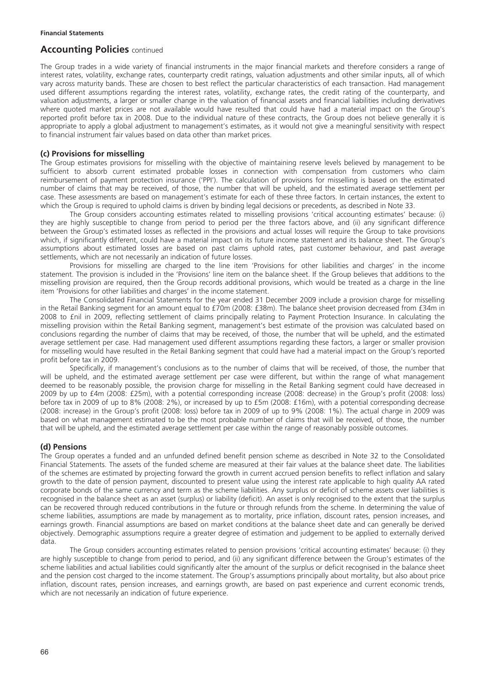The Group trades in a wide variety of financial instruments in the major financial markets and therefore considers a range of interest rates, volatility, exchange rates, counterparty credit ratings, valuation adjustments and other similar inputs, all of which vary across maturity bands. These are chosen to best reflect the particular characteristics of each transaction. Had management used different assumptions regarding the interest rates, volatility, exchange rates, the credit rating of the counterparty, and valuation adjustments, a larger or smaller change in the valuation of financial assets and financial liabilities including derivatives where quoted market prices are not available would have resulted that could have had a material impact on the Group's reported profit before tax in 2008. Due to the individual nature of these contracts, the Group does not believe generally it is appropriate to apply a global adjustment to management's estimates, as it would not give a meaningful sensitivity with respect to financial instrument fair values based on data other than market prices.

## **(c) Provisions for misselling**

The Group estimates provisions for misselling with the objective of maintaining reserve levels believed by management to be sufficient to absorb current estimated probable losses in connection with compensation from customers who claim reimbursement of payment protection insurance ('PPI'). The calculation of provisions for misselling is based on the estimated number of claims that may be received, of those, the number that will be upheld, and the estimated average settlement per case. These assessments are based on management's estimate for each of these three factors. In certain instances, the extent to which the Group is required to uphold claims is driven by binding legal decisions or precedents, as described in Note 33.

The Group considers accounting estimates related to misselling provisions 'critical accounting estimates' because: (i) they are highly susceptible to change from period to period per the three factors above, and (ii) any significant difference between the Group's estimated losses as reflected in the provisions and actual losses will require the Group to take provisions which, if significantly different, could have a material impact on its future income statement and its balance sheet. The Group's assumptions about estimated losses are based on past claims uphold rates, past customer behaviour, and past average settlements, which are not necessarily an indication of future losses.

Provisions for misselling are charged to the line item 'Provisions for other liabilities and charges' in the income statement. The provision is included in the 'Provisions' line item on the balance sheet. If the Group believes that additions to the misselling provision are required, then the Group records additional provisions, which would be treated as a charge in the line item 'Provisions for other liabilities and charges' in the income statement.

The Consolidated Financial Statements for the year ended 31 December 2009 include a provision charge for misselling in the Retail Banking segment for an amount equal to £70m (2008: £38m). The balance sheet provision decreased from £34m in 2008 to £nil in 2009, reflecting settlement of claims principally relating to Payment Protection Insurance. In calculating the misselling provision within the Retail Banking segment, management's best estimate of the provision was calculated based on conclusions regarding the number of claims that may be received, of those, the number that will be upheld, and the estimated average settlement per case. Had management used different assumptions regarding these factors, a larger or smaller provision for misselling would have resulted in the Retail Banking segment that could have had a material impact on the Group's reported profit before tax in 2009.

Specifically, if management's conclusions as to the number of claims that will be received, of those, the number that will be upheld, and the estimated average settlement per case were different, but within the range of what management deemed to be reasonably possible, the provision charge for misselling in the Retail Banking segment could have decreased in 2009 by up to £4m (2008: £25m), with a potential corresponding increase (2008: decrease) in the Group's profit (2008: loss) before tax in 2009 of up to 8% (2008: 2%), or increased by up to £5m (2008: £16m), with a potential corresponding decrease (2008: increase) in the Group's profit (2008: loss) before tax in 2009 of up to 9% (2008: 1%). The actual charge in 2009 was based on what management estimated to be the most probable number of claims that will be received, of those, the number that will be upheld, and the estimated average settlement per case within the range of reasonably possible outcomes.

### **(d) Pensions**

The Group operates a funded and an unfunded defined benefit pension scheme as described in Note 32 to the Consolidated Financial Statements. The assets of the funded scheme are measured at their fair values at the balance sheet date. The liabilities of the schemes are estimated by projecting forward the growth in current accrued pension benefits to reflect inflation and salary growth to the date of pension payment, discounted to present value using the interest rate applicable to high quality AA rated corporate bonds of the same currency and term as the scheme liabilities. Any surplus or deficit of scheme assets over liabilities is recognised in the balance sheet as an asset (surplus) or liability (deficit). An asset is only recognised to the extent that the surplus can be recovered through reduced contributions in the future or through refunds from the scheme. In determining the value of scheme liabilities, assumptions are made by management as to mortality, price inflation, discount rates, pension increases, and earnings growth. Financial assumptions are based on market conditions at the balance sheet date and can generally be derived objectively. Demographic assumptions require a greater degree of estimation and judgement to be applied to externally derived data.

The Group considers accounting estimates related to pension provisions 'critical accounting estimates' because: (i) they are highly susceptible to change from period to period, and (ii) any significant difference between the Group's estimates of the scheme liabilities and actual liabilities could significantly alter the amount of the surplus or deficit recognised in the balance sheet and the pension cost charged to the income statement. The Group's assumptions principally about mortality, but also about price inflation, discount rates, pension increases, and earnings growth, are based on past experience and current economic trends, which are not necessarily an indication of future experience.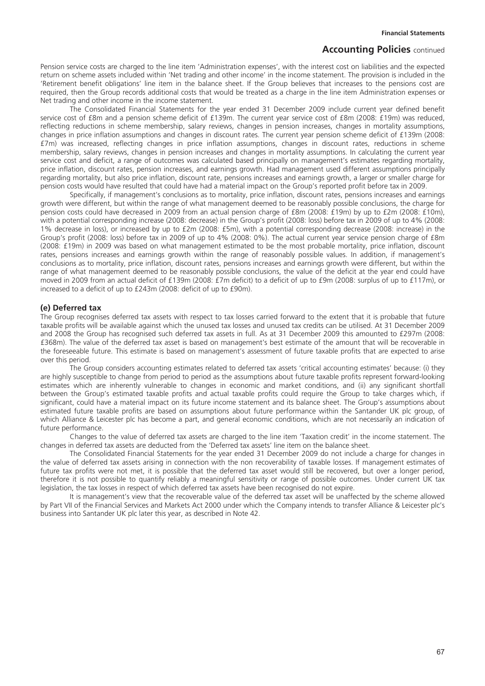Pension service costs are charged to the line item 'Administration expenses', with the interest cost on liabilities and the expected return on scheme assets included within 'Net trading and other income' in the income statement. The provision is included in the 'Retirement benefit obligations' line item in the balance sheet. If the Group believes that increases to the pensions cost are required, then the Group records additional costs that would be treated as a charge in the line item Administration expenses or Net trading and other income in the income statement.

The Consolidated Financial Statements for the year ended 31 December 2009 include current year defined benefit service cost of £8m and a pension scheme deficit of £139m. The current year service cost of £8m (2008: £19m) was reduced, reflecting reductions in scheme membership, salary reviews, changes in pension increases, changes in mortality assumptions, changes in price inflation assumptions and changes in discount rates. The current year pension scheme deficit of £139m (2008: £7m) was increased, reflecting changes in price inflation assumptions, changes in discount rates, reductions in scheme membership, salary reviews, changes in pension increases and changes in mortality assumptions. In calculating the current year service cost and deficit, a range of outcomes was calculated based principally on management's estimates regarding mortality, price inflation, discount rates, pension increases, and earnings growth. Had management used different assumptions principally regarding mortality, but also price inflation, discount rate, pensions increases and earnings growth, a larger or smaller charge for pension costs would have resulted that could have had a material impact on the Group's reported profit before tax in 2009.

Specifically, if management's conclusions as to mortality, price inflation, discount rates, pensions increases and earnings growth were different, but within the range of what management deemed to be reasonably possible conclusions, the charge for pension costs could have decreased in 2009 from an actual pension charge of £8m (2008: £19m) by up to £2m (2008: £10m), with a potential corresponding increase (2008: decrease) in the Group's profit (2008: loss) before tax in 2009 of up to 4% (2008: 1% decrease in loss), or increased by up to £2m (2008: £5m), with a potential corresponding decrease (2008: increase) in the Group's profit (2008: loss) before tax in 2009 of up to 4% (2008: 0%). The actual current year service pension charge of £8m (2008: £19m) in 2009 was based on what management estimated to be the most probable mortality, price inflation, discount rates, pensions increases and earnings growth within the range of reasonably possible values. In addition, if management's conclusions as to mortality, price inflation, discount rates, pensions increases and earnings growth were different, but within the range of what management deemed to be reasonably possible conclusions, the value of the deficit at the year end could have moved in 2009 from an actual deficit of £139m (2008: £7m deficit) to a deficit of up to £9m (2008: surplus of up to £117m), or increased to a deficit of up to £243m (2008: deficit of up to £90m).

#### **(e) Deferred tax**

The Group recognises deferred tax assets with respect to tax losses carried forward to the extent that it is probable that future taxable profits will be available against which the unused tax losses and unused tax credits can be utilised. At 31 December 2009 and 2008 the Group has recognised such deferred tax assets in full. As at 31 December 2009 this amounted to £297m (2008: £368m). The value of the deferred tax asset is based on management's best estimate of the amount that will be recoverable in the foreseeable future. This estimate is based on management's assessment of future taxable profits that are expected to arise over this period.

The Group considers accounting estimates related to deferred tax assets 'critical accounting estimates' because: (i) they are highly susceptible to change from period to period as the assumptions about future taxable profits represent forward-looking estimates which are inherently vulnerable to changes in economic and market conditions, and (ii) any significant shortfall between the Group's estimated taxable profits and actual taxable profits could require the Group to take charges which, if significant, could have a material impact on its future income statement and its balance sheet. The Group's assumptions about estimated future taxable profits are based on assumptions about future performance within the Santander UK plc group, of which Alliance & Leicester plc has become a part, and general economic conditions, which are not necessarily an indication of future performance.

Changes to the value of deferred tax assets are charged to the line item 'Taxation credit' in the income statement. The changes in deferred tax assets are deducted from the 'Deferred tax assets' line item on the balance sheet.

The Consolidated Financial Statements for the year ended 31 December 2009 do not include a charge for changes in the value of deferred tax assets arising in connection with the non recoverability of taxable losses. If management estimates of future tax profits were not met, it is possible that the deferred tax asset would still be recovered, but over a longer period, therefore it is not possible to quantify reliably a meaningful sensitivity or range of possible outcomes. Under current UK tax legislation, the tax losses in respect of which deferred tax assets have been recognised do not expire.

It is management's view that the recoverable value of the deferred tax asset will be unaffected by the scheme allowed by Part VII of the Financial Services and Markets Act 2000 under which the Company intends to transfer Alliance & Leicester plc's business into Santander UK plc later this year, as described in Note 42.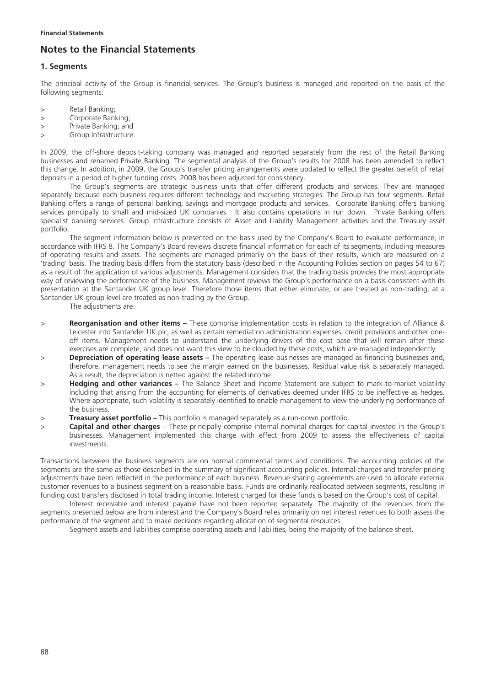# **Notes to the Financial Statements**

## **1. Segments**

The principal activity of the Group is financial services. The Group's business is managed and reported on the basis of the following segments:

- > Retail Banking;
- > Corporate Banking;
- > Private Banking; and
- > Group Infrastructure.

In 2009, the off-shore deposit-taking company was managed and reported separately from the rest of the Retail Banking businesses and renamed Private Banking. The segmental analysis of the Group's results for 2008 has been amended to reflect this change. In addition, in 2009, the Group's transfer pricing arrangements were updated to reflect the greater benefit of retail deposits in a period of higher funding costs. 2008 has been adjusted for consistency.

The Group's segments are strategic business units that offer different products and services. They are managed separately because each business requires different technology and marketing strategies. The Group has four segments. Retail Banking offers a range of personal banking, savings and mortgage products and services. Corporate Banking offers banking services principally to small and mid-sized UK companies. It also contains operations in run down. Private Banking offers specialist banking services. Group Infrastructure consists of Asset and Liability Management activities and the Treasury asset portfolio.

The segment information below is presented on the basis used by the Company's Board to evaluate performance, in accordance with IFRS 8. The Company's Board reviews discrete financial information for each of its segments, including measures of operating results and assets. The segments are managed primarily on the basis of their results, which are measured on a 'trading' basis. The trading basis differs from the statutory basis (described in the Accounting Policies section on pages 54 to 67) as a result of the application of various adjustments. Management considers that the trading basis provides the most appropriate way of reviewing the performance of the business. Management reviews the Group's performance on a basis consistent with its presentation at the Santander UK group level. Therefore those items that either eliminate, or are treated as non-trading, at a Santander UK group level are treated as non-trading by the Group.

The adjustments are:

- > **Reorganisation and other items** These comprise implementation costs in relation to the integration of Alliance & Leicester into Santander UK plc, as well as certain remediation administration expenses, credit provisions and other oneoff items. Management needs to understand the underlying drivers of the cost base that will remain after these exercises are complete, and does not want this view to be clouded by these costs, which are managed independently.
- > **Depreciation of operating lease assets** The operating lease businesses are managed as financing businesses and, therefore, management needs to see the margin earned on the businesses. Residual value risk is separately managed. As a result, the depreciation is netted against the related income.
- > **Hedging and other variances** The Balance Sheet and Income Statement are subject to mark-to-market volatility including that arising from the accounting for elements of derivatives deemed under IFRS to be ineffective as hedges. Where appropriate, such volatility is separately identified to enable management to view the underlying performance of the business.
- > **Treasury asset portfolio –** This portfolio is managed separately as a run-down portfolio.
- > **Capital and other charges** These principally comprise internal nominal charges for capital invested in the Group's businesses. Management implemented this charge with effect from 2009 to assess the effectiveness of capital investments.

Transactions between the business segments are on normal commercial terms and conditions. The accounting policies of the segments are the same as those described in the summary of significant accounting policies. Internal charges and transfer pricing adjustments have been reflected in the performance of each business. Revenue sharing agreements are used to allocate external customer revenues to a business segment on a reasonable basis. Funds are ordinarily reallocated between segments, resulting in funding cost transfers disclosed in total trading income. Interest charged for these funds is based on the Group's cost of capital.

Interest receivable and interest payable have not been reported separately. The majority of the revenues from the segments presented below are from interest and the Company's Board relies primarily on net interest revenues to both assess the performance of the segment and to make decisions regarding allocation of segmental resources.

Segment assets and liabilities comprise operating assets and liabilities, being the majority of the balance sheet.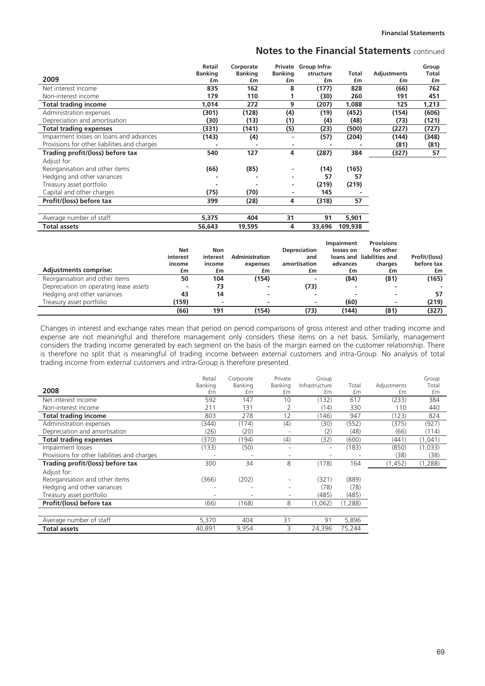|                                              | Retail         | Corporate      |                | Private Group Infra- |         |                    | Group        |
|----------------------------------------------|----------------|----------------|----------------|----------------------|---------|--------------------|--------------|
|                                              | <b>Banking</b> | <b>Banking</b> | <b>Banking</b> | structure            | Total   | <b>Adjustments</b> | <b>Total</b> |
| 2009                                         | £m             | £m             | £m             | £m                   | £m      | £m                 | £m           |
| Net interest income                          | 835            | 162            | 8              | (177)                | 828     | (66)               | 762          |
| Non-interest income                          | 179            | 110            |                | (30)                 | 260     | 191                | 451          |
| <b>Total trading income</b>                  | 1,014          | 272            | 9              | (207)                | 1,088   | 125                | 1,213        |
| Administration expenses                      | (301)          | (128)          | (4)            | (19)                 | (452)   | (154)              | (606)        |
| Depreciation and amortisation                | (30)           | (13)           | (1)            | (4)                  | (48)    | (73)               | (121)        |
| <b>Total trading expenses</b>                | (331)          | (141)          | (5)            | (23)                 | (500)   | (227)              | (727)        |
| Impairment losses on loans and advances      | (143)          | (4)            |                | (57)                 | (204)   | (144)              | (348)        |
| Provisions for other liabilities and charges | ٠              |                |                |                      |         | (81)               | (81)         |
| Trading profit/(loss) before tax             | 540            | 127            | 4              | (287)                | 384     | (327)              | 57           |
| Adjust for:                                  |                |                |                |                      |         |                    |              |
| Reorganisation and other items               | (66)           | (85)           |                | (14)                 | (165)   |                    |              |
| Hedging and other variances                  |                |                |                | 57                   | 57      |                    |              |
| Treasury asset portfolio                     | -              |                | ۰              | (219)                | (219)   |                    |              |
| Capital and other charges                    | (75)           | (70)           |                | 145                  |         |                    |              |
| Profit/(loss) before tax                     | 399            | (28)           | 4              | (318)                | 57      |                    |              |
|                                              |                |                |                |                      |         |                    |              |
| Average number of staff                      | 5,375          | 404            | 31             | 91                   | 5,901   |                    |              |
| <b>Total assets</b>                          | 56,643         | 19,595         | 4              | 33,696               | 109,938 |                    |              |

| <b>Adjustments comprise:</b>           | Net<br>interest<br>income<br>£m | Non<br>interest<br>income<br>£m | <b>Administration</b><br>expenses<br>£m | <b>Depreciation</b><br>and<br>amortisation | <b>Impairment</b><br>losses on<br>advances<br>£m | <b>Provisions</b><br>for other<br>loans and liabilities and<br>charges<br>£m | Profit/(loss)<br>before tax |
|----------------------------------------|---------------------------------|---------------------------------|-----------------------------------------|--------------------------------------------|--------------------------------------------------|------------------------------------------------------------------------------|-----------------------------|
|                                        |                                 |                                 |                                         | £m                                         |                                                  |                                                                              | £m                          |
| Reorganisation and other items         | 50                              | 104                             | (154)                                   |                                            | (84)                                             | (81)                                                                         | (165)                       |
| Depreciation on operating lease assets |                                 | 73                              |                                         | (73)                                       |                                                  |                                                                              |                             |
| Hedging and other variances            | 43                              | 14                              |                                         |                                            |                                                  | $\overline{\phantom{a}}$                                                     | 57                          |
| Treasury asset portfolio               | (159)                           |                                 |                                         |                                            | (60)                                             | $\overline{\phantom{a}}$                                                     | (219)                       |
|                                        | (66)                            | 191                             | (154)                                   | (73)                                       | (144)                                            | (81)                                                                         | (327)                       |

Changes in interest and exchange rates mean that period on period comparisons of gross interest and other trading income and expense are not meaningful and therefore management only considers these items on a net basis. Similarly, management considers the trading income generated by each segment on the basis of the margin earned on the customer relationship. There is therefore no split that is meaningful of trading income between external customers and intra-Group. No analysis of total trading income from external customers and intra-Group is therefore presented.

|                                              | Retail  | Corporate | Private                  | Group                    |         |             | Group   |
|----------------------------------------------|---------|-----------|--------------------------|--------------------------|---------|-------------|---------|
|                                              | Banking | Banking   | Banking                  | Infrastructure           | Total   | Adjustments | Total   |
| 2008                                         | £m      | £m        | £m                       | £m                       | £m      | £m          | £m      |
| Net interest income                          | 592     | 147       | 10                       | (132)                    | 617     | (233)       | 384     |
| Non-interest income                          | 211     | 131       |                          | (14)                     | 330     | 110         | 440     |
| <b>Total trading income</b>                  | 803     | 278       | 12                       | (146)                    | 947     | (123)       | 824     |
| Administration expenses                      | (344)   | (174)     | (4)                      | (30)                     | (552)   | (375)       | (927)   |
| Depreciation and amortisation                | (26)    | (20)      |                          | (2)                      | (48)    | (66)        | (114)   |
| <b>Total trading expenses</b>                | (370)   | (194)     | (4)                      | (32)                     | (600)   | (441)       | (1,041) |
| Impairment losses                            | (133)   | (50)      |                          | $\overline{\phantom{a}}$ | (183)   | (850)       | (1,033) |
| Provisions for other liabilities and charges |         |           |                          |                          |         | (38)        | (38)    |
| Trading profit/(loss) before tax             | 300     | 34        | 8                        | (178)                    | 164     | (1,452)     | (1,288) |
| Adjust for:                                  |         |           |                          |                          |         |             |         |
| Reorganisation and other items               | (366)   | (202)     |                          | (321)                    | (889)   |             |         |
| Hedging and other variances                  |         |           |                          | (78)                     | (78)    |             |         |
| Treasury asset portfolio                     |         |           | $\overline{\phantom{a}}$ | (485)                    | (485)   |             |         |
| Profit/(loss) before tax                     | (66)    | (168)     | 8                        | (1,062)                  | (1,288) |             |         |
|                                              |         |           |                          |                          |         |             |         |
| Average number of staff                      | 5,370   | 404       | 31                       | 91                       | 5,896   |             |         |
| <b>Total assets</b>                          | 40,891  | 9,954     | 3                        | 24,396                   | 75,244  |             |         |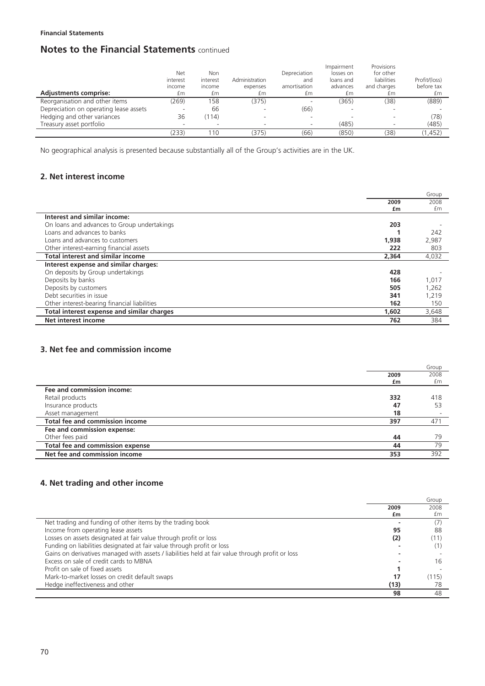| <b>Adjustments comprise:</b>           | Net<br>interest<br>income<br>£m | Non<br>interest<br>income<br>£m | Administration<br>expenses<br>£m | Depreciation<br>and<br>amortisation<br>£m | Impairment<br>losses on<br>loans and<br>advances<br>£m | Provisions<br>for other<br>liabilities<br>and charges<br>£m | Profit/(loss)<br>before tax<br>£m |
|----------------------------------------|---------------------------------|---------------------------------|----------------------------------|-------------------------------------------|--------------------------------------------------------|-------------------------------------------------------------|-----------------------------------|
| Reorganisation and other items         | (269)                           | 158                             | (375)                            |                                           | (365)                                                  | (38)                                                        | (889)                             |
| Depreciation on operating lease assets |                                 | 66                              |                                  | (66)                                      |                                                        |                                                             |                                   |
| Hedging and other variances            | 36                              | (114)                           | ۰                                |                                           |                                                        |                                                             | (78)                              |
| Treasury asset portfolio               |                                 |                                 |                                  |                                           | (485)                                                  |                                                             | (485)                             |
|                                        | 233)                            | 110                             | (375)                            | (66)                                      | (850)                                                  | (38)                                                        | (1, 452)                          |

No geographical analysis is presented because substantially all of the Group's activities are in the UK.

# **2. Net interest income**

|                                              |       | Group |
|----------------------------------------------|-------|-------|
|                                              | 2009  | 2008  |
|                                              | £m    | £m    |
| Interest and similar income:                 |       |       |
| On loans and advances to Group undertakings  | 203   |       |
| Loans and advances to banks                  |       | 242   |
| Loans and advances to customers              | 1,938 | 2,987 |
| Other interest-earning financial assets      | 222   | 803   |
| <b>Total interest and similar income</b>     | 2,364 | 4,032 |
| Interest expense and similar charges:        |       |       |
| On deposits by Group undertakings            | 428   |       |
| Deposits by banks                            | 166   | 1,017 |
| Deposits by customers                        | 505   | 1,262 |
| Debt securities in issue                     | 341   | 1,219 |
| Other interest-bearing financial liabilities | 162   | 150   |
| Total interest expense and similar charges   | 1,602 | 3,648 |
| <b>Net interest income</b>                   | 762   | 384   |

# **3. Net fee and commission income**

|                                         |      | Group |
|-----------------------------------------|------|-------|
|                                         | 2009 | 2008  |
|                                         | £m   | £m    |
| Fee and commission income:              |      |       |
| Retail products                         | 332  | 418   |
| Insurance products                      | 47   | 53    |
| Asset management                        | 18   |       |
| Total fee and commission income         | 397  | 471   |
| Fee and commission expense:             |      |       |
| Other fees paid                         | 44   | 79    |
| <b>Total fee and commission expense</b> | 44   | 79    |
| Net fee and commission income           | 353  | 392   |
|                                         |      |       |

# **4. Net trading and other income**

|                                                                                                  |      | Group |
|--------------------------------------------------------------------------------------------------|------|-------|
|                                                                                                  | 2009 | 2008  |
|                                                                                                  | £m   | fm    |
| Net trading and funding of other items by the trading book                                       |      |       |
| Income from operating lease assets                                                               | 95   | 88    |
| Losses on assets designated at fair value through profit or loss                                 | (2)  |       |
| Funding on liabilities designated at fair value through profit or loss                           |      |       |
| Gains on derivatives managed with assets / liabilities held at fair value through profit or loss |      |       |
| Excess on sale of credit cards to MBNA                                                           |      | 16    |
| Profit on sale of fixed assets                                                                   |      |       |
| Mark-to-market losses on credit default swaps                                                    | 17   | (115) |
| Hedge ineffectiveness and other                                                                  | (13) | 78    |
|                                                                                                  | 98   | 48    |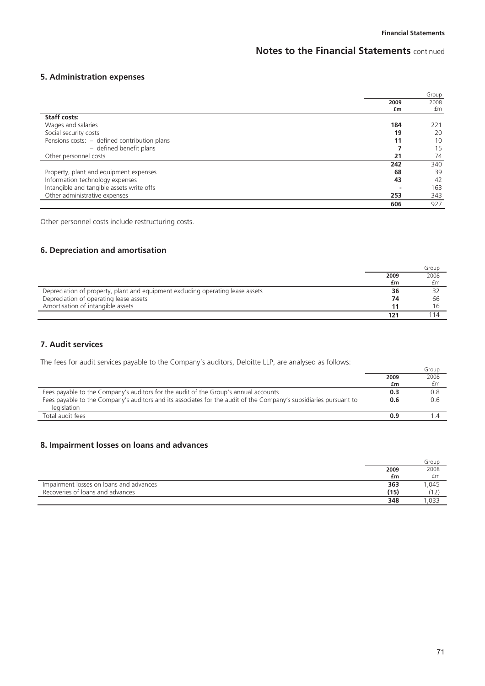# **5. Administration expenses**

|                                              |      | Group |
|----------------------------------------------|------|-------|
|                                              | 2009 | 2008  |
|                                              | £m   | £m    |
| <b>Staff costs:</b>                          |      |       |
| Wages and salaries                           | 184  | 221   |
| Social security costs                        | 19   | 20    |
| Pensions costs: - defined contribution plans | 11   | 10    |
| - defined benefit plans                      |      | 15    |
| Other personnel costs                        | 21   | 74    |
|                                              | 242  | 340   |
| Property, plant and equipment expenses       | 68   | 39    |
| Information technology expenses              | 43   | 42    |
| Intangible and tangible assets write offs    |      | 163   |
| Other administrative expenses                | 253  | 343   |
|                                              | 606  | 927   |

Other personnel costs include restructuring costs.

# **6. Depreciation and amortisation**

|                                                                                |      | Group |
|--------------------------------------------------------------------------------|------|-------|
|                                                                                | 2009 | 2008  |
|                                                                                | £m   | £m    |
| Depreciation of property, plant and equipment excluding operating lease assets | 36   |       |
| Depreciation of operating lease assets                                         | 74   | 66    |
| Amortisation of intangible assets                                              |      |       |
|                                                                                |      |       |

# **7. Audit services**

The fees for audit services payable to the Company's auditors, Deloitte LLP, are analysed as follows:

| $\sim$ . The records and the property of the equipment $\sim$ and the state of $\sim$ . The distribution of the state of $\sim$ |      | Group |
|---------------------------------------------------------------------------------------------------------------------------------|------|-------|
|                                                                                                                                 | 2009 | 2008  |
|                                                                                                                                 | £m   | £m    |
| Fees payable to the Company's auditors for the audit of the Group's annual accounts                                             | 0.3  | 0.8   |
| Fees payable to the Company's auditors and its associates for the audit of the Company's subsidiaries pursuant to               | 0.6  | 0.6   |
| legislation                                                                                                                     |      |       |
| Total audit fees                                                                                                                | 0.9  |       |

# **8. Impairment losses on loans and advances**

|                                         |      | Group |
|-----------------------------------------|------|-------|
|                                         | 2009 | 2008  |
|                                         | £m   | £m    |
| Impairment losses on loans and advances | 363  | ,045  |
| Recoveries of loans and advances        | (15) |       |
|                                         | 348  | .033  |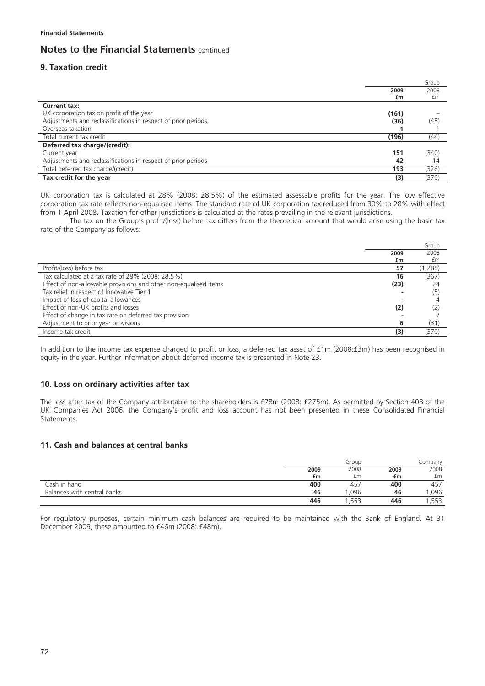# **9. Taxation credit**

|                                                               |       | Group |
|---------------------------------------------------------------|-------|-------|
|                                                               | 2009  | 2008  |
|                                                               | £m    | £m    |
| Current tax:                                                  |       |       |
| UK corporation tax on profit of the year                      | (161) |       |
| Adjustments and reclassifications in respect of prior periods | (36)  | (45)  |
| Overseas taxation                                             |       |       |
| Total current tax credit                                      | (196) | (44)  |
| Deferred tax charge/(credit):                                 |       |       |
| Current year                                                  | 151   | (340) |
| Adjustments and reclassifications in respect of prior periods | 42    | 14    |
| Total deferred tax charge/(credit)                            | 193   | (326) |
| Tax credit for the year                                       | (3)   | (370) |

UK corporation tax is calculated at 28% (2008: 28.5%) of the estimated assessable profits for the year. The low effective corporation tax rate reflects non-equalised items. The standard rate of UK corporation tax reduced from 30% to 28% with effect from 1 April 2008. Taxation for other jurisdictions is calculated at the rates prevailing in the relevant jurisdictions.

The tax on the Group's profit/(loss) before tax differs from the theoretical amount that would arise using the basic tax rate of the Company as follows:

|                                                                  |      | Group   |
|------------------------------------------------------------------|------|---------|
|                                                                  | 2009 | 2008    |
|                                                                  | £m   | £m      |
| Profit/(loss) before tax                                         | 57   | (1,288) |
| Tax calculated at a tax rate of 28% (2008: 28.5%)                | 16   | (367)   |
| Effect of non-allowable provisions and other non-equalised items | (23) | 24      |
| Tax relief in respect of Innovative Tier 1                       |      | (5)     |
| Impact of loss of capital allowances                             |      |         |
| Effect of non-UK profits and losses                              | (2)  |         |
| Effect of change in tax rate on deferred tax provision           |      |         |
| Adjustment to prior year provisions                              | 6    | (31)    |
| Income tax credit                                                | (3)  | (370)   |

In addition to the income tax expense charged to profit or loss, a deferred tax asset of £1m (2008:£3m) has been recognised in equity in the year. Further information about deferred income tax is presented in Note 23.

### **10. Loss on ordinary activities after tax**

The loss after tax of the Company attributable to the shareholders is £78m (2008: £275m). As permitted by Section 408 of the UK Companies Act 2006, the Company's profit and loss account has not been presented in these Consolidated Financial Statements.

# **11. Cash and balances at central banks**

|                             | Group |      |      | Company |  |
|-----------------------------|-------|------|------|---------|--|
|                             | 2009  | 2008 | 2009 | 2008    |  |
|                             | £m    | £m   | £m   | £m      |  |
| Cash in hand                | 400   | 457  | 400  | 457     |  |
| Balances with central banks | 46    | .096 | 46   | ,096    |  |
|                             | 446   | .553 | 446  | .553    |  |

For regulatory purposes, certain minimum cash balances are required to be maintained with the Bank of England. At 31 December 2009, these amounted to £46m (2008: £48m).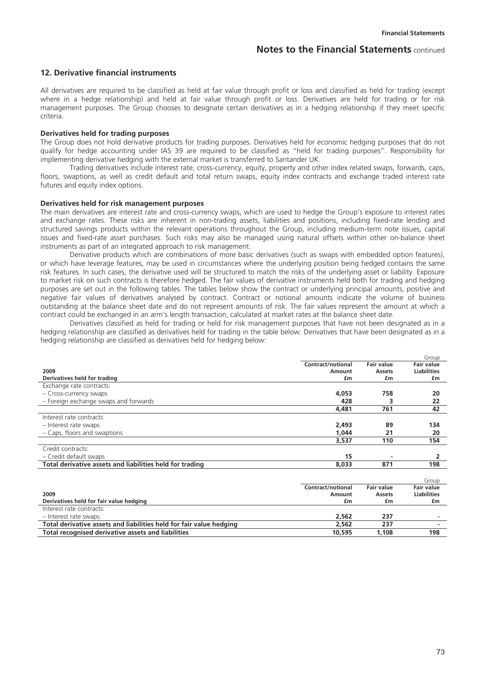### **12. Derivative financial instruments**

All derivatives are required to be classified as held at fair value through profit or loss and classified as held for trading (except where in a hedge relationship) and held at fair value through profit or loss. Derivatives are held for trading or for risk management purposes. The Group chooses to designate certain derivatives as in a hedging relationship if they meet specific criteria.

### **Derivatives held for trading purposes**

The Group does not hold derivative products for trading purposes. Derivatives held for economic hedging purposes that do not qualify for hedge accounting under IAS 39 are required to be classified as "held for trading purposes". Responsibility for implementing derivative hedging with the external market is transferred to Santander UK.

Trading derivatives include interest rate, cross-currency, equity, property and other index related swaps, forwards, caps, floors, swaptions, as well as credit default and total return swaps, equity index contracts and exchange traded interest rate futures and equity index options.

### **Derivatives held for risk management purposes**

The main derivatives are interest rate and cross-currency swaps, which are used to hedge the Group's exposure to interest rates and exchange rates. These risks are inherent in non-trading assets, liabilities and positions, including fixed-rate lending and structured savings products within the relevant operations throughout the Group, including medium-term note issues, capital issues and fixed-rate asset purchases. Such risks may also be managed using natural offsets within other on-balance sheet instruments as part of an integrated approach to risk management.

Derivative products which are combinations of more basic derivatives (such as swaps with embedded option features), or which have leverage features, may be used in circumstances where the underlying position being hedged contains the same risk features. In such cases, the derivative used will be structured to match the risks of the underlying asset or liability. Exposure to market risk on such contracts is therefore hedged. The fair values of derivative instruments held both for trading and hedging purposes are set out in the following tables. The tables below show the contract or underlying principal amounts, positive and negative fair values of derivatives analysed by contract. Contract or notional amounts indicate the volume of business outstanding at the balance sheet date and do not represent amounts of risk. The fair values represent the amount at which a contract could be exchanged in an arm's length transaction, calculated at market rates at the balance sheet date.

Derivatives classified as held for trading or held for risk management purposes that have not been designated as in a hedging relationship are classified as derivatives held for trading in the table below. Derivatives that have been designated as in a hedging relationship are classified as derivatives held for hedging below:

|                                                          |                   |                   | Group              |
|----------------------------------------------------------|-------------------|-------------------|--------------------|
|                                                          | Contract/notional | <b>Fair value</b> | <b>Fair value</b>  |
| 2009                                                     | Amount            | Assets            | <b>Liabilities</b> |
| Derivatives held for trading                             | £m                | £m                | £m                 |
| Exchange rate contracts:                                 |                   |                   |                    |
| - Cross-currency swaps                                   | 4,053             | 758               | 20                 |
| - Foreign exchange swaps and forwards                    | 428               |                   | 22                 |
|                                                          | 4,481             | 761               | 42                 |
| Interest rate contracts:                                 |                   |                   |                    |
| - Interest rate swaps                                    | 2,493             | 89                | 134                |
| - Caps, floors and swaptions                             | 1.044             | 21                | 20                 |
|                                                          | 3,537             | 110               | 154                |
| Credit contracts:                                        |                   |                   |                    |
| - Credit default swaps                                   | 15                |                   |                    |
| Total derivative assets and liabilities held for trading | 8.033             | 871               | 198                |
|                                                          |                   |                   |                    |
|                                                          |                   |                   | Group              |

|                                                                     |                   |            | ----               |
|---------------------------------------------------------------------|-------------------|------------|--------------------|
|                                                                     | Contract/notional | Fair value | Fair value         |
| 2009                                                                | Amount            | Assets     | <b>Liabilities</b> |
| Derivatives held for fair value hedging                             | £m                | £m         | £m                 |
| Interest rate contracts:                                            |                   |            |                    |
| - Interest rate swaps                                               | 2.562             | 237        | -                  |
| Total derivative assets and liabilities held for fair value hedging | 2.562             | 237        | -                  |
| Total recognised derivative assets and liabilities                  | 10,595            | l.108      | 198                |
|                                                                     |                   |            |                    |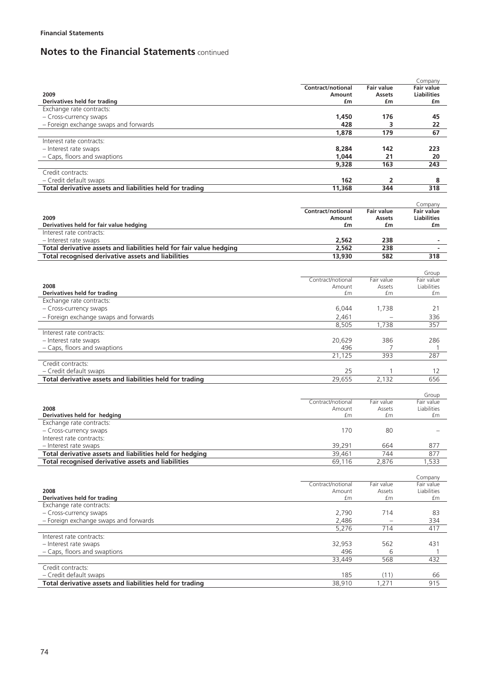|                                                                     |                             |                   | Company                   |
|---------------------------------------------------------------------|-----------------------------|-------------------|---------------------------|
|                                                                     | Contract/notional           | <b>Fair value</b> | <b>Fair value</b>         |
| 2009                                                                | Amount                      | <b>Assets</b>     | <b>Liabilities</b>        |
| Derivatives held for trading                                        | £m                          | £m                | £m                        |
| Exchange rate contracts:                                            |                             |                   |                           |
| - Cross-currency swaps                                              | 1,450                       | 176               | 45                        |
| - Foreign exchange swaps and forwards                               | 428                         | 3                 | 22                        |
|                                                                     | 1,878                       | 179               | 67                        |
| Interest rate contracts:                                            |                             |                   |                           |
|                                                                     | 8,284                       | 142               | 223                       |
| - Interest rate swaps                                               |                             |                   |                           |
| - Caps, floors and swaptions                                        | 1,044                       | 21                | 20                        |
|                                                                     | 9,328                       | 163               | 243                       |
| Credit contracts:                                                   |                             |                   |                           |
| - Credit default swaps                                              | 162                         | 2                 | 8                         |
| Total derivative assets and liabilities held for trading            | 11,368                      | 344               | 318                       |
|                                                                     |                             |                   |                           |
|                                                                     |                             |                   | Company                   |
|                                                                     | <b>Contract/notional</b>    | <b>Fair value</b> | <b>Fair value</b>         |
| 2009                                                                | Amount                      | Assets            | <b>Liabilities</b>        |
| Derivatives held for fair value hedging                             | £m                          | £m                | £m                        |
| Interest rate contracts:                                            |                             |                   |                           |
| - Interest rate swaps                                               | 2.562                       | 238               |                           |
| Total derivative assets and liabilities held for fair value hedging | 2,562                       | 238               |                           |
| <b>Total recognised derivative assets and liabilities</b>           | 13,930                      | 582               | 318                       |
|                                                                     |                             |                   |                           |
|                                                                     |                             |                   |                           |
|                                                                     |                             |                   | Group                     |
| 2008                                                                | Contract/notional<br>Amount | Fair value        | Fair value<br>Liabilities |
|                                                                     | £m                          | Assets<br>£m      | £m                        |
| Derivatives held for trading<br>Exchange rate contracts:            |                             |                   |                           |
|                                                                     |                             |                   |                           |
| - Cross-currency swaps                                              | 6,044                       | 1,738             | 21                        |
| - Foreign exchange swaps and forwards                               | 2,461                       |                   | 336                       |
|                                                                     | 8,505                       | 1.738             | 357                       |
| Interest rate contracts:                                            |                             |                   |                           |
| - Interest rate swaps                                               | 20,629                      | 386               | 286                       |
| - Caps, floors and swaptions                                        | 496                         | 7                 |                           |
|                                                                     | 21,125                      | 393               | 287                       |
| Credit contracts:                                                   |                             |                   |                           |
| - Credit default swaps                                              | 25                          | 1                 | 12                        |
| Total derivative assets and liabilities held for trading            | 29,655                      | 2,132             | 656                       |
|                                                                     |                             |                   |                           |
|                                                                     |                             |                   | Group                     |
|                                                                     | Contract/notional           | Fair value        | Fair value                |
| 2008                                                                | Amount                      | Assets            | Liabilities               |
| Derivatives held for hedging                                        | £m                          | £m                | £m                        |
| Exchange rate contracts:                                            |                             |                   |                           |
| - Cross-currency swaps                                              | 170                         | 80                |                           |
| Interest rate contracts:                                            |                             |                   |                           |
| - Interest rate swaps                                               | 39,291                      | 664               | 877                       |
|                                                                     | 39,461                      | 744               |                           |
| Total derivative assets and liabilities held for hedging            |                             |                   | 877                       |
| Total recognised derivative assets and liabilities                  | 69,116                      | 2,876             | 1,533                     |
|                                                                     |                             |                   |                           |
|                                                                     |                             |                   | Company                   |
|                                                                     | Contract/notional           | Fair value        | Fair value                |
| 2008                                                                | Amount                      | Assets            | Liabilities               |
| Derivatives held for trading                                        | £m                          | £m                | £m                        |
| Exchange rate contracts:                                            |                             |                   |                           |
| - Cross-currency swaps                                              | 2,790                       | 714               | 83                        |
| - Foreign exchange swaps and forwards                               | 2,486                       |                   | 334                       |
|                                                                     | 5,276                       | 714               | 417                       |
| Interest rate contracts:                                            |                             |                   |                           |
| - Interest rate swaps                                               | 32,953                      | 562               | 431                       |
| - Caps, floors and swaptions                                        | 496                         | 6                 |                           |
|                                                                     | 33,449                      | 568               | 432                       |
| Credit contracts:                                                   |                             |                   |                           |
| - Credit default swaps                                              | 185                         | (11)              | 66                        |
| Total derivative assets and liabilities held for trading            | 38,910                      | 1,271             | 915                       |
|                                                                     |                             |                   |                           |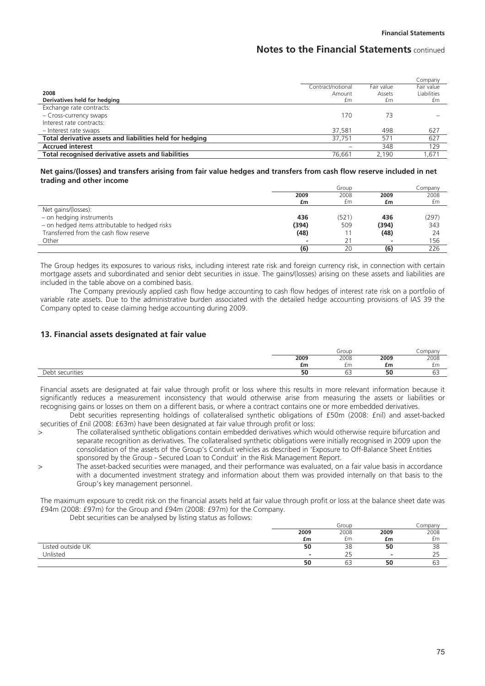|                                                          |                   |            | Company     |
|----------------------------------------------------------|-------------------|------------|-------------|
|                                                          | Contract/notional | Fair value | Fair value  |
| 2008                                                     | Amount            | Assets     | Liabilities |
| Derivatives held for hedging                             | £m                | £m         | £m          |
| Exchange rate contracts:                                 |                   |            |             |
| - Cross-currency swaps                                   | 170               | 73         |             |
| Interest rate contracts:                                 |                   |            |             |
| - Interest rate swaps                                    | 37.581            | 498        | 627         |
| Total derivative assets and liabilities held for hedging | 37.751            | 571        | 627         |
| <b>Accrued interest</b>                                  |                   | 348        | 129         |
| Total recognised derivative assets and liabilities       | 76.661            | 2.190      | .671        |

#### **Net gains/(losses) and transfers arising from fair value hedges and transfers from cash flow reserve included in net trading and other income**

|                                                | Group |       |       | Company |  |
|------------------------------------------------|-------|-------|-------|---------|--|
|                                                | 2009  | 2008  | 2009  | 2008    |  |
|                                                | £m    | £m    | £m    | £m      |  |
| Net gains/(losses):                            |       |       |       |         |  |
| - on hedging instruments                       | 436   | (521) | 436   | (297)   |  |
| - on hedged items attributable to hedged risks | (394) | 509   | (394) | 343     |  |
| Transferred from the cash flow reserve         | (48)  |       | (48)  | 24      |  |
| Other                                          |       |       |       | 156     |  |
|                                                | (6)   | 20    | (6)   | 226     |  |

The Group hedges its exposures to various risks, including interest rate risk and foreign currency risk, in connection with certain mortgage assets and subordinated and senior debt securities in issue. The gains/(losses) arising on these assets and liabilities are included in the table above on a combined basis.

The Company previously applied cash flow hedge accounting to cash flow hedges of interest rate risk on a portfolio of variable rate assets. Due to the administrative burden associated with the detailed hedge accounting provisions of IAS 39 the Company opted to cease claiming hedge accounting during 2009.

### **13. Financial assets designated at fair value**

|                      | Group     |                    |      | .ompany            |
|----------------------|-----------|--------------------|------|--------------------|
|                      | 2009      | 2008               | 2009 | 2008               |
|                      | £m        | £m                 | £m   | £m                 |
| nahi<br>: securities | - -<br>эu | $\sim$ $\sim$<br>ັ | 50   | $\sim$ $\sim$<br>ັ |

Financial assets are designated at fair value through profit or loss where this results in more relevant information because it significantly reduces a measurement inconsistency that would otherwise arise from measuring the assets or liabilities or recognising gains or losses on them on a different basis, or where a contract contains one or more embedded derivatives.

Debt securities representing holdings of collateralised synthetic obligations of £50m (2008: £nil) and asset-backed securities of £nil (2008: £63m) have been designated at fair value through profit or loss:

- > The collateralised synthetic obligations contain embedded derivatives which would otherwise require bifurcation and separate recognition as derivatives. The collateralised synthetic obligations were initially recognised in 2009 upon the consolidation of the assets of the Group's Conduit vehicles as described in 'Exposure to Off-Balance Sheet Entities sponsored by the Group - Secured Loan to Conduit' in the Risk Management Report.
- > The asset-backed securities were managed, and their performance was evaluated, on a fair value basis in accordance with a documented investment strategy and information about them was provided internally on that basis to the Group's key management personnel.

The maximum exposure to credit risk on the financial assets held at fair value through profit or loss at the balance sheet date was £94m (2008: £97m) for the Group and £94m (2008: £97m) for the Company.

Debt securities can be analysed by listing status as follows:

|                   | Group |                          |        | Company           |
|-------------------|-------|--------------------------|--------|-------------------|
|                   | 2009  | 2008                     | 2009   | 2008              |
|                   | £m    | £m                       | £m     | £m                |
| Listed outside UK | 50    | 38                       | 50     | 38                |
| Unlisted          |       | _ _                      | $\sim$ | $\sim$ $-$<br>ت ک |
|                   | 50    | $\sim$ $\sim$<br>∽<br>ບບ | 50     | бэ                |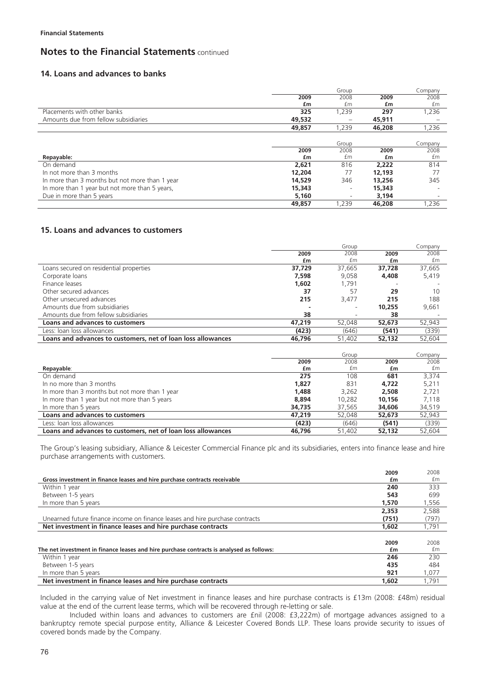### **14. Loans and advances to banks**

|                                                |        | Group                    |        | Company |
|------------------------------------------------|--------|--------------------------|--------|---------|
|                                                | 2009   | 2008                     | 2009   | 2008    |
|                                                | £m     | £m                       | £m     | £m      |
| Placements with other banks                    | 325    | 1,239                    | 297    | 1,236   |
| Amounts due from fellow subsidiaries           | 49,532 |                          | 45,911 |         |
|                                                | 49,857 | 1,239                    | 46,208 | 1,236   |
|                                                |        |                          |        |         |
|                                                |        | Group                    |        | Company |
|                                                | 2009   | 2008                     | 2009   | 2008    |
| Repayable:                                     | £m     | £m                       | £m     | £m      |
| On demand                                      | 2,621  | 816                      | 2.222  | 814     |
| In not more than 3 months                      | 12,204 | 77                       | 12,193 |         |
| In more than 3 months but not more than 1 year | 14,529 | 346                      | 13,256 | 345     |
| In more than 1 year but not more than 5 years, | 15,343 | ۰                        | 15,343 |         |
| Due in more than 5 years                       | 5,160  | $\overline{\phantom{a}}$ | 3,194  |         |
|                                                | 49,857 | 1.239                    | 46,208 | 1,236   |

# **15. Loans and advances to customers**

|                                                              |        | Group  |        | Company |
|--------------------------------------------------------------|--------|--------|--------|---------|
|                                                              | 2009   | 2008   | 2009   | 2008    |
|                                                              | £m     | £m     | £m     | £m      |
| Loans secured on residential properties                      | 37,729 | 37,665 | 37,728 | 37,665  |
| Corporate loans                                              | 7,598  | 9,058  | 4,408  | 5,419   |
| Finance leases                                               | 1,602  | 1,791  |        |         |
| Other secured advances                                       | 37     | 57     | 29     | 10      |
| Other unsecured advances                                     | 215    | 3,477  | 215    | 188     |
| Amounts due from subsidiaries                                |        |        | 10,255 | 9,661   |
| Amounts due from fellow subsidiaries                         | 38     |        | 38     |         |
| Loans and advances to customers                              | 47,219 | 52,048 | 52,673 | 52,943  |
| Less: Joan Joss allowances                                   | (423)  | (646)  | (541)  | (339)   |
| Loans and advances to customers, net of loan loss allowances | 46,796 | 51,402 | 52,132 | 52,604  |
|                                                              |        |        |        |         |
|                                                              |        | Group  |        | Company |
|                                                              | 2009   | 2008   | 2009   | 2008    |
| Repayable:                                                   | £m     | £m     | £m     | £m      |
| On demand                                                    | 275    | 108    | 681    | 3,374   |
| In no more than 3 months                                     | 1,827  | 831    | 4,722  | 5,211   |
| In more than 3 months but not more than 1 year               | 1,488  | 3,262  | 2,508  | 2,721   |
| In more than 1 year but not more than 5 years                | 8,894  | 10,282 | 10,156 | 7,118   |
| In more than 5 years                                         | 34,735 | 37,565 | 34,606 | 34,519  |
| Loans and advances to customers                              | 47,219 | 52,048 | 52,673 | 52,943  |
| Less: Joan Joss allowances                                   | (423)  | (646)  | (541)  | (339)   |
| Loans and advances to customers, net of loan loss allowances | 46,796 | 51,402 | 52,132 | 52,604  |

The Group's leasing subsidiary, Alliance & Leicester Commercial Finance plc and its subsidiaries, enters into finance lease and hire purchase arrangements with customers.

|                                                                                          | 2009  | 2008  |
|------------------------------------------------------------------------------------------|-------|-------|
| Gross investment in finance leases and hire purchase contracts receivable                | £m    | fm    |
| Within 1 year                                                                            | 240   | 333   |
| Between 1-5 years                                                                        | 543   | 699   |
| In more than 5 years                                                                     | 1,570 | 1,556 |
|                                                                                          | 2.353 | 2,588 |
| Unearned future finance income on finance leases and hire purchase contracts             | (751) | (797) |
| Net investment in finance leases and hire purchase contracts                             | 1,602 | 1.791 |
|                                                                                          |       |       |
|                                                                                          | 2009  | 2008  |
| The net investment in finance leases and hire purchase contracts is analysed as follows: | £m    | £m    |
| Within 1 year                                                                            | 246   | 230   |
| Between 1-5 years                                                                        | 435   | 484   |
| In more than 5 years                                                                     | 921   | 1,077 |
| Net investment in finance leases and hire purchase contracts                             | 1,602 | 1,791 |

Included in the carrying value of Net investment in finance leases and hire purchase contracts is £13m (2008: £48m) residual value at the end of the current lease terms, which will be recovered through re-letting or sale.

Included within loans and advances to customers are £nil (2008: £3,222m) of mortgage advances assigned to a bankruptcy remote special purpose entity, Alliance & Leicester Covered Bonds LLP. These loans provide security to issues of covered bonds made by the Company.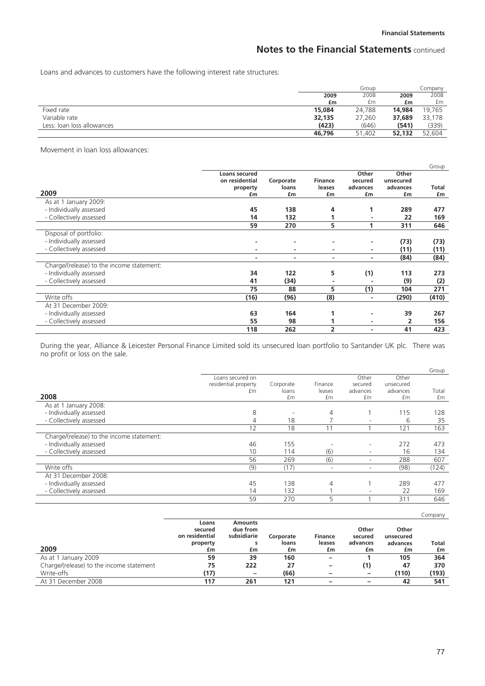Loans and advances to customers have the following interest rate structures:

|                            |        | Group  |        | Company |
|----------------------------|--------|--------|--------|---------|
|                            | 2009   | 2008   | 2009   | 2008    |
|                            | £m     | £m     | £m     | £m      |
| Fixed rate                 | 15,084 | 24.788 | 14,984 | 19.765  |
| Variable rate              | 32,135 | 27.260 | 37,689 | 33,178  |
| Less: Joan Joss allowances | (423)  | (646)  | (541)  | (339)   |
|                            | 46,796 | 51,402 | 52.132 | 52.604  |

Movement in loan loss allowances:

|                                           |                |                |                |          |           | Group |
|-------------------------------------------|----------------|----------------|----------------|----------|-----------|-------|
|                                           | Loans secured  |                |                | Other    | Other     |       |
|                                           | on residential | Corporate      | <b>Finance</b> | secured  | unsecured |       |
|                                           | property       | loans          | leases         | advances | advances  | Total |
| 2009                                      | £m             | £m             | £m             | £m       | £m        | £m    |
| As at 1 January 2009:                     |                |                |                |          |           |       |
| - Individually assessed                   | 45             | 138            | 4              |          | 289       | 477   |
| - Collectively assessed                   | 14             | 132            |                |          | 22        | 169   |
|                                           | 59             | 270            | 5              |          | 311       | 646   |
| Disposal of portfolio:                    |                |                |                |          |           |       |
| - Individually assessed                   |                | $\blacksquare$ |                | ٠        | (73)      | (73)  |
| - Collectively assessed                   |                | ٠              |                | ۰        | (11)      | (11)  |
|                                           | ۰              | ۰              | ۰              | ۰        | (84)      | (84)  |
| Charge/(release) to the income statement: |                |                |                |          |           |       |
| - Individually assessed                   | 34             | 122            | 5              | (1)      | 113       | 273   |
| - Collectively assessed                   | 41             | (34)           |                |          | (9)       | (2)   |
|                                           | 75             | 88             | 5              | (1)      | 104       | 271   |
| Write offs                                | (16)           | (96)           | (8)            | ٠        | (290)     | (410) |
| At 31 December 2009:                      |                |                |                |          |           |       |
| - Individually assessed                   | 63             | 164            |                |          | 39        | 267   |
| - Collectively assessed                   | 55             | 98             |                | ٠        | 2         | 156   |
|                                           | 118            | 262            | 2              |          | 41        | 423   |

During the year, Alliance & Leicester Personal Finance Limited sold its unsecured loan portfolio to Santander UK plc. There was no profit or loss on the sale.

|                                           |                      |           |                          |                          |           | Group |
|-------------------------------------------|----------------------|-----------|--------------------------|--------------------------|-----------|-------|
|                                           | Loans secured on     |           |                          | Other                    | Other     |       |
|                                           | residential property | Corporate | Finance                  | secured                  | unsecured |       |
|                                           | £m                   | loans     | leases                   | advances                 | advances  | Total |
| 2008                                      |                      | £m        | £m                       | £m                       | £m        | £m    |
| As at 1 January 2008:                     |                      |           |                          |                          |           |       |
| - Individually assessed                   | 8                    |           | 4                        |                          | 15        | 128   |
| - Collectively assessed                   |                      | 18        |                          |                          | 6         | 35    |
|                                           | 12                   | 18        |                          |                          | 121       | 163   |
| Charge/(release) to the income statement: |                      |           |                          |                          |           |       |
| - Individually assessed                   | 46                   | 155       |                          |                          | 272       | 473   |
| - Collectively assessed                   | 10                   | 114       | (6)                      | $\overline{\phantom{a}}$ | 16        | 134   |
|                                           | 56                   | 269       | (6)                      |                          | 288       | 607   |
| Write offs                                | (9)                  | (17)      | $\overline{\phantom{a}}$ |                          | (98)      | (124) |
| At 31 December 2008:                      |                      |           |                          |                          |           |       |
| - Individually assessed                   | 45                   | 138       | 4                        |                          | 289       | 477   |
| - Collectively assessed                   | 14                   | 132       |                          |                          | 22        | 169   |
|                                           | 59                   | 270       | 5                        |                          | 311       | 646   |

|                                          |                                    |                                           |           |                          |                          |                    | Company |
|------------------------------------------|------------------------------------|-------------------------------------------|-----------|--------------------------|--------------------------|--------------------|---------|
|                                          | Loans<br>secured<br>on residential | <b>Amounts</b><br>due from<br>subsidiarie | Corporate | <b>Finance</b>           | Other<br>secured         | Other<br>unsecured |         |
|                                          | property                           | s                                         | loans     | leases                   | advances                 | advances           | Total   |
| 2009                                     | £m                                 | £m                                        | £m        | £m                       | £m                       | £m                 | £m      |
| As at 1 January 2009                     | 59                                 | 39                                        | 160       | $\qquad \qquad$          |                          | 105                | 364     |
| Charge/(release) to the income statement | 75                                 | 222                                       | 27        | $\overline{\phantom{0}}$ | (1)                      | 47                 | 370     |
| Write-offs                               | (17)                               |                                           | (66)      | -                        | $\overline{\phantom{m}}$ | (110)              | (193)   |
| At 31 December 2008                      | 117                                | 261                                       | 121       |                          | -                        | 42                 | 541     |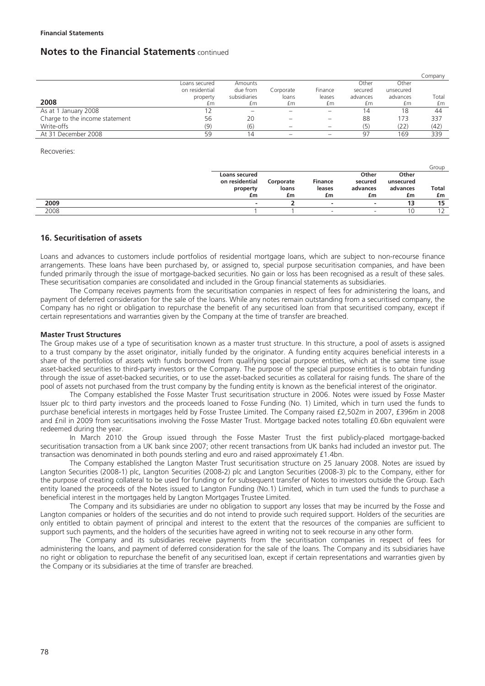|                                |                |              |           |         |          |           | Company |
|--------------------------------|----------------|--------------|-----------|---------|----------|-----------|---------|
|                                | Loans secured  | Amounts      |           |         | Other    | Other     |         |
|                                | on residential | due from     | Corporate | Finance | secured  | unsecured |         |
|                                | property       | subsidiaries | loans     | leases  | advances | advances  | Total   |
| 2008                           | £m             | £m           | £m        | £m      | £m       | £m        | £m      |
| As at 1 January 2008           |                |              |           |         | 14       | 18        | 44      |
| Charge to the income statement | 56             | 20           |           |         | 88       | 173       | 337     |
| Write-offs                     | (9)            | (6)          |           |         | (5)      | (22)      | (42)    |
| At 31 December 2008            | 59             |              |           |         | 97       | 169       | 339     |

Recoveries:

|      |                |           |                |          |           | Group |
|------|----------------|-----------|----------------|----------|-----------|-------|
|      | Loans secured  |           |                | Other    | Other     |       |
|      | on residential | Corporate | <b>Finance</b> | secured  | unsecured |       |
|      | property       | loans     | leases         | advances | advances  | Total |
|      | £m             | £m        | £m             | £m       | £m        | £m    |
| 2009 |                |           |                | ۰        | 13        | 15    |
| 2008 |                |           |                | -        | ∪'        |       |

## **16. Securitisation of assets**

Loans and advances to customers include portfolios of residential mortgage loans, which are subject to non-recourse finance arrangements. These loans have been purchased by, or assigned to, special purpose securitisation companies, and have been funded primarily through the issue of mortgage-backed securities. No gain or loss has been recognised as a result of these sales. These securitisation companies are consolidated and included in the Group financial statements as subsidiaries.

The Company receives payments from the securitisation companies in respect of fees for administering the loans, and payment of deferred consideration for the sale of the loans. While any notes remain outstanding from a securitised company, the Company has no right or obligation to repurchase the benefit of any securitised loan from that securitised company, except if certain representations and warranties given by the Company at the time of transfer are breached.

### **Master Trust Structures**

The Group makes use of a type of securitisation known as a master trust structure. In this structure, a pool of assets is assigned to a trust company by the asset originator, initially funded by the originator. A funding entity acquires beneficial interests in a share of the portfolios of assets with funds borrowed from qualifying special purpose entities, which at the same time issue asset-backed securities to third-party investors or the Company. The purpose of the special purpose entities is to obtain funding through the issue of asset-backed securities, or to use the asset-backed securities as collateral for raising funds. The share of the pool of assets not purchased from the trust company by the funding entity is known as the beneficial interest of the originator.

The Company established the Fosse Master Trust securitisation structure in 2006. Notes were issued by Fosse Master Issuer plc to third party investors and the proceeds loaned to Fosse Funding (No. 1) Limited, which in turn used the funds to purchase beneficial interests in mortgages held by Fosse Trustee Limited. The Company raised £2,502m in 2007, £396m in 2008 and £nil in 2009 from securitisations involving the Fosse Master Trust. Mortgage backed notes totalling £0.6bn equivalent were redeemed during the year.

In March 2010 the Group issued through the Fosse Master Trust the first publicly-placed mortgage-backed securitisation transaction from a UK bank since 2007; other recent transactions from UK banks had included an investor put. The transaction was denominated in both pounds sterling and euro and raised approximately £1.4bn.

The Company established the Langton Master Trust securitisation structure on 25 January 2008. Notes are issued by Langton Securities (2008-1) plc, Langton Securities (2008-2) plc and Langton Securities (2008-3) plc to the Company, either for the purpose of creating collateral to be used for funding or for subsequent transfer of Notes to investors outside the Group. Each entity loaned the proceeds of the Notes issued to Langton Funding (No.1) Limited, which in turn used the funds to purchase a beneficial interest in the mortgages held by Langton Mortgages Trustee Limited.

The Company and its subsidiaries are under no obligation to support any losses that may be incurred by the Fosse and Langton companies or holders of the securities and do not intend to provide such required support. Holders of the securities are only entitled to obtain payment of principal and interest to the extent that the resources of the companies are sufficient to support such payments, and the holders of the securities have agreed in writing not to seek recourse in any other form.

The Company and its subsidiaries receive payments from the securitisation companies in respect of fees for administering the loans, and payment of deferred consideration for the sale of the loans. The Company and its subsidiaries have no right or obligation to repurchase the benefit of any securitised loan, except if certain representations and warranties given by the Company or its subsidiaries at the time of transfer are breached.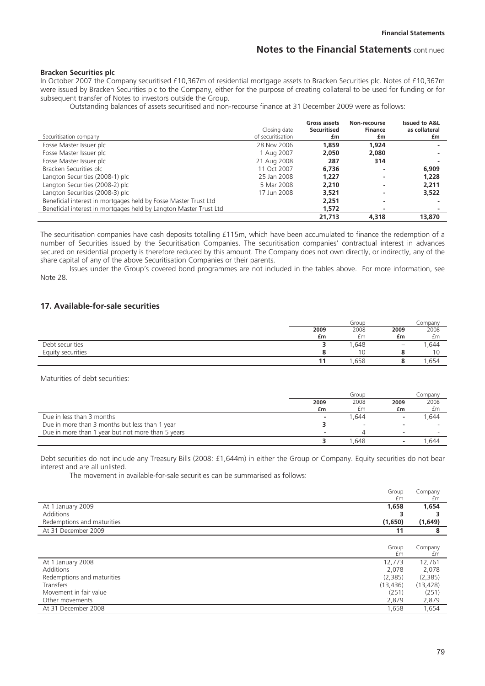#### **Bracken Securities plc**

In October 2007 the Company securitised £10,367m of residential mortgage assets to Bracken Securities plc. Notes of £10,367m were issued by Bracken Securities plc to the Company, either for the purpose of creating collateral to be used for funding or for subsequent transfer of Notes to investors outside the Group.

Outstanding balances of assets securitised and non-recourse finance at 31 December 2009 were as follows:

|                                                                   | Closing date      | Gross assets<br><b>Securitised</b> | Non-recourse<br><b>Finance</b> | <b>Issued to A&amp;L</b><br>as collateral |
|-------------------------------------------------------------------|-------------------|------------------------------------|--------------------------------|-------------------------------------------|
| Securitisation company                                            | of securitisation | £m                                 | £m                             | £m                                        |
| Fosse Master Issuer plc                                           | 28 Nov 2006       | 1,859                              | 1.924                          |                                           |
| Fosse Master Issuer plc                                           | 1 Aug 2007        | 2.050                              | 2,080                          |                                           |
| Fosse Master Issuer plc                                           | 21 Aug 2008       | 287                                | 314                            |                                           |
| Bracken Securities plc                                            | 11 Oct 2007       | 6.736                              | $\overline{\phantom{a}}$       | 6,909                                     |
| Langton Securities (2008-1) plc                                   | 25 Jan 2008       | 1.227                              | -                              | 1,228                                     |
| Langton Securities (2008-2) plc                                   | 5 Mar 2008        | 2,210                              | -                              | 2,211                                     |
| Langton Securities (2008-3) plc                                   | 17 Jun 2008       | 3.521                              | ۰                              | 3,522                                     |
| Beneficial interest in mortgages held by Fosse Master Trust Ltd   |                   | 2.251                              | -                              |                                           |
| Beneficial interest in mortgages held by Langton Master Trust Ltd |                   | 1.572                              |                                |                                           |
|                                                                   |                   | 21,713                             | 4,318                          | 13,870                                    |

The securitisation companies have cash deposits totalling £115m, which have been accumulated to finance the redemption of a number of Securities issued by the Securitisation Companies. The securitisation companies' contractual interest in advances secured on residential property is therefore reduced by this amount. The Company does not own directly, or indirectly, any of the share capital of any of the above Securitisation Companies or their parents.

Issues under the Group's covered bond programmes are not included in the tables above. For more information, see Note 28.

## **17. Available-for-sale securities**

|                   |      | Group |                          | Company |
|-------------------|------|-------|--------------------------|---------|
|                   | 2009 | 2008  | 2009                     | 2008    |
|                   | £m   | £m    | £m                       | £m      |
| Debt securities   |      | 1,648 | $\overline{\phantom{a}}$ | ,644    |
| Equity securities |      |       |                          |         |
|                   |      | .658  |                          | ,654    |

Maturities of debt securities:

|                                                   |                          | Group |      | Company |
|---------------------------------------------------|--------------------------|-------|------|---------|
|                                                   | 2009                     | 2008  | 2009 | 2008    |
|                                                   | £m                       | £m    | £m   | £m      |
| Due in less than 3 months                         | $\overline{\phantom{a}}$ | 1.644 |      | .644    |
| Due in more than 3 months but less than 1 year    |                          |       |      |         |
| Due in more than 1 year but not more than 5 years | -                        |       |      |         |
|                                                   |                          | 1.648 |      | .644    |

Debt securities do not include any Treasury Bills (2008: £1,644m) in either the Group or Company. Equity securities do not bear interest and are all unlisted.

The movement in available-for-sale securities can be summarised as follows:

|                            | Group<br>£m | Company<br>£m |
|----------------------------|-------------|---------------|
| At 1 January 2009          | 1,658       | 1,654         |
| Additions                  | 3           |               |
| Redemptions and maturities | (1,650)     | (1,649)       |
| At 31 December 2009        | 11          | 8             |
|                            |             |               |
|                            | Group       | Company       |
|                            | £m          | £m            |
| At 1 January 2008          | 12,773      | 12,761        |
| Additions                  | 2,078       | 2,078         |
| Redemptions and maturities | (2,385)     | (2,385)       |
| Transfers                  | (13, 436)   | (13, 428)     |
| Movement in fair value     | (251)       | (251)         |
| Other movements            | 2,879       | 2,879         |
| At 31 December 2008        | 1,658       | 1,654         |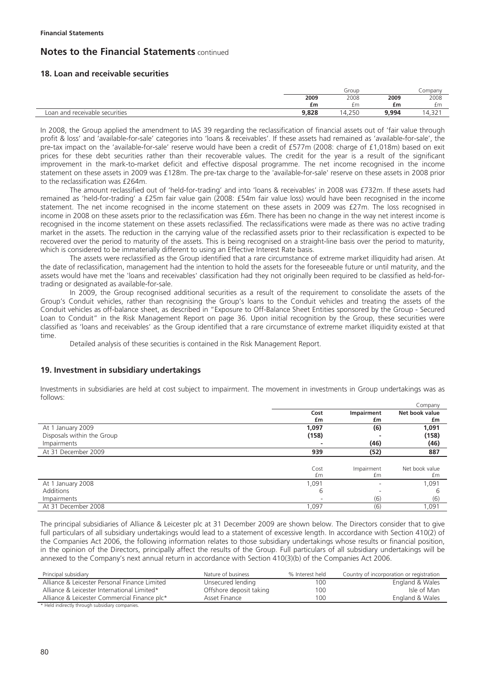## **18. Loan and receivable securities**

|                                |       | Group      |       | _ompany                    |
|--------------------------------|-------|------------|-------|----------------------------|
|                                | 2009  | 2008       | 2009  | 2008                       |
|                                | £m    | £m         | £m    | £m                         |
| Loan and receivable securities | 9,828 | 1.250<br>4 | 9.994 | $\sim$ $\sim$<br>$14,32$ . |

In 2008, the Group applied the amendment to IAS 39 regarding the reclassification of financial assets out of 'fair value through profit & loss' and 'available-for-sale' categories into 'loans & receivables'. If these assets had remained as 'available-for-sale', the pre-tax impact on the 'available-for-sale' reserve would have been a credit of £577m (2008: charge of £1,018m) based on exit prices for these debt securities rather than their recoverable values. The credit for the year is a result of the significant improvement in the mark-to-market deficit and effective disposal programme. The net income recognised in the income statement on these assets in 2009 was £128m. The pre-tax charge to the 'available-for-sale' reserve on these assets in 2008 prior to the reclassification was £264m.

The amount reclassified out of 'held-for-trading' and into 'loans & receivables' in 2008 was £732m. If these assets had remained as 'held-for-trading' a £25m fair value gain (2008: £54m fair value loss) would have been recognised in the income statement. The net income recognised in the income statement on these assets in 2009 was £27m. The loss recognised in income in 2008 on these assets prior to the reclassification was £6m. There has been no change in the way net interest income is recognised in the income statement on these assets reclassified. The reclassifications were made as there was no active trading market in the assets. The reduction in the carrying value of the reclassified assets prior to their reclassification is expected to be recovered over the period to maturity of the assets. This is being recognised on a straight-line basis over the period to maturity, which is considered to be immaterially different to using an Effective Interest Rate basis.

The assets were reclassified as the Group identified that a rare circumstance of extreme market illiquidity had arisen. At the date of reclassification, management had the intention to hold the assets for the foreseeable future or until maturity, and the assets would have met the 'loans and receivables' classification had they not originally been required to be classified as held-fortrading or designated as available-for-sale.

In 2009, the Group recognised additional securities as a result of the requirement to consolidate the assets of the Group's Conduit vehicles, rather than recognising the Group's loans to the Conduit vehicles and treating the assets of the Conduit vehicles as off-balance sheet, as described in "Exposure to Off-Balance Sheet Entities sponsored by the Group - Secured Loan to Conduit" in the Risk Management Report on page 36. Upon initial recognition by the Group, these securities were classified as 'loans and receivables' as the Group identified that a rare circumstance of extreme market illiquidity existed at that time.

Detailed analysis of these securities is contained in the Risk Management Report.

### **19. Investment in subsidiary undertakings**

Investments in subsidiaries are held at cost subject to impairment. The movement in investments in Group undertakings was as follows:

|                            |       |                          | Company        |
|----------------------------|-------|--------------------------|----------------|
|                            | Cost  | Impairment               | Net book value |
|                            | £m    | £m                       | £m             |
| At 1 January 2009          | 1,097 | (6)                      | 1,091          |
| Disposals within the Group | (158) |                          | (158)          |
| Impairments                |       | (46)                     | (46)           |
| At 31 December 2009        | 939   | (52)                     | 887            |
|                            |       |                          |                |
|                            | Cost  | Impairment               | Net book value |
|                            | £m    | £m                       | £m             |
| At 1 January 2008          | 1,091 | $\overline{\phantom{a}}$ | 1,091          |
| Additions                  | 6     |                          | h              |
| Impairments                |       | (6)                      | (6)            |
| At 31 December 2008        | 1,097 | (6)                      | 1,091          |

The principal subsidiaries of Alliance & Leicester plc at 31 December 2009 are shown below. The Directors consider that to give full particulars of all subsidiary undertakings would lead to a statement of excessive length. In accordance with Section 410(2) of the Companies Act 2006, the following information relates to those subsidiary undertakings whose results or financial position, in the opinion of the Directors, principally affect the results of the Group. Full particulars of all subsidiary undertakings will be annexed to the Company's next annual return in accordance with Section 410(3)(b) of the Companies Act 2006.

| Principal subsidiary                                                                                            | Nature of business      | % Interest held | Country of incorporation or registration |
|-----------------------------------------------------------------------------------------------------------------|-------------------------|-----------------|------------------------------------------|
| Alliance & Leicester Personal Finance Limited                                                                   | Unsecured lending       | 100             | England & Wales                          |
| Alliance & Leicester International Limited*                                                                     | Offshore deposit taking | 100             | Isle of Man                              |
| Alliance & Leicester Commercial Finance plc*                                                                    | Asset Finance           | 100             | England & Wales                          |
| the contract of the contract of the contract of the contract of the contract of the contract of the contract of |                         |                 |                                          |

\* Held indirectly through subsidiary companies.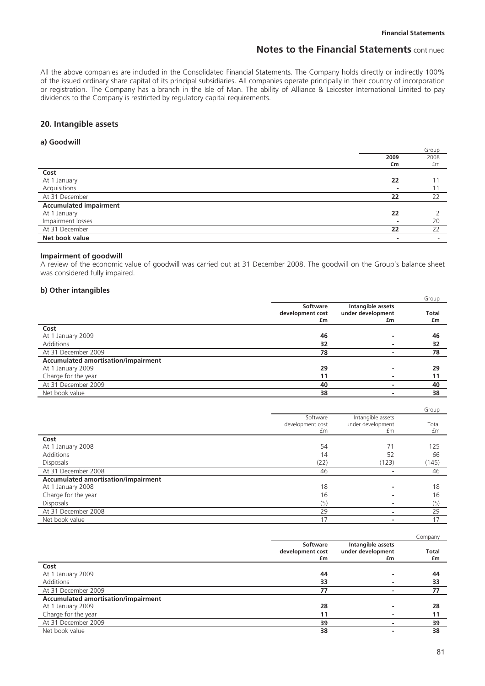All the above companies are included in the Consolidated Financial Statements. The Company holds directly or indirectly 100% of the issued ordinary share capital of its principal subsidiaries. All companies operate principally in their country of incorporation or registration. The Company has a branch in the Isle of Man. The ability of Alliance & Leicester International Limited to pay dividends to the Company is restricted by regulatory capital requirements.

## **20. Intangible assets**

### **a) Goodwill**

|                               |      | Group                    |
|-------------------------------|------|--------------------------|
|                               | 2009 | 2008                     |
|                               | £m   | £m                       |
| Cost                          |      |                          |
| At 1 January                  | 22   |                          |
| Acquisitions                  |      |                          |
| At 31 December                | 22   | 22                       |
| <b>Accumulated impairment</b> |      |                          |
| At 1 January                  | 22   |                          |
| Impairment losses             |      | 20                       |
| At 31 December                | 22   | 22                       |
| Net book value                | -    | $\overline{\phantom{a}}$ |

#### **Impairment of goodwill**

A review of the economic value of goodwill was carried out at 31 December 2008. The goodwill on the Group's balance sheet was considered fully impaired.

### **b) Other intangibles**

|                                     |                  |                   | Group        |
|-------------------------------------|------------------|-------------------|--------------|
|                                     | Software         | Intangible assets |              |
|                                     | development cost | under development | <b>Total</b> |
|                                     | £m               | £m                | £m           |
| Cost                                |                  |                   |              |
| At 1 January 2009                   | 46               |                   | 46           |
| Additions                           | 32               |                   | 32           |
| At 31 December 2009                 | 78               |                   | 78           |
| Accumulated amortisation/impairment |                  |                   |              |
| At 1 January 2009                   | 29               |                   | 29           |
| Charge for the year                 | 11               |                   | 11           |
| At 31 December 2009                 | 40               |                   | 40           |
| Net book value                      | 38               |                   | 38           |

|                                     |                                    |                                              | Group       |
|-------------------------------------|------------------------------------|----------------------------------------------|-------------|
|                                     | Software<br>development cost<br>£m | Intangible assets<br>under development<br>£m | Total<br>£m |
| Cost                                |                                    |                                              |             |
| At 1 January 2008                   | 54                                 | 71                                           | 125         |
| Additions                           | 14                                 | 52                                           | 66          |
| <b>Disposals</b>                    | (22)                               | (123)                                        | (145)       |
| At 31 December 2008                 | 46                                 |                                              | 46          |
| Accumulated amortisation/impairment |                                    |                                              |             |
| At 1 January 2008                   | 18                                 |                                              | 18          |
| Charge for the year                 | 16                                 |                                              | 16          |
| <b>Disposals</b>                    | (5)                                |                                              | (5)         |
| At 31 December 2008                 | 29                                 |                                              | 29          |
| Net book value                      | 17                                 |                                              | 17          |

|                                            |                  |                   | Company      |
|--------------------------------------------|------------------|-------------------|--------------|
|                                            | Software         | Intangible assets |              |
|                                            | development cost | under development | <b>Total</b> |
|                                            | £m               | £m                | £m           |
| Cost                                       |                  |                   |              |
| At 1 January 2009                          | 44               |                   | 44           |
| Additions                                  | 33               |                   | 33           |
| At 31 December 2009                        | 77               |                   | 77           |
| <b>Accumulated amortisation/impairment</b> |                  |                   |              |
| At 1 January 2009                          | 28               |                   | 28           |
| Charge for the year                        | 11               |                   | 11           |
| At 31 December 2009                        | 39               |                   | 39           |
| Net book value                             | 38               |                   | 38           |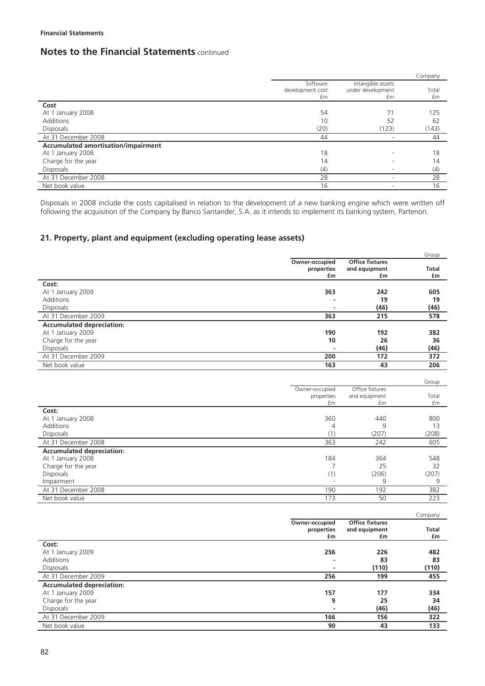|                                            |                  |                   | Company |
|--------------------------------------------|------------------|-------------------|---------|
|                                            | Software         | Intangible assets |         |
|                                            | development cost | under development | Total   |
|                                            | £m               | £m                | £m      |
| Cost                                       |                  |                   |         |
| At 1 January 2008                          | 54               | 71                | 125     |
| Additions                                  | 10               | 52                | 62      |
| <b>Disposals</b>                           | (20)             | (123)             | (143)   |
| At 31 December 2008                        | 44               |                   | 44      |
| <b>Accumulated amortisation/impairment</b> |                  |                   |         |
| At 1 January 2008                          | 18               |                   | 18      |
| Charge for the year                        | 14               |                   | 14      |
| <b>Disposals</b>                           | (4)              |                   | (4)     |
| At 31 December 2008                        | 28               |                   | 28      |
| Net book value                             | 16               |                   | 16      |

Disposals in 2008 include the costs capitalised in relation to the development of a new banking engine which were written off following the acquisition of the Company by Banco Santander, S.A. as it intends to implement its banking system, Partenon.

# **21. Property, plant and equipment (excluding operating lease assets)**

|                                  |                |                        | Group        |
|----------------------------------|----------------|------------------------|--------------|
|                                  | Owner-occupied | <b>Office fixtures</b> |              |
|                                  | properties     | and equipment          | <b>Total</b> |
|                                  | £m             | £m                     | £m           |
| Cost:                            |                |                        |              |
| At 1 January 2009                | 363            | 242                    | 605          |
| Additions                        |                | 19                     | 19           |
| <b>Disposals</b>                 |                | (46)                   | (46)         |
| At 31 December 2009              | 363            | 215                    | 578          |
| <b>Accumulated depreciation:</b> |                |                        |              |
| At 1 January 2009                | 190            | 192                    | 382          |
| Charge for the year              | 10             | 26                     | 36           |
| <b>Disposals</b>                 |                | (46)                   | (46)         |
| At 31 December 2009              | 200            | 172                    | 372          |
| Net book value                   | 163            | 43                     | 206          |

|                                  |                |                 | Group |
|----------------------------------|----------------|-----------------|-------|
|                                  | Owner-occupied | Office fixtures |       |
|                                  | properties     | and equipment   | Total |
|                                  | £m             | £m              | £m    |
| Cost:                            |                |                 |       |
| At 1 January 2008                | 360            | 440             | 800   |
| Additions                        | 4              | 9               | 13    |
| <b>Disposals</b>                 | (1)            | (207)           | (208) |
| At 31 December 2008              | 363            | 242             | 605   |
| <b>Accumulated depreciation:</b> |                |                 |       |
| At 1 January 2008                | 184            | 364             | 548   |
| Charge for the year              |                | 25              | 32    |
| <b>Disposals</b>                 | (1)            | (206)           | (207) |
| Impairment                       |                | 9               | 9     |
| At 31 December 2008              | 190            | 192             | 382   |
| Net book value                   | 173            | 50              | 223   |

|                                  |                |                        | Company      |
|----------------------------------|----------------|------------------------|--------------|
|                                  | Owner-occupied | <b>Office fixtures</b> |              |
|                                  | properties     | and equipment          | <b>Total</b> |
|                                  | £m             | £m                     | £m           |
| Cost:                            |                |                        |              |
| At 1 January 2009                | 256            | 226                    | 482          |
| Additions                        |                | 83                     | 83           |
| <b>Disposals</b>                 |                | (110)                  | (110)        |
| At 31 December 2009              | 256            | 199                    | 455          |
| <b>Accumulated depreciation:</b> |                |                        |              |
| At 1 January 2009                | 157            | 177                    | 334          |
| Charge for the year              | 9              | 25                     | 34           |
| <b>Disposals</b>                 | ٠              | (46)                   | (46)         |
| At 31 December 2009              | 166            | 156                    | 322          |
| Net book value                   | 90             | 43                     | 133          |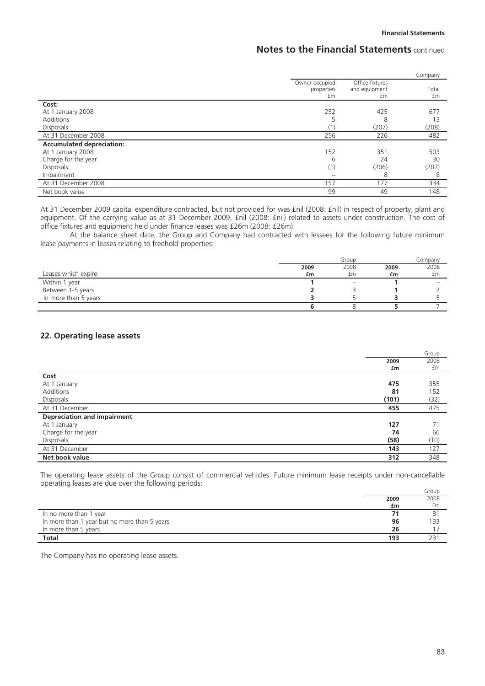|                                  |                                    |                                        | Company     |
|----------------------------------|------------------------------------|----------------------------------------|-------------|
|                                  | Owner-occupied<br>properties<br>£m | Office fixtures<br>and equipment<br>£m | Total<br>£m |
| Cost:                            |                                    |                                        |             |
| At 1 January 2008                | 252                                | 425                                    | 677         |
| Additions                        |                                    | 8                                      | 13          |
| <b>Disposals</b>                 |                                    | (207)                                  | (208)       |
| At 31 December 2008              | 256                                | 226                                    | 482         |
| <b>Accumulated depreciation:</b> |                                    |                                        |             |
| At 1 January 2008                | 152                                | 351                                    | 503         |
| Charge for the year              | 6                                  | 24                                     | 30          |
| <b>Disposals</b>                 | (1)                                | (206)                                  | (207)       |
| Impairment                       |                                    | 8                                      | 8           |
| At 31 December 2008              | 157                                | 177                                    | 334         |
| Net book value                   | 99                                 | 49                                     | 148         |

At 31 December 2009 capital expenditure contracted, but not provided for was £nil (2008: £nil) in respect of property, plant and equipment. Of the carrying value as at 31 December 2009, £nil (2008: £nil) related to assets under construction. The cost of office fixtures and equipment held under finance leases was £26m (2008: £26m).

At the balance sheet date, the Group and Company had contracted with lessees for the following future minimum lease payments in leases relating to freehold properties:

|                      | Group |      | Company |      |
|----------------------|-------|------|---------|------|
|                      | 2009  | 2008 | 2009    | 2008 |
| Leases which expire  | £m    | £m   | £m      | £m   |
| Within 1 year        |       |      |         |      |
| Between 1-5 years    |       |      |         |      |
| In more than 5 years |       |      |         |      |
|                      |       |      |         |      |

# **22. Operating lease assets**

|                                    |       | Group |
|------------------------------------|-------|-------|
|                                    | 2009  | 2008  |
|                                    | £m    | £m    |
| Cost                               |       |       |
| At 1 January                       | 475   | 355   |
| Additions                          | 81    | 152   |
| Disposals                          | (101) | (32)  |
| At 31 December                     | 455   | 475   |
| <b>Depreciation and impairment</b> |       |       |
| At 1 January                       | 127   | 71    |
| Charge for the year                | 74    | 66    |
| Disposals                          | (58)  | (10)  |
| At 31 December                     | 143   | 127   |
| Net book value                     | 312   | 348   |

The operating lease assets of the Group consist of commercial vehicles. Future minimum lease receipts under non-cancellable operating leases are due over the following periods:

|                                              |      | Group          |
|----------------------------------------------|------|----------------|
|                                              | 2009 | 2008           |
|                                              | £m   | £m             |
| In no more than 1 year                       |      | 8 <sup>1</sup> |
| In more than 1 year but no more than 5 years | 96   | 133            |
| In more than 5 years                         | 26   |                |
| <b>Total</b>                                 | 193  |                |

The Company has no operating lease assets.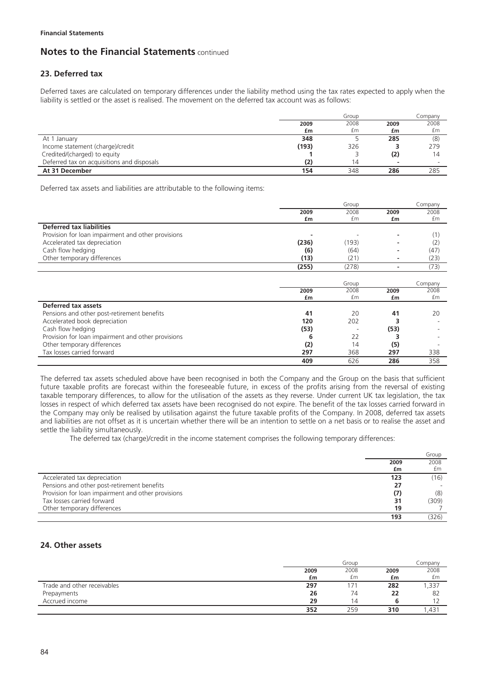# **23. Deferred tax**

Deferred taxes are calculated on temporary differences under the liability method using the tax rates expected to apply when the liability is settled or the asset is realised. The movement on the deferred tax account was as follows:

|                                            | Group |      | Company |      |
|--------------------------------------------|-------|------|---------|------|
|                                            | 2009  | 2008 | 2009    | 2008 |
|                                            | £m    | £m   | £m      | £m   |
| At 1 January                               | 348   |      | 285     | (8)  |
| Income statement (charge)/credit           | (193) | 326  |         | 279  |
| Credited/(charged) to equity               |       |      | (2)     | 14   |
| Deferred tax on acquisitions and disposals | (2)   | 14   |         |      |
| At 31 December                             | 154   | 348  | 286     | 285  |

Deferred tax assets and liabilities are attributable to the following items:

|                                                    |       | Group |      | Company |
|----------------------------------------------------|-------|-------|------|---------|
|                                                    | 2009  | 2008  | 2009 | 2008    |
|                                                    | £m    | £m    | £m   | £m      |
| <b>Deferred tax liabilities</b>                    |       |       |      |         |
| Provision for loan impairment and other provisions |       |       |      | (1)     |
| Accelerated tax depreciation                       | (236) | (193) |      | (2)     |
| Cash flow hedging                                  | (6)   | (64)  |      | (47)    |
| Other temporary differences                        | (13)  | (21)  |      | (23)    |
|                                                    | (255) | (278) |      | (73)    |
|                                                    |       |       |      |         |
|                                                    |       | Group |      | Company |
|                                                    | 2009  | 2008  | 2009 | 2008    |
|                                                    | £m    | £m    | £m   | £m      |
| Deferred tax assets                                |       |       |      |         |
| Pensions and other post-retirement benefits        | 41    | 20    | 41   | 20      |
| Accelerated book depreciation                      | 120   | 202   |      |         |
| Cash flow hedging                                  | (53)  |       | (53) |         |
| Provision for loan impairment and other provisions | 6     | 22    |      |         |
| Other temporary differences                        | (2)   | 14    | (5)  |         |
| Tax losses carried forward                         | 297   | 368   | 297  | 338     |
|                                                    | 409   | 626   | 286  | 358     |

The deferred tax assets scheduled above have been recognised in both the Company and the Group on the basis that sufficient future taxable profits are forecast within the foreseeable future, in excess of the profits arising from the reversal of existing taxable temporary differences, to allow for the utilisation of the assets as they reverse. Under current UK tax legislation, the tax losses in respect of which deferred tax assets have been recognised do not expire. The benefit of the tax losses carried forward in the Company may only be realised by utilisation against the future taxable profits of the Company. In 2008, deferred tax assets and liabilities are not offset as it is uncertain whether there will be an intention to settle on a net basis or to realise the asset and settle the liability simultaneously.

The deferred tax (charge)/credit in the income statement comprises the following temporary differences:

|                                                    |      | Group |
|----------------------------------------------------|------|-------|
|                                                    | 2009 | 2008  |
|                                                    | £m   | £m    |
| Accelerated tax depreciation                       | 123  | (16)  |
| Pensions and other post-retirement benefits        | 27   |       |
| Provision for loan impairment and other provisions | (7)  | (8)   |
| Tax losses carried forward                         | 31   | (309) |
| Other temporary differences                        | 19   |       |
|                                                    | 193  | (326) |

# **24. Other assets**

|                             |      | Group |      | Company          |
|-----------------------------|------|-------|------|------------------|
|                             | 2009 | 2008  | 2009 | 2008             |
|                             | £m   | £m    | £m   | £m               |
| Trade and other receivables | 297  |       | 282  | ,337             |
| Prepayments                 | 26   | 74    | 22   | 82               |
| Accrued income              | 29   | 4     |      |                  |
|                             | 352  | 259   | 310  | ,43 <sup>.</sup> |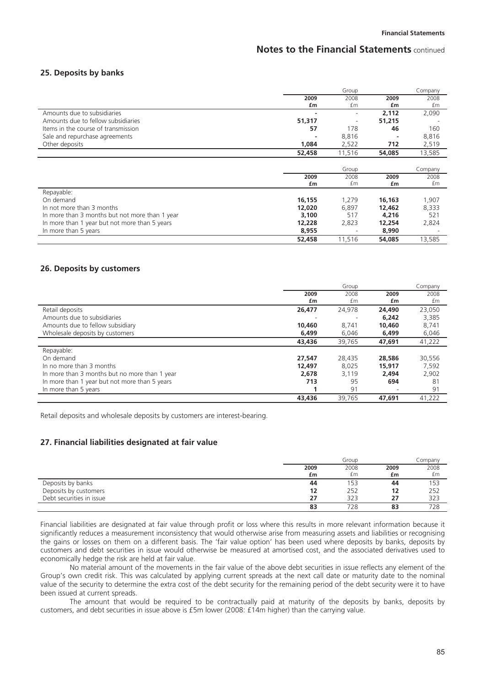### **25. Deposits by banks**

|                                                                                                 |        | Group                    |        | Company |
|-------------------------------------------------------------------------------------------------|--------|--------------------------|--------|---------|
|                                                                                                 | 2009   | 2008                     | 2009   | 2008    |
|                                                                                                 | £m     | £m                       | £m     | £m      |
| Amounts due to subsidiaries                                                                     |        |                          | 2,112  | 2,090   |
| Amounts due to fellow subsidiaries                                                              | 51,317 | $\overline{\phantom{a}}$ | 51,215 |         |
| Items in the course of transmission                                                             | 57     | 178                      | 46     | 160     |
| Sale and repurchase agreements                                                                  |        | 8,816                    |        | 8,816   |
| Other deposits                                                                                  | 1,084  | 2,522                    | 712    | 2,519   |
|                                                                                                 | 52,458 | 11,516                   | 54,085 | 13,585  |
|                                                                                                 |        |                          |        |         |
|                                                                                                 |        |                          |        |         |
|                                                                                                 |        | Group                    |        | Company |
|                                                                                                 | 2009   | 2008                     | 2009   | 2008    |
|                                                                                                 | £m     | £m                       | £m     | £m      |
| Repayable:                                                                                      |        |                          |        |         |
| On demand                                                                                       | 16,155 | 1,279                    | 16,163 | 1,907   |
| In not more than 3 months                                                                       | 12,020 | 6,897                    | 12,462 | 8,333   |
|                                                                                                 | 3,100  | 517                      | 4,216  | 521     |
| In more than 3 months but not more than 1 year<br>In more than 1 year but not more than 5 years | 12,228 | 2,823                    | 12,254 | 2,824   |
| In more than 5 years                                                                            | 8,955  |                          | 8,990  |         |

### **26. Deposits by customers**

|                                               |        | Group  |        | Company |
|-----------------------------------------------|--------|--------|--------|---------|
|                                               | 2009   | 2008   | 2009   | 2008    |
|                                               | £m     | £m     | £m     | £m      |
| Retail deposits                               | 26,477 | 24.978 | 24,490 | 23,050  |
| Amounts due to subsidiaries                   |        |        | 6,242  | 3,385   |
| Amounts due to fellow subsidiary              | 10,460 | 8.741  | 10,460 | 8,741   |
| Wholesale deposits by customers               | 6,499  | 6,046  | 6,499  | 6,046   |
|                                               | 43,436 | 39,765 | 47,691 | 41,222  |
| Repayable:                                    |        |        |        |         |
| On demand                                     | 27.547 | 28.435 | 28,586 | 30,556  |
| In no more than 3 months                      | 12,497 | 8,025  | 15,917 | 7,592   |
| In more than 3 months but no more than 1 year | 2.678  | 3.119  | 2.494  | 2,902   |
| In more than 1 year but not more than 5 years | 713    | 95     | 694    | 81      |
| In more than 5 years                          |        | 91     |        | 91      |
|                                               | 43,436 | 39.765 | 47,691 | 41.222  |

Retail deposits and wholesale deposits by customers are interest-bearing.

## **27. Financial liabilities designated at fair value**

|                          |      | Group |      | Company |
|--------------------------|------|-------|------|---------|
|                          | 2009 | 2008  | 2009 | 2008    |
|                          | £m   | £m    | £m   | £m      |
| Deposits by banks        | 44   | 153   | 44   | 153     |
| Deposits by customers    | 12   | 252   | 12   | 252     |
| Debt securities in issue | 27   | 323   | 27   | 323     |
|                          | 83   | 728   | 83   | 728     |

Financial liabilities are designated at fair value through profit or loss where this results in more relevant information because it significantly reduces a measurement inconsistency that would otherwise arise from measuring assets and liabilities or recognising the gains or losses on them on a different basis. The 'fair value option' has been used where deposits by banks, deposits by customers and debt securities in issue would otherwise be measured at amortised cost, and the associated derivatives used to economically hedge the risk are held at fair value.

No material amount of the movements in the fair value of the above debt securities in issue reflects any element of the Group's own credit risk. This was calculated by applying current spreads at the next call date or maturity date to the nominal value of the security to determine the extra cost of the debt security for the remaining period of the debt security were it to have been issued at current spreads.

The amount that would be required to be contractually paid at maturity of the deposits by banks, deposits by customers, and debt securities in issue above is £5m lower (2008: £14m higher) than the carrying value.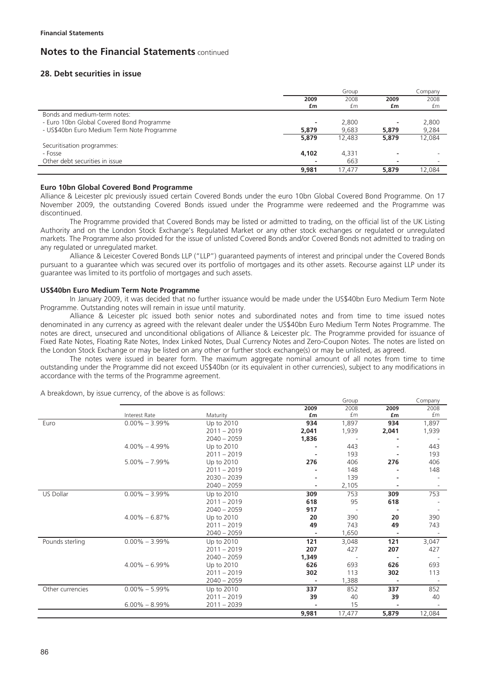# **28. Debt securities in issue**

|                                            |                | Group  |                          | Company |
|--------------------------------------------|----------------|--------|--------------------------|---------|
|                                            | 2009           | 2008   | 2009                     | 2008    |
|                                            | £m             | £m     | £m                       | £m      |
| Bonds and medium-term notes:               |                |        |                          |         |
| - Euro 10bn Global Covered Bond Programme  | $\overline{a}$ | 2,800  |                          | 2,800   |
| - US\$40bn Euro Medium Term Note Programme | 5,879          | 9.683  | 5,879                    | 9,284   |
|                                            | 5,879          | 12,483 | 5,879                    | 12,084  |
| Securitisation programmes:                 |                |        |                          |         |
| - Fosse                                    | 4,102          | 4.331  | $\overline{\phantom{a}}$ |         |
| Other debt securities in issue             |                | 663    | $\overline{\phantom{a}}$ |         |
|                                            | 9.981          | 17.477 | 5,879                    | 12.084  |

### **Euro 10bn Global Covered Bond Programme**

Alliance & Leicester plc previously issued certain Covered Bonds under the euro 10bn Global Covered Bond Programme. On 17 November 2009, the outstanding Covered Bonds issued under the Programme were redeemed and the Programme was discontinued.

The Programme provided that Covered Bonds may be listed or admitted to trading, on the official list of the UK Listing Authority and on the London Stock Exchange's Regulated Market or any other stock exchanges or regulated or unregulated markets. The Programme also provided for the issue of unlisted Covered Bonds and/or Covered Bonds not admitted to trading on any regulated or unregulated market.

Alliance & Leicester Covered Bonds LLP ("LLP") guaranteed payments of interest and principal under the Covered Bonds pursuant to a guarantee which was secured over its portfolio of mortgages and its other assets. Recourse against LLP under its guarantee was limited to its portfolio of mortgages and such assets.

### **US\$40bn Euro Medium Term Note Programme**

In January 2009, it was decided that no further issuance would be made under the US\$40bn Euro Medium Term Note Programme. Outstanding notes will remain in issue until maturity.

Alliance & Leicester plc issued both senior notes and subordinated notes and from time to time issued notes denominated in any currency as agreed with the relevant dealer under the US\$40bn Euro Medium Term Notes Programme. The notes are direct, unsecured and unconditional obligations of Alliance & Leicester plc. The Programme provided for issuance of Fixed Rate Notes, Floating Rate Notes, Index Linked Notes, Dual Currency Notes and Zero-Coupon Notes. The notes are listed on the London Stock Exchange or may be listed on any other or further stock exchange(s) or may be unlisted, as agreed.

The notes were issued in bearer form. The maximum aggregate nominal amount of all notes from time to time outstanding under the Programme did not exceed US\$40bn (or its equivalent in other currencies), subject to any modifications in accordance with the terms of the Programme agreement.

|                  |                   |               |       | Group  |                          | Company |
|------------------|-------------------|---------------|-------|--------|--------------------------|---------|
|                  |                   |               | 2009  | 2008   | 2009                     | 2008    |
|                  | Interest Rate     | Maturity      | £m    | £m     | £m                       | £m      |
| Euro             | $0.00\% - 3.99\%$ | Up to 2010    | 934   | 1,897  | 934                      | 1,897   |
|                  |                   | $2011 - 2019$ | 2,041 | 1,939  | 2,041                    | 1,939   |
|                  |                   | $2040 - 2059$ | 1,836 |        |                          |         |
|                  | $4.00\% - 4.99\%$ | Up to 2010    |       | 443    |                          | 443     |
|                  |                   | $2011 - 2019$ |       | 193    |                          | 193     |
|                  | $5.00\% - 7.99\%$ | Up to 2010    | 276   | 406    | 276                      | 406     |
|                  |                   | $2011 - 2019$ |       | 148    |                          | 148     |
|                  |                   | $2030 - 2039$ |       | 139    |                          |         |
|                  |                   | $2040 - 2059$ |       | 2,105  | ۰                        |         |
| US Dollar        | $0.00\% - 3.99\%$ | Up to 2010    | 309   | 753    | 309                      | 753     |
|                  |                   | $2011 - 2019$ | 618   | 95     | 618                      |         |
|                  |                   | $2040 - 2059$ | 917   |        |                          |         |
|                  | $4.00\% - 6.87\%$ | Up to 2010    | 20    | 390    | 20                       | 390     |
|                  |                   | $2011 - 2019$ | 49    | 743    | 49                       | 743     |
|                  |                   | $2040 - 2059$ |       | 1,650  | ٠                        |         |
| Pounds sterling  | $0.00\% - 3.99\%$ | Up to 2010    | 121   | 3,048  | 121                      | 3,047   |
|                  |                   | $2011 - 2019$ | 207   | 427    | 207                      | 427     |
|                  |                   | $2040 - 2059$ | 1,349 |        |                          |         |
|                  | $4.00\% - 6.99\%$ | Up to 2010    | 626   | 693    | 626                      | 693     |
|                  |                   | $2011 - 2019$ | 302   | 113    | 302                      | 113     |
|                  |                   | $2040 - 2059$ |       | 1,388  | $\overline{\phantom{a}}$ |         |
| Other currencies | $0.00\% - 5.99\%$ | Up to 2010    | 337   | 852    | 337                      | 852     |
|                  |                   | $2011 - 2019$ | 39    | 40     | 39                       | 40      |
|                  | $6.00\% - 8.99\%$ | $2011 - 2039$ |       | 15     |                          |         |
|                  |                   |               | 9,981 | 17,477 | 5,879                    | 12,084  |

A breakdown, by issue currency, of the above is as follows: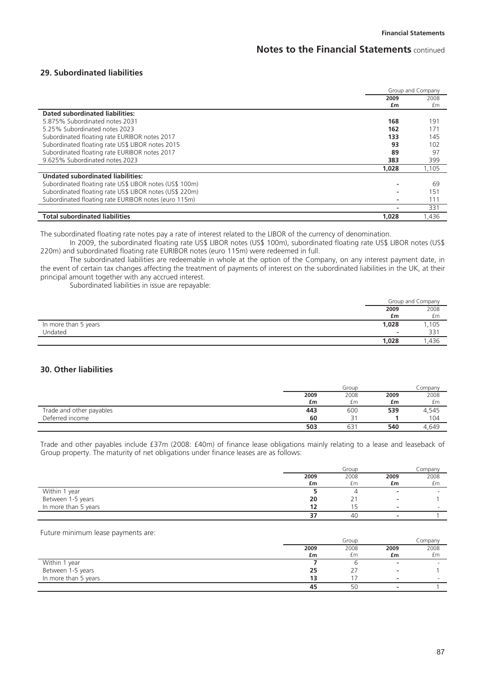### **29. Subordinated liabilities**

|                                                         | Group and Company |       |
|---------------------------------------------------------|-------------------|-------|
|                                                         | 2009              | 2008  |
|                                                         | £m                | £m    |
| Dated subordinated liabilities:                         |                   |       |
| 5.875% Subordinated notes 2031                          | 168               | 191   |
| 5.25% Subordinated notes 2023                           | 162               | 171   |
| Subordinated floating rate EURIBOR notes 2017           | 133               | 145   |
| Subordinated floating rate US\$ LIBOR notes 2015        | 93                | 102   |
| Subordinated floating rate EURIBOR notes 2017           | 89                | 97    |
| 9.625% Subordinated notes 2023                          | 383               | 399   |
|                                                         | 1,028             | 1,105 |
| <b>Undated subordinated liabilities:</b>                |                   |       |
| Subordinated floating rate US\$ LIBOR notes (US\$ 100m) |                   | 69    |
| Subordinated floating rate US\$ LIBOR notes (US\$ 220m) |                   | 151   |
| Subordinated floating rate EURIBOR notes (euro 115m)    |                   | 111   |
|                                                         |                   | 331   |
| <b>Total subordinated liabilities</b>                   | 1.028             | 1.436 |

The subordinated floating rate notes pay a rate of interest related to the LIBOR of the currency of denomination.

In 2009, the subordinated floating rate US\$ LIBOR notes (US\$ 100m), subordinated floating rate US\$ LIBOR notes (US\$ 220m) and subordinated floating rate EURIBOR notes (euro 115m) were redeemed in full.

The subordinated liabilities are redeemable in whole at the option of the Company, on any interest payment date, in the event of certain tax changes affecting the treatment of payments of interest on the subordinated liabilities in the UK, at their principal amount together with any accrued interest.

Subordinated liabilities in issue are repayable:

|                      |                          | Group and Company |
|----------------------|--------------------------|-------------------|
|                      | 2009                     | 2008              |
|                      | £m                       | £m                |
| In more than 5 years | 1,028                    | 1,105             |
| Undated              | $\overline{\phantom{0}}$ | 331               |
|                      | 1,028                    | ,436              |

# **30. Other liabilities**

|                          |      | Group |      | Company |
|--------------------------|------|-------|------|---------|
|                          | 2009 | 2008  | 2009 | 2008    |
|                          | £m   | £m    | £m   | £m      |
| Trade and other payables | 443  | 600   | 539  | 4,545   |
| Deferred income          | 60   |       |      | 104     |
|                          | 503  | 631   | 540  | 4.649   |

Trade and other payables include £37m (2008: £40m) of finance lease obligations mainly relating to a lease and leaseback of Group property. The maturity of net obligations under finance leases are as follows:

|                      |      | Group |      | Company |
|----------------------|------|-------|------|---------|
|                      | 2009 | 2008  | 2009 | 2008    |
|                      | £m   | £m    | £m   | £m      |
| Within 1 year        |      |       |      |         |
| Between 1-5 years    | 20   |       |      |         |
| In more than 5 years | 12   | ר ו   |      |         |
|                      | 37   | 40    |      |         |

### Future minimum lease payments are:

|                      |      | Group |      | Company                  |
|----------------------|------|-------|------|--------------------------|
|                      | 2009 | 2008  | 2009 | 2008                     |
|                      | £m   | £m    | £m   | £m                       |
| Within 1 year        |      |       |      |                          |
| Between 1-5 years    | 25   |       |      |                          |
| In more than 5 years | 13   |       |      | $\overline{\phantom{a}}$ |
|                      | 45   | 50    |      |                          |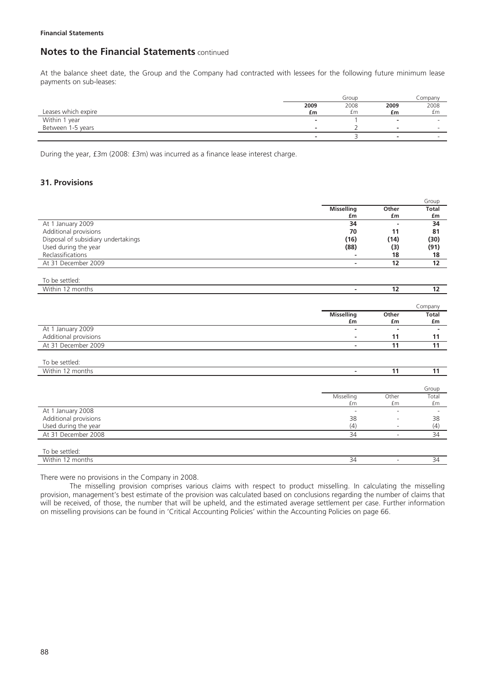At the balance sheet date, the Group and the Company had contracted with lessees for the following future minimum lease payments on sub-leases:

|                     |                          | Group |          | Company |
|---------------------|--------------------------|-------|----------|---------|
|                     | 2009                     | 2008  | 2009     | 2008    |
| Leases which expire | £m                       | £m    | £m       | £m      |
| Within 1 year       | $\overline{\phantom{a}}$ |       |          |         |
| Between 1-5 years   | $\sim$                   |       | <b>.</b> |         |
|                     |                          |       |          |         |

During the year, £3m (2008: £3m) was incurred as a finance lease interest charge.

# **31. Provisions**

|                                     |                          |                          | Group           |
|-------------------------------------|--------------------------|--------------------------|-----------------|
|                                     | <b>Misselling</b>        | Other                    | Total           |
|                                     | £m                       | £m                       | £m              |
| At 1 January 2009                   | 34                       | $\blacksquare$           | 34              |
| Additional provisions               | 70                       | 11                       | 81              |
| Disposal of subsidiary undertakings | (16)                     | (14)                     | (30)            |
| Used during the year                | (88)                     | (3)                      | (91)            |
| Reclassifications                   | $\sim$                   | 18                       | 18              |
| At 31 December 2009                 | $\blacksquare$           | 12                       | 12              |
|                                     |                          |                          |                 |
| To be settled:                      |                          |                          |                 |
| Within 12 months                    | $\overline{\phantom{a}}$ | 12                       | 12              |
|                                     |                          |                          | Company         |
|                                     | <b>Misselling</b>        | Other                    | Total           |
|                                     | £m                       | £m                       | £m              |
| At 1 January 2009                   | $\overline{\phantom{a}}$ | $\blacksquare$           | $\blacksquare$  |
| Additional provisions               | $\sim$                   | 11                       | 11              |
| At 31 December 2009                 | $\sim$                   | 11                       | 11              |
|                                     |                          |                          |                 |
| To be settled:                      |                          |                          |                 |
| Within 12 months                    | $\overline{\phantom{a}}$ | 11                       | 11              |
|                                     |                          |                          | Group           |
|                                     | Misselling               | Other                    | Total           |
|                                     | £m                       | £m                       | £m              |
| At 1 January 2008                   | $\overline{\phantom{a}}$ |                          |                 |
| Additional provisions               | 38                       |                          | 38              |
| Used during the year                | (4)                      | $\overline{\phantom{a}}$ | (4)             |
| At 31 December 2008                 | $\overline{34}$          | $\overline{\phantom{a}}$ | $\overline{34}$ |
|                                     |                          |                          |                 |
| To be settled:                      |                          |                          |                 |
| Within 12 months                    | 34                       | $\overline{\phantom{a}}$ | 34              |
|                                     |                          |                          |                 |

There were no provisions in the Company in 2008.

The misselling provision comprises various claims with respect to product misselling. In calculating the misselling provision, management's best estimate of the provision was calculated based on conclusions regarding the number of claims that will be received, of those, the number that will be upheld, and the estimated average settlement per case. Further information on misselling provisions can be found in 'Critical Accounting Policies' within the Accounting Policies on page 66.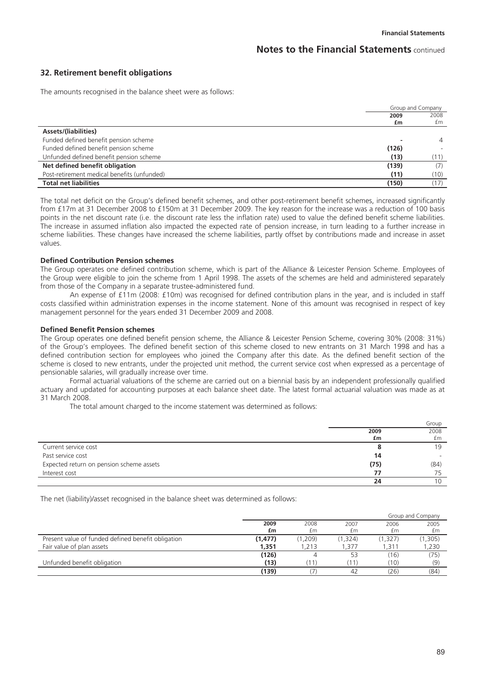### **32. Retirement benefit obligations**

The amounts recognised in the balance sheet were as follows:

|                                             | Group and Company |      |
|---------------------------------------------|-------------------|------|
|                                             | 2009              | 2008 |
|                                             | £m                | £m   |
| Assets/(liabilities)                        |                   |      |
| Funded defined benefit pension scheme       |                   | 4    |
| Funded defined benefit pension scheme       | (126)             |      |
| Unfunded defined benefit pension scheme     | (13)              | (11) |
| Net defined benefit obligation              | (139)             |      |
| Post-retirement medical benefits (unfunded) | (11)              | (10) |
| <b>Total net liabilities</b>                | (150)             |      |

The total net deficit on the Group's defined benefit schemes, and other post-retirement benefit schemes, increased significantly from £17m at 31 December 2008 to £150m at 31 December 2009. The key reason for the increase was a reduction of 100 basis points in the net discount rate (i.e. the discount rate less the inflation rate) used to value the defined benefit scheme liabilities. The increase in assumed inflation also impacted the expected rate of pension increase, in turn leading to a further increase in scheme liabilities. These changes have increased the scheme liabilities, partly offset by contributions made and increase in asset values.

#### **Defined Contribution Pension schemes**

The Group operates one defined contribution scheme, which is part of the Alliance & Leicester Pension Scheme. Employees of the Group were eligible to join the scheme from 1 April 1998. The assets of the schemes are held and administered separately from those of the Company in a separate trustee-administered fund.

An expense of £11m (2008: £10m) was recognised for defined contribution plans in the year, and is included in staff costs classified within administration expenses in the income statement. None of this amount was recognised in respect of key management personnel for the years ended 31 December 2009 and 2008.

#### **Defined Benefit Pension schemes**

The Group operates one defined benefit pension scheme, the Alliance & Leicester Pension Scheme, covering 30% (2008: 31%) of the Group's employees. The defined benefit section of this scheme closed to new entrants on 31 March 1998 and has a defined contribution section for employees who joined the Company after this date. As the defined benefit section of the scheme is closed to new entrants, under the projected unit method, the current service cost when expressed as a percentage of pensionable salaries, will gradually increase over time.

Formal actuarial valuations of the scheme are carried out on a biennial basis by an independent professionally qualified actuary and updated for accounting purposes at each balance sheet date. The latest formal actuarial valuation was made as at 31 March 2008.

The total amount charged to the income statement was determined as follows:

|                                          |      | Group |
|------------------------------------------|------|-------|
|                                          | 2009 | 2008  |
|                                          | £m   | £m    |
| Current service cost                     |      | 19    |
| Past service cost                        | 14   |       |
| Expected return on pension scheme assets | (75) | (84)  |
| Interest cost                            | 77   |       |
|                                          | 24   |       |

The net (liability)/asset recognised in the balance sheet was determined as follows:

|                                                    |          |       |         |         | Group and Company |
|----------------------------------------------------|----------|-------|---------|---------|-------------------|
|                                                    | 2009     | 2008  | 2007    | 2006    | 2005              |
|                                                    | £m       | £m    | £m      | £m      | £m                |
| Present value of funded defined benefit obligation | (1, 477) | 1,209 | (1,324) | (1,327) | (1, 305)          |
| Fair value of plan assets                          | 1,351    | .213  | .377    | .311    | 1,230             |
|                                                    | (126)    | 4     | 53      | (16)    | (75)              |
| Unfunded benefit obligation                        | (13)     | 11    |         | (10)    | (9)               |
|                                                    | (139)    |       |         | (26)    | (84)              |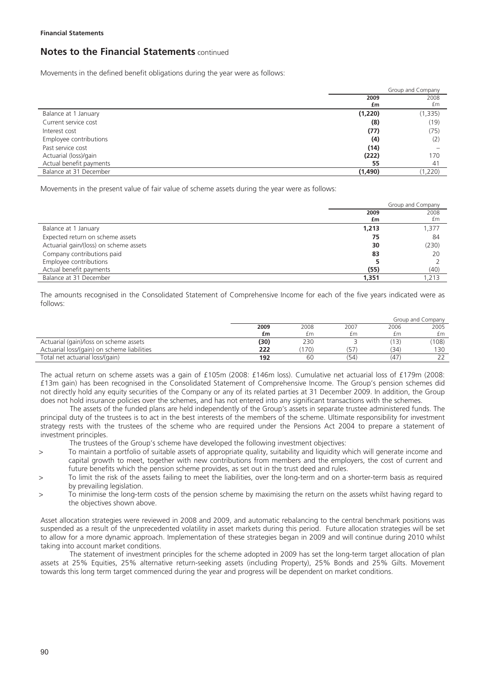Movements in the defined benefit obligations during the year were as follows:

|                         | Group and Company |          |
|-------------------------|-------------------|----------|
|                         | 2009              | 2008     |
|                         | £m                | £m       |
| Balance at 1 January    | (1,220)           | (1, 335) |
| Current service cost    | (8)               | (19)     |
| Interest cost           | (77)              | (75)     |
| Employee contributions  | (4)               | (2)      |
| Past service cost       | (14)              |          |
| Actuarial (loss)/gain   | (222)             | 170      |
| Actual benefit payments | 55                | 41       |
| Balance at 31 December  | (1,490)           | (1,220)  |

Movements in the present value of fair value of scheme assets during the year were as follows:

|                                        | Group and Company |       |
|----------------------------------------|-------------------|-------|
|                                        | 2009              | 2008  |
|                                        | £m                | £m    |
| Balance at 1 January                   | 1,213             | 1,377 |
| Expected return on scheme assets       | 75                | 84    |
| Actuarial gain/(loss) on scheme assets | 30                | (230) |
| Company contributions paid             | 83                | 20    |
| Employee contributions                 |                   |       |
| Actual benefit payments                | (55)              | (40)  |
| Balance at 31 December                 | 1,351             | 1.213 |

The amounts recognised in the Consolidated Statement of Comprehensive Income for each of the five years indicated were as follows:

|                                             |      |      |      |      | Group and Company |
|---------------------------------------------|------|------|------|------|-------------------|
|                                             | 2009 | 2008 | 2007 | 2006 | 2005              |
|                                             | £m   | fm   | £m   | fm   | £m                |
| Actuarial (gain)/loss on scheme assets      | (30) | 230  |      | 13)  | (108)             |
| Actuarial loss/(gain) on scheme liabilities | 222  | 170  | (57) | (34) | 130               |
| Total net actuarial loss/(gain)             | 192  | 60   | (54  | (47) |                   |

The actual return on scheme assets was a gain of £105m (2008: £146m loss). Cumulative net actuarial loss of £179m (2008: £13m gain) has been recognised in the Consolidated Statement of Comprehensive Income. The Group's pension schemes did not directly hold any equity securities of the Company or any of its related parties at 31 December 2009. In addition, the Group does not hold insurance policies over the schemes, and has not entered into any significant transactions with the schemes.

The assets of the funded plans are held independently of the Group's assets in separate trustee administered funds. The principal duty of the trustees is to act in the best interests of the members of the scheme. Ultimate responsibility for investment strategy rests with the trustees of the scheme who are required under the Pensions Act 2004 to prepare a statement of investment principles.

The trustees of the Group's scheme have developed the following investment objectives:

- > To maintain a portfolio of suitable assets of appropriate quality, suitability and liquidity which will generate income and capital growth to meet, together with new contributions from members and the employers, the cost of current and future benefits which the pension scheme provides, as set out in the trust deed and rules.
- > To limit the risk of the assets failing to meet the liabilities, over the long-term and on a shorter-term basis as required by prevailing legislation.
- > To minimise the long-term costs of the pension scheme by maximising the return on the assets whilst having regard to the objectives shown above.

Asset allocation strategies were reviewed in 2008 and 2009, and automatic rebalancing to the central benchmark positions was suspended as a result of the unprecedented volatility in asset markets during this period. Future allocation strategies will be set to allow for a more dynamic approach. Implementation of these strategies began in 2009 and will continue during 2010 whilst taking into account market conditions.

The statement of investment principles for the scheme adopted in 2009 has set the long-term target allocation of plan assets at 25% Equities, 25% alternative return-seeking assets (including Property), 25% Bonds and 25% Gilts. Movement towards this long term target commenced during the year and progress will be dependent on market conditions.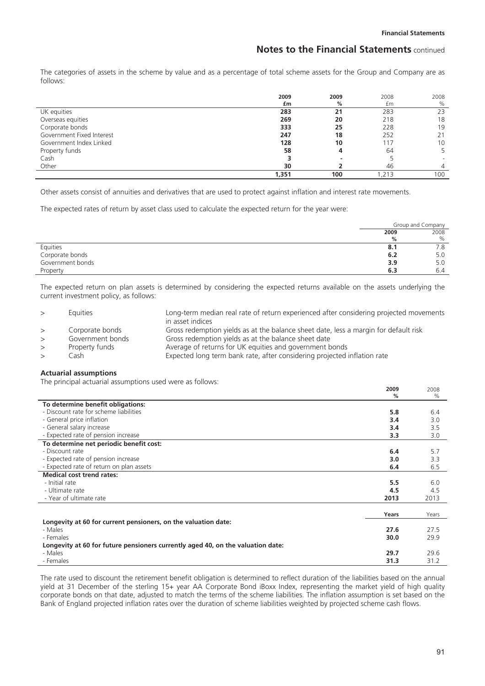**2009** 

2008

# **Notes to the Financial Statements** continued

The categories of assets in the scheme by value and as a percentage of total scheme assets for the Group and Company are as follows:

|                           | 2009  | 2009 | 2008 | 2008           |
|---------------------------|-------|------|------|----------------|
|                           | £m    | %    | £m   | $\%$           |
| UK equities               | 283   | 21   | 283  | 23             |
| Overseas equities         | 269   | 20   | 218  | 18             |
| Corporate bonds           | 333   | 25   | 228  | 19             |
| Government Fixed Interest | 247   | 18   | 252  | 21             |
| Government Index Linked   | 128   | 10   | 117  | 10             |
| Property funds            | 58    |      | 64   | 5              |
| Cash                      |       |      |      |                |
| Other                     | 30    |      | 46   | $\overline{4}$ |
|                           | 1,351 | 100  | .213 | 100            |

Other assets consist of annuities and derivatives that are used to protect against inflation and interest rate movements.

The expected rates of return by asset class used to calculate the expected return for the year were:

|                  | Group and Company |      |
|------------------|-------------------|------|
|                  | 2009              | 2008 |
|                  | %                 | $\%$ |
| Equities         | 8.1               | 7.8  |
| Corporate bonds  | 6.2               | 5.0  |
| Government bonds | 3.9               | 5.0  |
| Property         | 6.3               | 6.4  |

The expected return on plan assets is determined by considering the expected returns available on the assets underlying the current investment policy, as follows:

| $\geq$ | <b>Equities</b>  | Long-term median real rate of return experienced after considering projected movements<br>in asset indices |
|--------|------------------|------------------------------------------------------------------------------------------------------------|
| >      | Corporate bonds  | Gross redemption yields as at the balance sheet date, less a margin for default risk                       |
| $\geq$ | Government bonds | Gross redemption yields as at the balance sheet date                                                       |
| $\geq$ | Property funds   | Average of returns for UK equities and government bonds                                                    |
| $\geq$ | Cash             | Expected long term bank rate, after considering projected inflation rate                                   |

### **Actuarial assumptions**

The principal actuarial assumptions used were as follows:

|                                                                                 | 2009  | ZUUÖ  |
|---------------------------------------------------------------------------------|-------|-------|
|                                                                                 | $\%$  | $\%$  |
| To determine benefit obligations:                                               |       |       |
| - Discount rate for scheme liabilities                                          | 5.8   | 6.4   |
| - General price inflation                                                       | 3.4   | 3.0   |
| - General salary increase                                                       | 3.4   | 3.5   |
| - Expected rate of pension increase                                             | 3.3   | 3.0   |
| To determine net periodic benefit cost:                                         |       |       |
| - Discount rate                                                                 | 6.4   | 5.7   |
| - Expected rate of pension increase                                             | 3.0   | 3.3   |
| - Expected rate of return on plan assets                                        | 6.4   | 6.5   |
| <b>Medical cost trend rates:</b>                                                |       |       |
| - Initial rate                                                                  | 5.5   | 6.0   |
| - Ultimate rate                                                                 | 4.5   | 4.5   |
| - Year of ultimate rate                                                         | 2013  | 2013  |
|                                                                                 |       |       |
|                                                                                 | Years | Years |
| Longevity at 60 for current pensioners, on the valuation date:                  |       |       |
| - Males                                                                         | 27.6  | 27.5  |
| - Females                                                                       | 30.0  | 29.9  |
| Longevity at 60 for future pensioners currently aged 40, on the valuation date: |       |       |
| - Males                                                                         | 29.7  | 29.6  |
| - Females                                                                       | 31.3  | 31.2  |

The rate used to discount the retirement benefit obligation is determined to reflect duration of the liabilities based on the annual yield at 31 December of the sterling 15+ year AA Corporate Bond iBoxx Index, representing the market yield of high quality corporate bonds on that date, adjusted to match the terms of the scheme liabilities. The inflation assumption is set based on the Bank of England projected inflation rates over the duration of scheme liabilities weighted by projected scheme cash flows.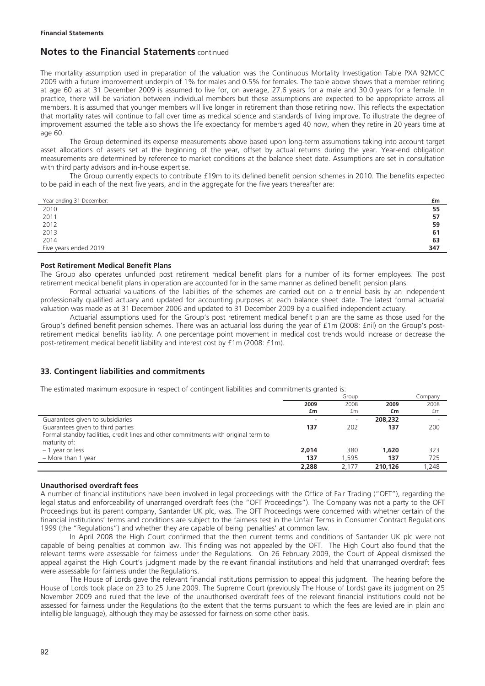The mortality assumption used in preparation of the valuation was the Continuous Mortality Investigation Table PXA 92MCC 2009 with a future improvement underpin of 1% for males and 0.5% for females. The table above shows that a member retiring at age 60 as at 31 December 2009 is assumed to live for, on average, 27.6 years for a male and 30.0 years for a female. In practice, there will be variation between individual members but these assumptions are expected to be appropriate across all members. It is assumed that younger members will live longer in retirement than those retiring now. This reflects the expectation that mortality rates will continue to fall over time as medical science and standards of living improve. To illustrate the degree of improvement assumed the table also shows the life expectancy for members aged 40 now, when they retire in 20 years time at age 60.

The Group determined its expense measurements above based upon long-term assumptions taking into account target asset allocations of assets set at the beginning of the year, offset by actual returns during the year. Year-end obligation measurements are determined by reference to market conditions at the balance sheet date. Assumptions are set in consultation with third party advisors and in-house expertise.

The Group currently expects to contribute £19m to its defined benefit pension schemes in 2010. The benefits expected to be paid in each of the next five years, and in the aggregate for the five years thereafter are:

| Year ending 31 December: | £m  |
|--------------------------|-----|
| 2010                     | 55  |
| 2011                     | 57  |
| 2012                     | 59  |
| 2013                     | 61  |
| 2014                     | 63  |
| Five years ended 2019    | 347 |

### **Post Retirement Medical Benefit Plans**

The Group also operates unfunded post retirement medical benefit plans for a number of its former employees. The post retirement medical benefit plans in operation are accounted for in the same manner as defined benefit pension plans.

Formal actuarial valuations of the liabilities of the schemes are carried out on a triennial basis by an independent professionally qualified actuary and updated for accounting purposes at each balance sheet date. The latest formal actuarial valuation was made as at 31 December 2006 and updated to 31 December 2009 by a qualified independent actuary.

Actuarial assumptions used for the Group's post retirement medical benefit plan are the same as those used for the Group's defined benefit pension schemes. There was an actuarial loss during the year of £1m (2008: £nil) on the Group's postretirement medical benefits liability. A one percentage point movement in medical cost trends would increase or decrease the post-retirement medical benefit liability and interest cost by £1m (2008: £1m).

# **33. Contingent liabilities and commitments**

The estimated maximum exposure in respect of contingent liabilities and commitments granted is:

|                                                                                     |       | Group                    |         | Company |
|-------------------------------------------------------------------------------------|-------|--------------------------|---------|---------|
|                                                                                     | 2009  | 2008                     | 2009    | 2008    |
|                                                                                     | £m    | £m                       | £m      | £m      |
| Guarantees given to subsidiaries                                                    |       | $\overline{\phantom{0}}$ | 208,232 |         |
| Guarantees given to third parties                                                   | 137   | 202                      | 137     | 200     |
| Formal standby facilities, credit lines and other commitments with original term to |       |                          |         |         |
| maturity of:                                                                        |       |                          |         |         |
| - 1 year or less                                                                    | 2.014 | 380                      | 1,620   | 323     |
| $-$ More than 1 year                                                                | 137   | 1.595                    | 137     | 725     |
|                                                                                     | 2.288 | 2.177                    | 210.126 | .248    |

### **Unauthorised overdraft fees**

A number of financial institutions have been involved in legal proceedings with the Office of Fair Trading ("OFT"), regarding the legal status and enforceability of unarranged overdraft fees (the "OFT Proceedings"). The Company was not a party to the OFT Proceedings but its parent company, Santander UK plc, was. The OFT Proceedings were concerned with whether certain of the financial institutions' terms and conditions are subject to the fairness test in the Unfair Terms in Consumer Contract Regulations 1999 (the "Regulations") and whether they are capable of being 'penalties' at common law.

In April 2008 the High Court confirmed that the then current terms and conditions of Santander UK plc were not capable of being penalties at common law. This finding was not appealed by the OFT. The High Court also found that the relevant terms were assessable for fairness under the Regulations. On 26 February 2009, the Court of Appeal dismissed the appeal against the High Court's judgment made by the relevant financial institutions and held that unarranged overdraft fees were assessable for fairness under the Regulations.

The House of Lords gave the relevant financial institutions permission to appeal this judgment. The hearing before the House of Lords took place on 23 to 25 June 2009. The Supreme Court (previously The House of Lords) gave its judgment on 25 November 2009 and ruled that the level of the unauthorised overdraft fees of the relevant financial institutions could not be assessed for fairness under the Regulations (to the extent that the terms pursuant to which the fees are levied are in plain and intelligible language), although they may be assessed for fairness on some other basis.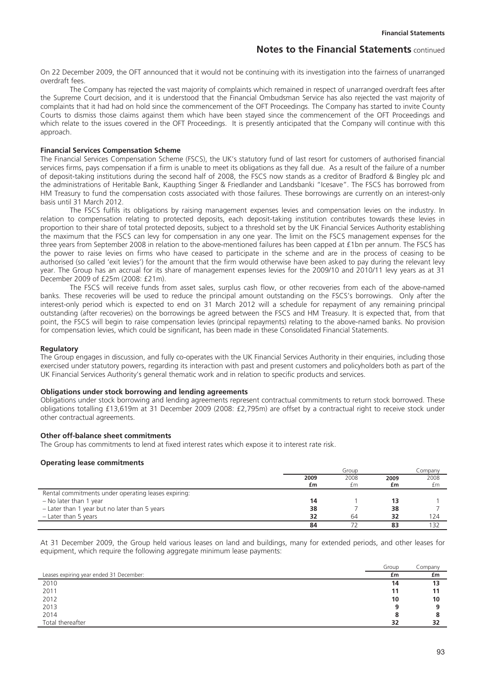On 22 December 2009, the OFT announced that it would not be continuing with its investigation into the fairness of unarranged overdraft fees.

The Company has rejected the vast majority of complaints which remained in respect of unarranged overdraft fees after the Supreme Court decision, and it is understood that the Financial Ombudsman Service has also rejected the vast majority of complaints that it had had on hold since the commencement of the OFT Proceedings. The Company has started to invite County Courts to dismiss those claims against them which have been stayed since the commencement of the OFT Proceedings and which relate to the issues covered in the OFT Proceedings. It is presently anticipated that the Company will continue with this approach.

#### **Financial Services Compensation Scheme**

The Financial Services Compensation Scheme (FSCS), the UK's statutory fund of last resort for customers of authorised financial services firms, pays compensation if a firm is unable to meet its obligations as they fall due. As a result of the failure of a number of deposit-taking institutions during the second half of 2008, the FSCS now stands as a creditor of Bradford & Bingley plc and the administrations of Heritable Bank, Kaupthing Singer & Friedlander and Landsbanki "Icesave". The FSCS has borrowed from HM Treasury to fund the compensation costs associated with those failures. These borrowings are currently on an interest-only basis until 31 March 2012.

The FSCS fulfils its obligations by raising management expenses levies and compensation levies on the industry. In relation to compensation relating to protected deposits, each deposit-taking institution contributes towards these levies in proportion to their share of total protected deposits, subject to a threshold set by the UK Financial Services Authority establishing the maximum that the FSCS can levy for compensation in any one year. The limit on the FSCS management expenses for the three years from September 2008 in relation to the above-mentioned failures has been capped at £1bn per annum. The FSCS has the power to raise levies on firms who have ceased to participate in the scheme and are in the process of ceasing to be authorised (so called 'exit levies') for the amount that the firm would otherwise have been asked to pay during the relevant levy year. The Group has an accrual for its share of management expenses levies for the 2009/10 and 2010/11 levy years as at 31 December 2009 of £25m (2008: £21m).

The FSCS will receive funds from asset sales, surplus cash flow, or other recoveries from each of the above-named banks. These recoveries will be used to reduce the principal amount outstanding on the FSCS's borrowings. Only after the interest-only period which is expected to end on 31 March 2012 will a schedule for repayment of any remaining principal outstanding (after recoveries) on the borrowings be agreed between the FSCS and HM Treasury. It is expected that, from that point, the FSCS will begin to raise compensation levies (principal repayments) relating to the above-named banks. No provision for compensation levies, which could be significant, has been made in these Consolidated Financial Statements.

#### **Regulatory**

The Group engages in discussion, and fully co-operates with the UK Financial Services Authority in their enquiries, including those exercised under statutory powers, regarding its interaction with past and present customers and policyholders both as part of the UK Financial Services Authority's general thematic work and in relation to specific products and services.

#### **Obligations under stock borrowing and lending agreements**

Obligations under stock borrowing and lending agreements represent contractual commitments to return stock borrowed. These obligations totalling £13,619m at 31 December 2009 (2008: £2,795m) are offset by a contractual right to receive stock under other contractual agreements.

#### **Other off-balance sheet commitments**

The Group has commitments to lend at fixed interest rates which expose it to interest rate risk.

#### **Operating lease commitments**

|                                                     |      | Group |      | Company |
|-----------------------------------------------------|------|-------|------|---------|
|                                                     | 2009 | 2008  | 2009 | 2008    |
|                                                     | £m   | £m    | £m   | £m      |
| Rental commitments under operating leases expiring: |      |       |      |         |
| $-$ No later than 1 year                            | 14   |       |      |         |
| - Later than 1 year but no later than 5 years       | 38   |       | 38   |         |
| - Later than 5 years                                | 32   | 64    | 32   | 124     |
|                                                     | 84   |       |      |         |

At 31 December 2009, the Group held various leases on land and buildings, many for extended periods, and other leases for equipment, which require the following aggregate minimum lease payments:

|                                         | Group | Company |
|-----------------------------------------|-------|---------|
| Leases expiring year ended 31 December: | £m    | £m      |
| 2010                                    | 14    | 13      |
| 2011                                    | 11    |         |
| 2012                                    | 10    | 10      |
| 2013                                    | 9     |         |
| 2014                                    | 8     |         |
| Total thereafter                        | 32    | 32      |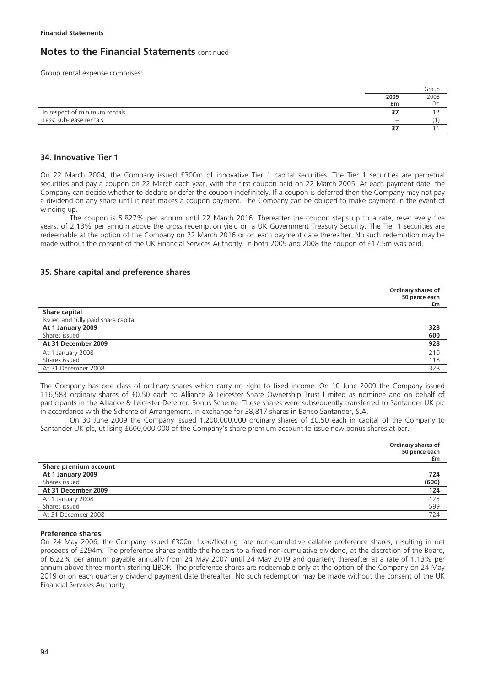Group rental expense comprises:

|                               |                          | Group |
|-------------------------------|--------------------------|-------|
|                               | 2009                     | 2008  |
|                               | £m                       | £m    |
| In respect of minimum rentals |                          |       |
| Less: sub-lease rentals       | $\overline{\phantom{a}}$ |       |
|                               |                          |       |

## **34. Innovative Tier 1**

On 22 March 2004, the Company issued £300m of innovative Tier 1 capital securities. The Tier 1 securities are perpetual securities and pay a coupon on 22 March each year, with the first coupon paid on 22 March 2005. At each payment date, the Company can decide whether to declare or defer the coupon indefinitely. If a coupon is deferred then the Company may not pay a dividend on any share until it next makes a coupon payment. The Company can be obliged to make payment in the event of winding up.

The coupon is 5.827% per annum until 22 March 2016. Thereafter the coupon steps up to a rate, reset every five years, of 2.13% per annum above the gross redemption yield on a UK Government Treasury Security. The Tier 1 securities are redeemable at the option of the Company on 22 March 2016 or on each payment date thereafter. No such redemption may be made without the consent of the UK Financial Services Authority. In both 2009 and 2008 the coupon of £17.5m was paid.

### **35. Share capital and preference shares**

|                                     | Ordinary shares of<br>50 pence each<br>£m |
|-------------------------------------|-------------------------------------------|
| Share capital                       |                                           |
| Issued and fully paid share capital |                                           |
| At 1 January 2009                   | 328                                       |
| Shares issued                       | 600                                       |
| At 31 December 2009                 | 928                                       |
| At 1 January 2008                   | 210                                       |
| Shares issued                       | 118                                       |
| At 31 December 2008                 | 328                                       |

The Company has one class of ordinary shares which carry no right to fixed income. On 10 June 2009 the Company issued 116,583 ordinary shares of £0.50 each to Alliance & Leicester Share Ownership Trust Limited as nominee and on behalf of participants in the Alliance & Leicester Deferred Bonus Scheme. These shares were subsequently transferred to Santander UK plc in accordance with the Scheme of Arrangement, in exchange for 38,817 shares in Banco Santander, S.A.

On 30 June 2009 the Company issued 1,200,000,000 ordinary shares of £0.50 each in capital of the Company to Santander UK plc, utilising £600,000,000 of the Company's share premium account to issue new bonus shares at par.

|                       | Ordinary shares of<br>50 pence each<br>£m |
|-----------------------|-------------------------------------------|
| Share premium account |                                           |
| At 1 January 2009     | 724                                       |
| Shares issued         | (600)                                     |
| At 31 December 2009   | 124                                       |
| At 1 January 2008     | 125                                       |
| Shares issued         | 599                                       |
| At 31 December 2008   | 724                                       |
|                       |                                           |

#### **Preference shares**

On 24 May 2006, the Company issued £300m fixed/floating rate non-cumulative callable preference shares, resulting in net proceeds of £294m. The preference shares entitle the holders to a fixed non-cumulative dividend, at the discretion of the Board, of 6.22% per annum payable annually from 24 May 2007 until 24 May 2019 and quarterly thereafter at a rate of 1.13% per annum above three month sterling LIBOR. The preference shares are redeemable only at the option of the Company on 24 May 2019 or on each quarterly dividend payment date thereafter. No such redemption may be made without the consent of the UK Financial Services Authority.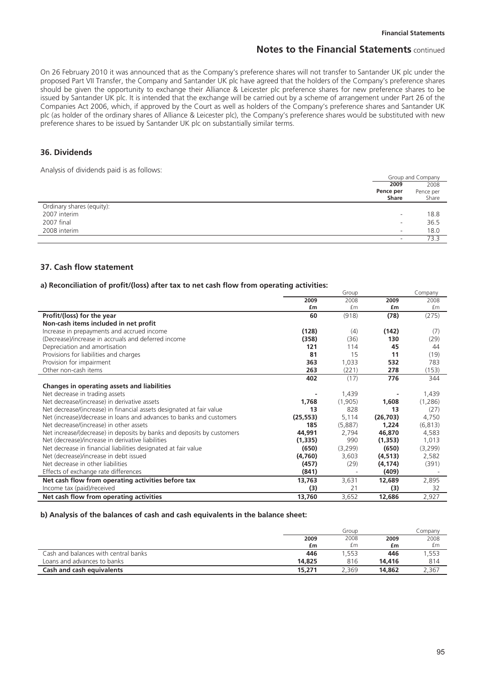On 26 February 2010 it was announced that as the Company's preference shares will not transfer to Santander UK plc under the proposed Part VII Transfer, the Company and Santander UK plc have agreed that the holders of the Company's preference shares should be given the opportunity to exchange their Alliance & Leicester plc preference shares for new preference shares to be issued by Santander UK plc. It is intended that the exchange will be carried out by a scheme of arrangement under Part 26 of the Companies Act 2006, which, if approved by the Court as well as holders of the Company's preference shares and Santander UK plc (as holder of the ordinary shares of Alliance & Leicester plc), the Company's preference shares would be substituted with new preference shares to be issued by Santander UK plc on substantially similar terms.

## **36. Dividends**

Analysis of dividends paid is as follows:

|                           | Group and Company        |           |
|---------------------------|--------------------------|-----------|
|                           | 2009                     | 2008      |
|                           | Pence per                | Pence per |
|                           | Share                    | Share     |
| Ordinary shares (equity): |                          |           |
| 2007 interim              | $\overline{\phantom{0}}$ | 18.8      |
| 2007 final                | $\overline{\phantom{0}}$ | 36.5      |
| 2008 interim              | $\overline{\phantom{a}}$ | 18.0      |
|                           | $\overline{\phantom{a}}$ | 73.3      |

### **37. Cash flow statement**

#### **a) Reconciliation of profit/(loss) after tax to net cash flow from operating activities:**

|                                                                        |           | Group   |           | Company  |
|------------------------------------------------------------------------|-----------|---------|-----------|----------|
|                                                                        | 2009      | 2008    | 2009      | 2008     |
|                                                                        | £m        | £m      | £m        | £m       |
| Profit/(loss) for the year                                             | 60        | (918)   | (78)      | (275)    |
| Non-cash items included in net profit                                  |           |         |           |          |
| Increase in prepayments and accrued income                             | (128)     | (4)     | (142)     | (7)      |
| (Decrease)/increase in accruals and deferred income                    | (358)     | (36)    | 130       | (29)     |
| Depreciation and amortisation                                          | 121       | 114     | 45        | 44       |
| Provisions for liabilities and charges                                 | 81        | 15      | 11        | (19)     |
| Provision for impairment                                               | 363       | 1,033   | 532       | 783      |
| Other non-cash items                                                   | 263       | (221)   | 278       | (153)    |
|                                                                        | 402       | (17)    | 776       | 344      |
| <b>Changes in operating assets and liabilities</b>                     |           |         |           |          |
| Net decrease in trading assets                                         |           | 1,439   |           | 1,439    |
| Net decrease/(increase) in derivative assets                           | 1,768     | (1,905) | 1,608     | (1,286)  |
| Net decrease/(increase) in financial assets designated at fair value   | 13        | 828     | 13        | (27)     |
| Net (increase)/decrease in loans and advances to banks and customers   | (25, 553) | 5,114   | (26, 703) | 4,750    |
| Net decrease/(increase) in other assets                                | 185       | (5,887) | 1,224     | (6, 813) |
| Net increase/(decrease) in deposits by banks and deposits by customers | 44,991    | 2,794   | 46,870    | 4,583    |
| Net (decrease)/increase in derivative liabilities                      | (1, 335)  | 990     | (1, 353)  | 1,013    |
| Net decrease in financial liabilities designated at fair value         | (650)     | (3,299) | (650)     | (3,299)  |
| Net (decrease)/increase in debt issued                                 | (4,760)   | 3,603   | (4, 513)  | 2,582    |
| Net decrease in other liabilities                                      | (457)     | (29)    | (4, 174)  | (391)    |
| Effects of exchange rate differences                                   | (841)     |         | (409)     |          |
| Net cash flow from operating activities before tax                     | 13,763    | 3,631   | 12,689    | 2,895    |
| Income tax (paid)/received                                             | (3)       | 21      | (3)       | 32       |
| Net cash flow from operating activities                                | 13,760    | 3,652   | 12,686    | 2,927    |

#### **b) Analysis of the balances of cash and cash equivalents in the balance sheet:**

|                                      |        | Group |        | Lompany |
|--------------------------------------|--------|-------|--------|---------|
|                                      | 2009   | 2008  | 2009   | 2008    |
|                                      | £m     | £m    | £m     | £m      |
| Cash and balances with central banks | 446    | .553  | 446    | 1,553   |
| Loans and advances to banks          | 14.825 | 816   | 14,416 | 814     |
| <b>Cash and cash equivalents</b>     | 15,271 | 2.369 | 14,862 | 2,367   |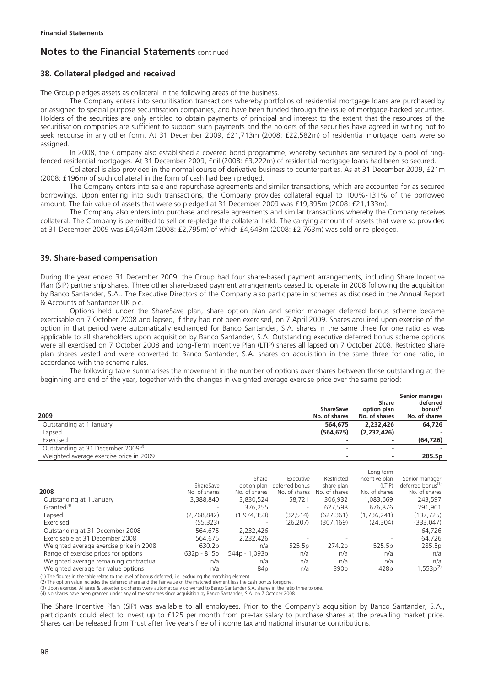# **38. Collateral pledged and received**

The Group pledges assets as collateral in the following areas of the business.

The Company enters into securitisation transactions whereby portfolios of residential mortgage loans are purchased by or assigned to special purpose securitisation companies, and have been funded through the issue of mortgage-backed securities. Holders of the securities are only entitled to obtain payments of principal and interest to the extent that the resources of the securitisation companies are sufficient to support such payments and the holders of the securities have agreed in writing not to seek recourse in any other form. At 31 December 2009, £21,713m (2008: £22,582m) of residential mortgage loans were so assigned.

In 2008, the Company also established a covered bond programme, whereby securities are secured by a pool of ringfenced residential mortgages. At 31 December 2009, £nil (2008: £3,222m) of residential mortgage loans had been so secured.

Collateral is also provided in the normal course of derivative business to counterparties. As at 31 December 2009, £21m (2008: £196m) of such collateral in the form of cash had been pledged.

The Company enters into sale and repurchase agreements and similar transactions, which are accounted for as secured borrowings. Upon entering into such transactions, the Company provides collateral equal to 100%-131% of the borrowed amount. The fair value of assets that were so pledged at 31 December 2009 was £19,395m (2008: £21,133m).

The Company also enters into purchase and resale agreements and similar transactions whereby the Company receives collateral. The Company is permitted to sell or re-pledge the collateral held. The carrying amount of assets that were so provided at 31 December 2009 was £4,643m (2008: £2,795m) of which £4,643m (2008: £2,763m) was sold or re-pledged.

## **39. Share-based compensation**

During the year ended 31 December 2009, the Group had four share-based payment arrangements, including Share Incentive Plan (SIP) partnership shares. Three other share-based payment arrangements ceased to operate in 2008 following the acquisition by Banco Santander, S.A.. The Executive Directors of the Company also participate in schemes as disclosed in the Annual Report & Accounts of Santander UK plc.

Options held under the ShareSave plan, share option plan and senior manager deferred bonus scheme became exercisable on 7 October 2008 and lapsed, if they had not been exercised, on 7 April 2009. Shares acquired upon exercise of the option in that period were automatically exchanged for Banco Santander, S.A. shares in the same three for one ratio as was applicable to all shareholders upon acquisition by Banco Santander, S.A. Outstanding executive deferred bonus scheme options were all exercised on 7 October 2008 and Long-Term Incentive Plan (LTIP) shares all lapsed on 7 October 2008. Restricted share plan shares vested and were converted to Banco Santander, S.A. shares on acquisition in the same three for one ratio, in accordance with the scheme rules.

The following table summarises the movement in the number of options over shares between those outstanding at the beginning and end of the year, together with the changes in weighted average exercise price over the same period:

|                                                |                          | <b>Share</b>  | Senior manager<br>deferred |
|------------------------------------------------|--------------------------|---------------|----------------------------|
|                                                | <b>ShareSave</b>         | option plan   | bonus $(1)$                |
| 2009                                           | No. of shares            | No. of shares | No. of shares              |
| Outstanding at 1 January                       | 564,675                  | 2,232,426     | 64,726                     |
| Lapsed                                         | (564, 675)               | (2,232,426)   |                            |
| Exercised                                      |                          |               | (64, 726)                  |
| Outstanding at 31 December 2009 <sup>(3)</sup> |                          |               |                            |
| Weighted average exercise price in 2009        | $\overline{\phantom{a}}$ |               | 285.5p                     |

|                                         |               |                 |                |                  | Long term        |                               |
|-----------------------------------------|---------------|-----------------|----------------|------------------|------------------|-------------------------------|
|                                         |               | Share           | Executive      | Restricted       | incentive plan   | Senior manager                |
|                                         | ShareSave     | option plan     | deferred bonus | share plan       | (LTIP)           | deferred bonus <sup>(1)</sup> |
| 2008                                    | No. of shares | No. of shares   | No. of shares  | No. of shares    | No. of shares    | No. of shares                 |
| Outstanding at 1 January                | 3,388,840     | 3,830,524       | 58,721         | 306,932          | 1,083,669        | 243,597                       |
| Granted $(4)$                           |               | 376,255         | ۰              | 627,598          | 676.876          | 291,901                       |
| Lapsed                                  | (2,768,842)   | (1, 974, 353)   | (32, 514)      | (627, 361)       | (1,736,241)      | (137, 725)                    |
| Exercised                               | (55, 323)     |                 | (26, 207)      | (307, 169)       | (24, 304)        | (333,047)                     |
| Outstanding at 31 December 2008         | 564.675       | 2,232,426       |                |                  |                  | 64.726                        |
| Exercisable at 31 December 2008         | 564.675       | 2,232,426       |                |                  |                  | 64,726                        |
| Weighted average exercise price in 2008 | 630.2p        | n/a             | 525.5p         | 274.2p           | 525.5p           | 285.5p                        |
| Range of exercise prices for options    | 632p - 815p   | 544p - 1,093p   | n/a            | n/a              | n/a              | n/a                           |
| Weighted average remaining contractual  | n/a           | n/a             | n/a            | n/a              | n/a              | n/a                           |
| Weighted average fair value options     | n/a           | 84 <sub>p</sub> | n/a            | 390 <sub>p</sub> | 428 <sub>p</sub> | $1,553p^{(2)}$                |

(1) The figures in the table relate to the level of bonus deferred, i.e. excluding the matching element.

(2) The option value includes the deferred share and the fair value of the matched element less the cash bonus foregone.<br>(3) Upon exercise, Alliance & Leicester plc shares were automatically converted to Banco Santander S.

(4) No shares have been granted under any of the schemes since acquisition by Banco Santander, S.A. on 7 October 2008.

The Share Incentive Plan (SIP) was available to all employees. Prior to the Company's acquisition by Banco Santander, S.A., participants could elect to invest up to £125 per month from pre-tax salary to purchase shares at the prevailing market price. Shares can be released from Trust after five years free of income tax and national insurance contributions.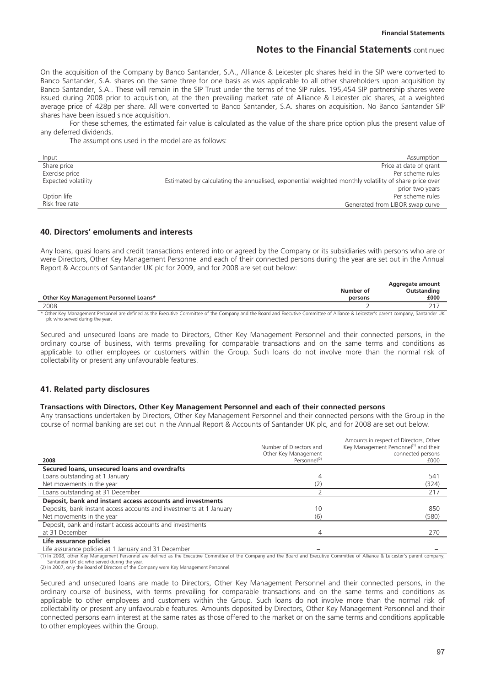On the acquisition of the Company by Banco Santander, S.A., Alliance & Leicester plc shares held in the SIP were converted to Banco Santander, S.A. shares on the same three for one basis as was applicable to all other shareholders upon acquisition by Banco Santander, S.A.. These will remain in the SIP Trust under the terms of the SIP rules. 195,454 SIP partnership shares were issued during 2008 prior to acquisition, at the then prevailing market rate of Alliance & Leicester plc shares, at a weighted average price of 428p per share. All were converted to Banco Santander, S.A. shares on acquisition. No Banco Santander SIP shares have been issued since acquisition.

For these schemes, the estimated fair value is calculated as the value of the share price option plus the present value of any deferred dividends.

The assumptions used in the model are as follows:

| Input               | Assumption                                                                                           |
|---------------------|------------------------------------------------------------------------------------------------------|
| Share price         | Price at date of grant                                                                               |
| Exercise price      | Per scheme rules                                                                                     |
| Expected volatility | Estimated by calculating the annualised, exponential weighted monthly volatility of share price over |
|                     | prior two years                                                                                      |
| Option life         | Per scheme rules                                                                                     |
| Risk free rate      | Generated from LIBOR swap curve                                                                      |

### **40. Directors' emoluments and interests**

Any loans, quasi loans and credit transactions entered into or agreed by the Company or its subsidiaries with persons who are or were Directors, Other Key Management Personnel and each of their connected persons during the year are set out in the Annual Report & Accounts of Santander UK plc for 2009, and for 2008 are set out below:

|                                                                                                                                                                                     | Number of | Aggregate amount<br>Outstanding |
|-------------------------------------------------------------------------------------------------------------------------------------------------------------------------------------|-----------|---------------------------------|
| Other Key Management Personnel Loans*                                                                                                                                               | persons   | £000                            |
| 2008                                                                                                                                                                                |           |                                 |
| * Other Key Management Personnel are defined as the Executive Committee of the Company and the Roard and Executive Committee of Alliance 8, Leicester's narent company Santander UK |           |                                 |

\* Other Key Management Personnel are defined as the Executive Committee of the Company and the Board and Executive Committee of Alliance & Leicester's parent company, Santander UK plc who served during the year.

Secured and unsecured loans are made to Directors, Other Key Management Personnel and their connected persons, in the ordinary course of business, with terms prevailing for comparable transactions and on the same terms and conditions as applicable to other employees or customers within the Group. Such loans do not involve more than the normal risk of collectability or present any unfavourable features.

### **41. Related party disclosures**

#### **Transactions with Directors, Other Key Management Personnel and each of their connected persons**

Any transactions undertaken by Directors, Other Key Management Personnel and their connected persons with the Group in the course of normal banking are set out in the Annual Report & Accounts of Santander UK plc, and for 2008 are set out below.

|                                                                     | Number of Directors and<br>Other Key Management | Amounts in respect of Directors, Other<br>Key Management Personnel <sup>(1)</sup> and their<br>connected persons |
|---------------------------------------------------------------------|-------------------------------------------------|------------------------------------------------------------------------------------------------------------------|
| 2008                                                                | Personnel <sup>(2)</sup>                        | £000                                                                                                             |
| Secured loans, unsecured loans and overdrafts                       |                                                 |                                                                                                                  |
| Loans outstanding at 1 January                                      | 4                                               | 541                                                                                                              |
| Net movements in the year                                           |                                                 | (324)                                                                                                            |
| Loans outstanding at 31 December                                    |                                                 | 217                                                                                                              |
| Deposit, bank and instant access accounts and investments           |                                                 |                                                                                                                  |
| Deposits, bank instant access accounts and investments at 1 January | 10                                              | 850                                                                                                              |
| Net movements in the year                                           | (6)                                             | (580)                                                                                                            |
| Deposit, bank and instant access accounts and investments           |                                                 |                                                                                                                  |
| at 31 December                                                      |                                                 | 270                                                                                                              |
| Life assurance policies                                             |                                                 |                                                                                                                  |

Life assurance policies at 1 January and 31 December **– –** 

(1) In 2008, other Key Management Personnel are defined as the Executive Committee of the Company and the Board and Executive Committee of Alliance & Leicester's parent company,

Santander UK plc who served during the year. (2) In 2007, only the Board of Directors of the Company were Key Management Personnel.

Secured and unsecured loans are made to Directors, Other Key Management Personnel and their connected persons, in the ordinary course of business, with terms prevailing for comparable transactions and on the same terms and conditions as applicable to other employees and customers within the Group. Such loans do not involve more than the normal risk of collectability or present any unfavourable features. Amounts deposited by Directors, Other Key Management Personnel and their connected persons earn interest at the same rates as those offered to the market or on the same terms and conditions applicable to other employees within the Group.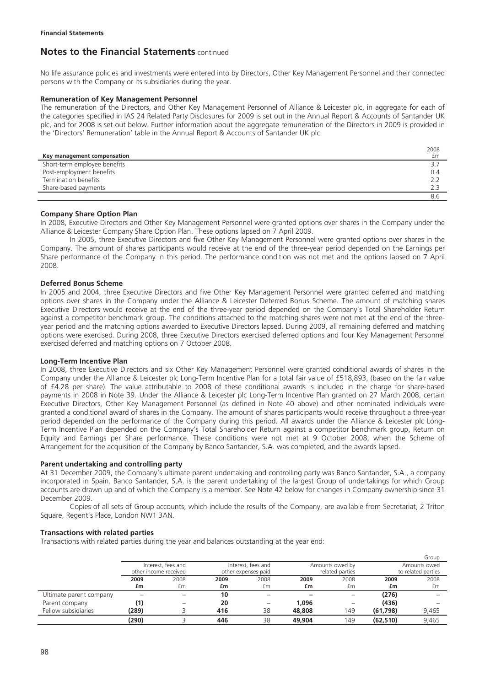No life assurance policies and investments were entered into by Directors, Other Key Management Personnel and their connected persons with the Company or its subsidiaries during the year.

### **Remuneration of Key Management Personnel**

The remuneration of the Directors, and Other Key Management Personnel of Alliance & Leicester plc, in aggregate for each of the categories specified in IAS 24 Related Party Disclosures for 2009 is set out in the Annual Report & Accounts of Santander UK plc, and for 2008 is set out below. Further information about the aggregate remuneration of the Directors in 2009 is provided in the 'Directors' Remuneration' table in the Annual Report & Accounts of Santander UK plc.

|                              | 2008 |
|------------------------------|------|
| Key management compensation  | £m   |
| Short-term employee benefits |      |
| Post-employment benefits     | 0.4  |
| Termination benefits         |      |
| Share-based payments         |      |
|                              |      |

### **Company Share Option Plan**

In 2008, Executive Directors and Other Key Management Personnel were granted options over shares in the Company under the Alliance & Leicester Company Share Option Plan. These options lapsed on 7 April 2009.

In 2005, three Executive Directors and five Other Key Management Personnel were granted options over shares in the Company. The amount of shares participants would receive at the end of the three-year period depended on the Earnings per Share performance of the Company in this period. The performance condition was not met and the options lapsed on 7 April 2008.

### **Deferred Bonus Scheme**

In 2005 and 2004, three Executive Directors and five Other Key Management Personnel were granted deferred and matching options over shares in the Company under the Alliance & Leicester Deferred Bonus Scheme. The amount of matching shares Executive Directors would receive at the end of the three-year period depended on the Company's Total Shareholder Return against a competitor benchmark group. The conditions attached to the matching shares were not met at the end of the threeyear period and the matching options awarded to Executive Directors lapsed. During 2009, all remaining deferred and matching options were exercised. During 2008, three Executive Directors exercised deferred options and four Key Management Personnel exercised deferred and matching options on 7 October 2008.

### **Long-Term Incentive Plan**

In 2008, three Executive Directors and six Other Key Management Personnel were granted conditional awards of shares in the Company under the Alliance & Leicester plc Long-Term Incentive Plan for a total fair value of £518,893, (based on the fair value of £4.28 per share). The value attributable to 2008 of these conditional awards is included in the charge for share-based payments in 2008 in Note 39. Under the Alliance & Leicester plc Long-Term Incentive Plan granted on 27 March 2008, certain Executive Directors, Other Key Management Personnel (as defined in Note 40 above) and other nominated individuals were granted a conditional award of shares in the Company. The amount of shares participants would receive throughout a three-year period depended on the performance of the Company during this period. All awards under the Alliance & Leicester plc Long-Term Incentive Plan depended on the Company's Total Shareholder Return against a competitor benchmark group, Return on Equity and Earnings per Share performance. These conditions were not met at 9 October 2008, when the Scheme of Arrangement for the acquisition of the Company by Banco Santander, S.A. was completed, and the awards lapsed.

### **Parent undertaking and controlling party**

At 31 December 2009, the Company's ultimate parent undertaking and controlling party was Banco Santander, S.A., a company incorporated in Spain. Banco Santander, S.A. is the parent undertaking of the largest Group of undertakings for which Group accounts are drawn up and of which the Company is a member. See Note 42 below for changes in Company ownership since 31 December 2009.

Copies of all sets of Group accounts, which include the results of the Company, are available from Secretariat, 2 Triton Square, Regent's Place, London NW1 3AN.

### **Transactions with related parties**

Transactions with related parties during the year and balances outstanding at the year end:

|                         |                    |                       |      |                     |              |                                         |                    | Group        |  |
|-------------------------|--------------------|-----------------------|------|---------------------|--------------|-----------------------------------------|--------------------|--------------|--|
|                         | Interest, fees and |                       |      | Interest, fees and  |              | Amounts owed by                         |                    | Amounts owed |  |
|                         |                    | other income received |      | other expenses paid |              | related parties                         | to related parties |              |  |
|                         | 2009               | 2008                  | 2009 | 2008                | 2008<br>2009 |                                         | 2009               | 2008         |  |
|                         | £m                 | £m                    | £m   | £m                  | £m           | £m                                      | £m                 | £m           |  |
| Ultimate parent company |                    |                       | 10   |                     |              |                                         | (276)              |              |  |
| Parent company          | (1)                |                       | 20   | $\qquad \qquad -$   | 1,096        | $\qquad \qquad \  \  \, -\qquad \qquad$ | (436)              |              |  |
| Fellow subsidiaries     | (289)              |                       | 416  | 38                  | 48,808       | 149                                     | (61,798)           | 9,465        |  |
|                         | (290)              |                       | 446  | 38                  | 49,904       | 149                                     | (62, 510)          | 9.465        |  |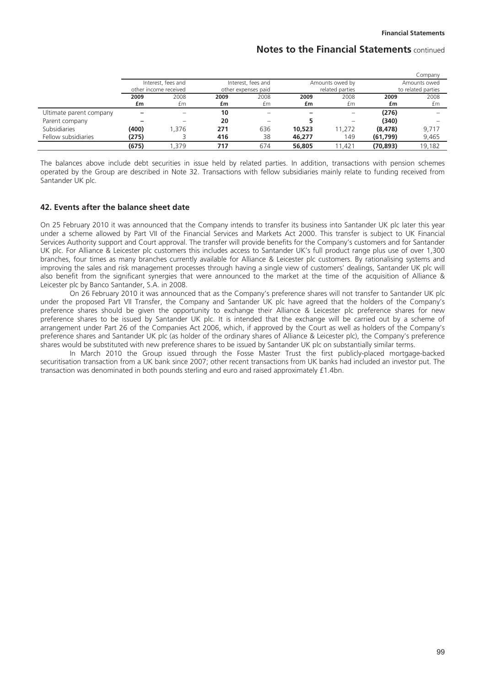|                         |       |                       |      |                     |                      |                                       |          | Company      |
|-------------------------|-------|-----------------------|------|---------------------|----------------------|---------------------------------------|----------|--------------|
|                         |       | Interest, fees and    |      | Interest, fees and  |                      | Amounts owed by                       |          | Amounts owed |
|                         |       | other income received |      | other expenses paid |                      | related parties<br>to related parties |          |              |
|                         | 2009  | 2008                  | 2009 | 2008                | 2008<br>2009<br>2009 |                                       | 2008     |              |
|                         | £m    | £m                    | £m   | £m                  | £m                   | £m                                    | £m       | £m           |
| Ultimate parent company |       |                       | 10   | -                   |                      |                                       | (276)    |              |
| Parent company          |       |                       | 20   |                     |                      |                                       | (340)    |              |
| Subsidiaries            | (400) | .376                  | 271  | 636                 | 10,523               | 11,272                                | (8, 478) | 9,717        |
| Fellow subsidiaries     | (275) |                       | 416  | 38                  | 46.277               | 149                                   | (61,799) | 9,465        |
|                         | (675) | .379                  | 717  | 674                 | 56,805               | 1.421                                 | (70,893) | 19,182       |

The balances above include debt securities in issue held by related parties. In addition, transactions with pension schemes operated by the Group are described in Note 32. Transactions with fellow subsidiaries mainly relate to funding received from Santander UK plc.

### **42. Events after the balance sheet date**

On 25 February 2010 it was announced that the Company intends to transfer its business into Santander UK plc later this year under a scheme allowed by Part VII of the Financial Services and Markets Act 2000. This transfer is subject to UK Financial Services Authority support and Court approval. The transfer will provide benefits for the Company's customers and for Santander UK plc. For Alliance & Leicester plc customers this includes access to Santander UK's full product range plus use of over 1,300 branches, four times as many branches currently available for Alliance & Leicester plc customers. By rationalising systems and improving the sales and risk management processes through having a single view of customers' dealings, Santander UK plc will also benefit from the significant synergies that were announced to the market at the time of the acquisition of Alliance & Leicester plc by Banco Santander, S.A. in 2008.

On 26 February 2010 it was announced that as the Company's preference shares will not transfer to Santander UK plc under the proposed Part VII Transfer, the Company and Santander UK plc have agreed that the holders of the Company's preference shares should be given the opportunity to exchange their Alliance & Leicester plc preference shares for new preference shares to be issued by Santander UK plc. It is intended that the exchange will be carried out by a scheme of arrangement under Part 26 of the Companies Act 2006, which, if approved by the Court as well as holders of the Company's preference shares and Santander UK plc (as holder of the ordinary shares of Alliance & Leicester plc), the Company's preference shares would be substituted with new preference shares to be issued by Santander UK plc on substantially similar terms.

In March 2010 the Group issued through the Fosse Master Trust the first publicly-placed mortgage-backed securitisation transaction from a UK bank since 2007; other recent transactions from UK banks had included an investor put. The transaction was denominated in both pounds sterling and euro and raised approximately £1.4bn.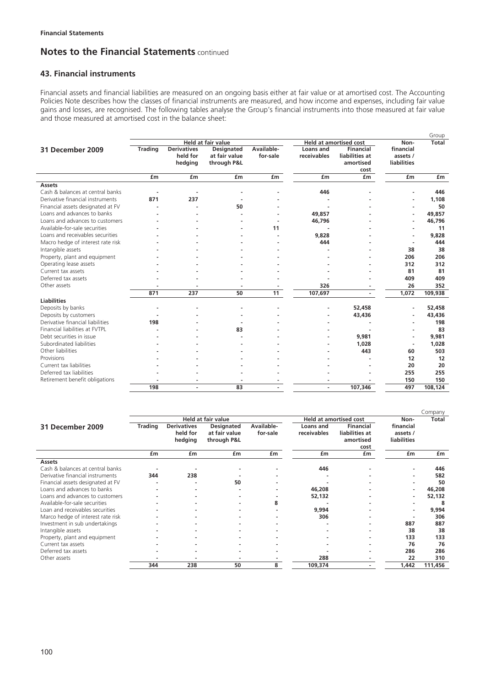# **43. Financial instruments**

Financial assets and financial liabilities are measured on an ongoing basis either at fair value or at amortised cost. The Accounting Policies Note describes how the classes of financial instruments are measured, and how income and expenses, including fair value gains and losses, are recognised. The following tables analyse the Group's financial instruments into those measured at fair value and those measured at amortised cost in the balance sheet:

|                                   |                |                    |                    |            |             |                               |                    | Group    |
|-----------------------------------|----------------|--------------------|--------------------|------------|-------------|-------------------------------|--------------------|----------|
|                                   |                |                    | Held at fair value |            |             | <b>Held at amortised cost</b> | Non-               | Total    |
| 31 December 2009                  | <b>Trading</b> | <b>Derivatives</b> | Designated         | Available- | Loans and   | Financial                     | financial          |          |
|                                   |                | held for           | at fair value      | for-sale   | receivables | liabilities at                | assets /           |          |
|                                   |                | hedging            | through P&L        |            |             | amortised                     | <b>liabilities</b> |          |
|                                   |                |                    |                    |            |             | cost                          |                    |          |
|                                   | £m             | £m                 | £m                 | £m         | £m          | £m                            | £m                 | £m       |
| <b>Assets</b>                     |                |                    |                    |            |             |                               |                    |          |
| Cash & balances at central banks  |                |                    |                    |            | 446         |                               |                    | 446      |
| Derivative financial instruments  | 871            | 237                |                    |            |             |                               |                    | 1,108    |
| Financial assets designated at FV |                |                    | 50                 |            |             |                               |                    | 50       |
| Loans and advances to banks       |                |                    |                    |            | 49,857      |                               |                    | 49,857   |
| Loans and advances to customers   |                |                    |                    |            | 46,796      |                               |                    | 46,796   |
| Available-for-sale securities     |                |                    |                    | 11         |             |                               |                    | 11       |
| Loans and receivables securities  |                |                    |                    |            | 9,828       |                               | ٠                  | 9,828    |
| Macro hedge of interest rate risk |                |                    |                    |            | 444         |                               |                    | 444      |
| Intangible assets                 |                |                    |                    |            |             |                               | 38                 | 38       |
| Property, plant and equipment     |                |                    |                    |            |             |                               | 206                | 206      |
| Operating lease assets            |                |                    |                    |            |             |                               | 312                | 312      |
| Current tax assets                |                |                    |                    |            |             |                               | 81                 | 81       |
| Deferred tax assets               |                |                    |                    |            |             |                               | 409                | 409      |
| Other assets                      |                |                    |                    |            | 326         |                               | 26                 | 352      |
|                                   | 871            | 237                | 50                 | 11         | 107,697     | $\blacksquare$                | 1,072              | 109,938  |
| <b>Liabilities</b>                |                |                    |                    |            |             |                               |                    |          |
| Deposits by banks                 |                |                    |                    |            |             | 52,458                        | $\blacksquare$     | 52,458   |
| Deposits by customers             |                |                    |                    |            |             | 43,436                        |                    | 43,436   |
| Derivative financial liabilities  | 198            |                    |                    |            |             |                               |                    | 198      |
| Financial liabilities at FVTPL    |                |                    | 83                 |            |             |                               |                    | 83       |
| Debt securities in issue          |                |                    |                    |            |             | 9,981                         |                    | 9,981    |
| Subordinated liabilities          |                |                    |                    |            |             | 1.028                         |                    | 1,028    |
| Other liabilities                 |                |                    |                    |            |             | 443                           | 60                 | 503      |
| Provisions                        |                |                    |                    |            |             |                               | 12                 | 12       |
| Current tax liabilities           |                |                    |                    |            |             |                               | 20                 | 20       |
| Deferred tax liabilities          |                |                    |                    |            |             |                               | 255                | 255      |
| Retirement benefit obligations    |                |                    |                    |            |             |                               | 150                | 150      |
|                                   | 198            |                    | 83                 |            |             | 107,346                       | 497                | 108, 124 |

|                                   |                |                    |                           |            |             |                               |                          | Company |
|-----------------------------------|----------------|--------------------|---------------------------|------------|-------------|-------------------------------|--------------------------|---------|
|                                   |                |                    | <b>Held at fair value</b> |            |             | <b>Held at amortised cost</b> | Non-                     | Total   |
| 31 December 2009                  | <b>Trading</b> | <b>Derivatives</b> | <b>Designated</b>         | Available- | Loans and   | <b>Financial</b>              | financial                |         |
|                                   |                | held for           | at fair value             | for-sale   | receivables | liabilities at                | assets /                 |         |
|                                   |                | hedging            | through P&L               |            |             | amortised                     | <b>liabilities</b>       |         |
|                                   |                |                    |                           |            |             | cost                          |                          |         |
|                                   | £m             | £m                 | £m                        | £m         | £m          | £m                            | £m                       | £m      |
| <b>Assets</b>                     |                |                    |                           |            |             |                               |                          |         |
| Cash & balances at central banks  |                |                    |                           |            | 446         |                               |                          | 446     |
| Derivative financial instruments  | 344            | 238                |                           |            |             |                               | ۰                        | 582     |
| Financial assets designated at FV |                |                    | 50                        |            |             |                               | ۰                        | 50      |
| Loans and advances to banks       |                |                    |                           |            | 46,208      |                               | ٠                        | 46,208  |
| Loans and advances to customers   |                |                    |                           |            | 52,132      |                               | ٠                        | 52,132  |
| Available-for-sale securities     |                |                    |                           | 8          |             |                               |                          | 8       |
| Loan and receivables securities   |                |                    |                           |            | 9,994       |                               | $\overline{\phantom{a}}$ | 9,994   |
| Marco hedge of interest rate risk |                |                    |                           |            | 306         |                               | ٠                        | 306     |
| Investment in sub undertakings    |                |                    |                           |            |             |                               | 887                      | 887     |
| Intangible assets                 |                |                    |                           |            |             |                               | 38                       | 38      |
| Property, plant and equipment     |                |                    |                           |            |             |                               | 133                      | 133     |
| Current tax assets                |                |                    |                           |            |             |                               | 76                       | 76      |
| Deferred tax assets               |                |                    |                           |            |             |                               | 286                      | 286     |
| Other assets                      |                |                    |                           |            | 288         |                               | 22                       | 310     |
|                                   | 344            | 238                | 50                        | 8          | 109,374     |                               | 1,442                    | 111,456 |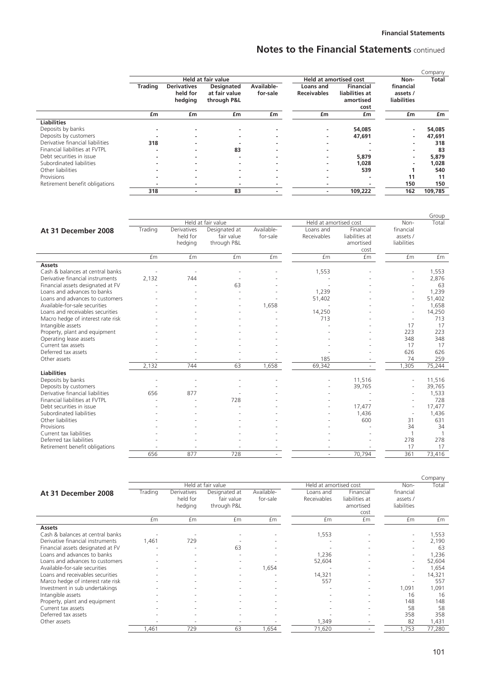|                                  |                |                                           |                                                   |                          |                                 |                                                         |                                             | Company      |
|----------------------------------|----------------|-------------------------------------------|---------------------------------------------------|--------------------------|---------------------------------|---------------------------------------------------------|---------------------------------------------|--------------|
|                                  |                |                                           | <b>Held at fair value</b>                         |                          |                                 | <b>Held at amortised cost</b>                           | Non-                                        | <b>Total</b> |
|                                  | <b>Trading</b> | <b>Derivatives</b><br>held for<br>hedging | <b>Designated</b><br>at fair value<br>through P&L | Available-<br>for-sale   | Loans and<br><b>Receivables</b> | <b>Financial</b><br>liabilities at<br>amortised<br>cost | financial<br>assets /<br><b>liabilities</b> |              |
|                                  | £m             | £m                                        | £m                                                | £m                       | £m                              | £m                                                      | £m                                          | £m           |
| <b>Liabilities</b>               |                |                                           |                                                   |                          |                                 |                                                         |                                             |              |
| Deposits by banks                |                |                                           |                                                   |                          |                                 | 54,085                                                  | $\overline{\phantom{a}}$                    | 54,085       |
| Deposits by customers            |                |                                           |                                                   |                          |                                 | 47,691                                                  | ٠                                           | 47,691       |
| Derivative financial liabilities | 318            |                                           |                                                   |                          |                                 |                                                         | ٠                                           | 318          |
| Financial liabilities at FVTPL   |                |                                           | 83                                                |                          |                                 |                                                         | ٠                                           | 83           |
| Debt securities in issue         |                | $\overline{\phantom{a}}$                  |                                                   | $\overline{\phantom{a}}$ |                                 | 5,879                                                   | ۰.                                          | 5,879        |
| Subordinated liabilities         |                |                                           |                                                   |                          |                                 | 1,028                                                   | $\overline{\phantom{a}}$                    | 1,028        |
| Other liabilities                |                |                                           |                                                   |                          |                                 | 539                                                     |                                             | 540          |
| Provisions                       |                |                                           |                                                   | $\overline{\phantom{a}}$ |                                 | $\overline{\phantom{a}}$                                | 11                                          | 11           |
| Retirement benefit obligations   |                |                                           | -                                                 |                          |                                 |                                                         | 150                                         | 150          |
|                                  | 318            |                                           | 83                                                |                          |                                 | 109,222                                                 | 162                                         | 109,785      |

|                                   |         |                                    |                                            |                        |                          |                                                  |                                      | Group  |
|-----------------------------------|---------|------------------------------------|--------------------------------------------|------------------------|--------------------------|--------------------------------------------------|--------------------------------------|--------|
|                                   |         |                                    | Held at fair value                         |                        | Held at amortised cost   |                                                  | Non-                                 | Total  |
| At 31 December 2008               | Trading | Derivatives<br>held for<br>hedging | Designated at<br>fair value<br>through P&L | Available-<br>for-sale | Loans and<br>Receivables | Financial<br>liabilities at<br>amortised<br>cost | financial<br>assets /<br>liabilities |        |
|                                   | £m      | £m                                 | £m                                         | £m                     | £m                       | <b>fm</b>                                        | £m                                   | £m     |
| <b>Assets</b>                     |         |                                    |                                            |                        |                          |                                                  |                                      |        |
| Cash & balances at central banks  |         |                                    |                                            |                        | 1,553                    |                                                  |                                      | 1,553  |
| Derivative financial instruments  | 2,132   | 744                                |                                            |                        |                          |                                                  | $\overline{\phantom{a}}$             | 2,876  |
| Financial assets designated at FV |         |                                    | 63                                         |                        |                          |                                                  |                                      | 63     |
| Loans and advances to banks       |         |                                    |                                            |                        | 1,239                    |                                                  | $\overline{\phantom{a}}$             | 1,239  |
| Loans and advances to customers   |         |                                    |                                            |                        | 51,402                   |                                                  | $\overline{a}$                       | 51,402 |
| Available-for-sale securities     |         |                                    |                                            | 1,658                  |                          |                                                  | $\overline{\phantom{a}}$             | 1,658  |
| Loans and receivables securities  |         |                                    |                                            |                        | 14,250                   |                                                  | $\sim$                               | 14,250 |
| Macro hedge of interest rate risk |         |                                    |                                            |                        | 713                      |                                                  | $\sim$                               | 713    |
| Intangible assets                 |         |                                    |                                            |                        |                          |                                                  | 17                                   | 17     |
| Property, plant and equipment     |         |                                    |                                            |                        |                          |                                                  | 223                                  | 223    |
| Operating lease assets            |         |                                    |                                            |                        |                          |                                                  | 348                                  | 348    |
| Current tax assets                |         |                                    |                                            |                        |                          |                                                  | 17                                   | 17     |
| Deferred tax assets               |         |                                    |                                            |                        |                          |                                                  | 626                                  | 626    |
| Other assets                      |         |                                    |                                            |                        | 185                      |                                                  | 74                                   | 259    |
|                                   | 2.132   | 744                                | 63                                         | 1.658                  | 69,342                   |                                                  | 1.305                                | 75,244 |
| <b>Liabilities</b>                |         |                                    |                                            |                        |                          |                                                  |                                      |        |
| Deposits by banks                 |         |                                    |                                            |                        |                          | 11,516                                           | $\overline{\phantom{a}}$             | 11,516 |
| Deposits by customers             |         |                                    |                                            |                        |                          | 39,765                                           |                                      | 39,765 |
| Derivative financial liabilities  | 656     | 877                                |                                            |                        |                          |                                                  |                                      | 1,533  |
| Financial liabilities at FVTPL    |         |                                    | 728                                        |                        |                          |                                                  |                                      | 728    |
| Debt securities in issue          |         |                                    |                                            |                        |                          | 17,477                                           | $\overline{\phantom{a}}$             | 17,477 |
| Subordinated liabilities          |         |                                    |                                            |                        |                          | 1,436                                            |                                      | 1,436  |
| Other liabilities                 |         |                                    |                                            |                        |                          | 600                                              | 31                                   | 631    |
| Provisions                        |         |                                    |                                            |                        |                          |                                                  | 34                                   | 34     |
| Current tax liabilities           |         |                                    |                                            |                        |                          |                                                  | $\mathbf{1}$                         |        |
| Deferred tax liabilities          |         |                                    |                                            |                        |                          |                                                  | 278                                  | 278    |
| Retirement benefit obligations    |         |                                    |                                            |                        |                          |                                                  | 17                                   | 17     |
|                                   | 656     | 877                                | 728                                        | ٠                      | ×.                       | 70.794                                           | 361                                  | 73,416 |

|                                   |         |             |                    |            |                        |                |                          | Company |
|-----------------------------------|---------|-------------|--------------------|------------|------------------------|----------------|--------------------------|---------|
|                                   |         |             | Held at fair value |            | Held at amortised cost |                | Non-                     | Total   |
| At 31 December 2008               | Trading | Derivatives | Designated at      | Available- | Loans and              | Financial      | financial                |         |
|                                   |         | held for    | fair value         | for-sale   | Receivables            | liabilities at | assets /                 |         |
|                                   |         | hedging     | through P&L        |            |                        | amortised      | liabilities              |         |
|                                   |         |             |                    |            |                        | cost           |                          |         |
|                                   | £m      | £m          | £m                 | £m         | £m                     | £m             | £m                       | £m      |
| Assets                            |         |             |                    |            |                        |                |                          |         |
| Cash & balances at central banks  |         |             |                    | ۰          | 1,553                  | ٠              | ٠                        | 1,553   |
| Derivative financial instruments  | 1,461   | 729         |                    |            |                        | ٠              | ٠                        | 2,190   |
| Financial assets designated at FV |         |             | 63                 |            |                        | ۰              | ۰                        | 63      |
| Loans and advances to banks       |         |             |                    |            | 1,236                  |                | $\overline{\phantom{a}}$ | 1,236   |
| Loans and advances to customers   |         |             | ۰                  |            | 52,604                 |                | ٠                        | 52,604  |
| Available-for-sale securities     |         |             | ٠                  | 1,654      |                        | ٠              | ٠                        | 1,654   |
| Loans and receivables securities  |         |             | ۰                  |            | 14,321                 | ۰              | ٠                        | 14,321  |
| Marco hedge of interest rate risk |         |             |                    |            | 557                    |                | $\overline{\phantom{a}}$ | 557     |
| Investment in sub undertakings    |         |             |                    |            |                        | ٠              | 1,091                    | 1,091   |
| Intangible assets                 |         |             |                    | ٠          |                        | ٠              | 16                       | 16      |
| Property, plant and equipment     |         |             |                    | ۰          |                        |                | 148                      | 148     |
| Current tax assets                |         |             |                    |            |                        |                | 58                       | 58      |
| Deferred tax assets               |         |             |                    |            |                        |                | 358                      | 358     |
| Other assets                      |         |             |                    |            | 1,349                  |                | 82                       | 1,431   |
|                                   | 1,461   | 729         | 63                 | 1,654      | 71,620                 | ٠              | 1,753                    | 77,280  |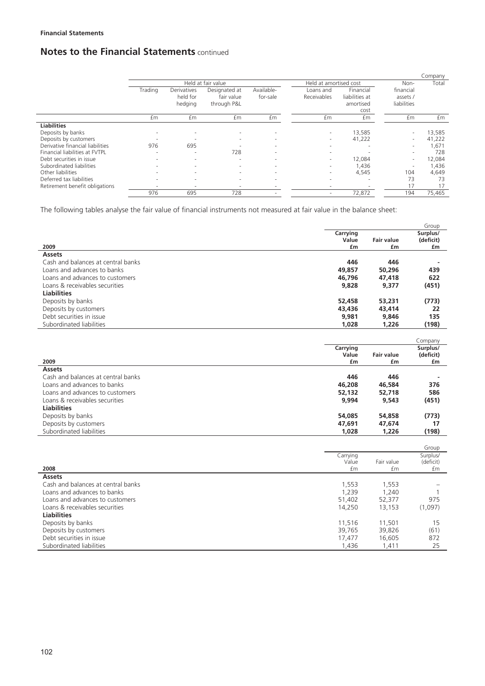|                                  |                          |                                           |                                            |                          |                          |                                                  |                                      | Company |
|----------------------------------|--------------------------|-------------------------------------------|--------------------------------------------|--------------------------|--------------------------|--------------------------------------------------|--------------------------------------|---------|
|                                  |                          |                                           | Held at fair value                         |                          | Held at amortised cost   |                                                  | Non-                                 | Total   |
|                                  | Trading                  | <b>Derivatives</b><br>held for<br>hedging | Designated at<br>fair value<br>through P&L | Available-<br>for-sale   | Loans and<br>Receivables | Financial<br>liabilities at<br>amortised<br>cost | financial<br>assets /<br>liabilities |         |
|                                  | £m                       | £m                                        | £m                                         | £m                       | £m                       | £m                                               | £m                                   | £m      |
| <b>Liabilities</b>               |                          |                                           |                                            |                          |                          |                                                  |                                      |         |
| Deposits by banks                |                          | $\overline{\phantom{a}}$                  | $\overline{\phantom{a}}$                   | $\sim$                   | $\overline{\phantom{a}}$ | 13,585                                           | $\sim$                               | 13,585  |
| Deposits by customers            |                          | $\overline{\phantom{a}}$                  | $\overline{\phantom{a}}$                   | $\sim$                   | ٠                        | 41,222                                           | $\overline{\phantom{0}}$             | 41,222  |
| Derivative financial liabilities | 976                      | 695                                       |                                            | $\overline{\phantom{a}}$ | $\overline{\phantom{a}}$ | ۰                                                | $\sim$                               | 1,671   |
| Financial liabilities at FVTPL   | $\overline{\phantom{a}}$ | $\overline{\phantom{a}}$                  | 728                                        | $\overline{\phantom{a}}$ | $\overline{\phantom{a}}$ |                                                  | $\sim$                               | 728     |
| Debt securities in issue         |                          | $\overline{\phantom{a}}$                  | $\overline{\phantom{a}}$                   | $\overline{\phantom{a}}$ | $\sim$                   | 12,084                                           | $\sim$                               | 12,084  |
| Subordinated liabilities         |                          | ۰                                         | $\overline{\phantom{a}}$                   | $\sim$                   | $\overline{\phantom{a}}$ | 1,436                                            | ۰                                    | 1,436   |
| Other liabilities                |                          | $\overline{\phantom{a}}$                  | $\overline{\phantom{a}}$                   | $\overline{\phantom{a}}$ | ٠                        | 4,545                                            | 104                                  | 4,649   |
| Deferred tax liabilities         |                          | $\overline{\phantom{a}}$                  | н.                                         | $\sim$                   | $\overline{\phantom{a}}$ | ۰                                                | 73                                   | 73      |
| Retirement benefit obligations   |                          | $\overline{\phantom{a}}$                  |                                            |                          |                          |                                                  | 17                                   | 17      |
|                                  | 976                      | 695                                       | 728                                        | $\overline{\phantom{a}}$ | $\overline{\phantom{a}}$ | 72,872                                           | 194                                  | 75,465  |

The following tables analyse the fair value of financial instruments not measured at fair value in the balance sheet:

|                                                     |             |                         | Group           |
|-----------------------------------------------------|-------------|-------------------------|-----------------|
|                                                     | Carrying    |                         | Surplus/        |
|                                                     | Value       | <b>Fair value</b>       | (deficit)       |
| 2009                                                | £m          | £m                      | £m              |
| <b>Assets</b>                                       |             |                         |                 |
| Cash and balances at central banks                  | 446         | 446                     |                 |
| Loans and advances to banks                         | 49,857      | 50,296                  | 439             |
| Loans and advances to customers                     | 46,796      | 47,418                  | 622             |
| Loans & receivables securities                      | 9,828       | 9,377                   | (451)           |
| <b>Liabilities</b>                                  |             |                         |                 |
| Deposits by banks                                   | 52,458      | 53,231                  | (773)           |
| Deposits by customers                               | 43,436      | 43,414                  | 22              |
| Debt securities in issue                            | 9,981       | 9,846                   | 135             |
| Subordinated liabilities                            | 1,028       | 1,226                   | (198)           |
|                                                     |             |                         |                 |
|                                                     |             |                         | Company         |
|                                                     | Carrying    |                         | Surplus/        |
| 2009                                                | Value<br>£m | <b>Fair value</b><br>£m | (deficit)<br>£m |
|                                                     |             |                         |                 |
| <b>Assets</b><br>Cash and balances at central banks | 446         | 446                     |                 |
|                                                     |             |                         |                 |
| Loans and advances to banks                         | 46,208      | 46,584                  | 376             |
| Loans and advances to customers                     | 52,132      | 52,718                  | 586             |
| Loans & receivables securities                      | 9.994       | 9.543                   | (451)           |

| Loans & receivables securities | 9.994  | 9,543  | (451) |
|--------------------------------|--------|--------|-------|
| Liabilities                    |        |        |       |
| Deposits by banks              | 54,085 | 54,858 | (773) |
| Deposits by customers          | 47,691 | 47.674 |       |
| Subordinated liabilities       | 1.028  | 1.226  | (198) |
|                                |        |        |       |

|                                    |                   |            | Group                 |
|------------------------------------|-------------------|------------|-----------------------|
|                                    | Carrying<br>Value | Fair value | Surplus/<br>(deficit) |
| 2008                               | £m                | £m         | £m                    |
| <b>Assets</b>                      |                   |            |                       |
| Cash and balances at central banks | 1,553             | 1,553      |                       |
| Loans and advances to banks        | 1,239             | 1.240      |                       |
| Loans and advances to customers    | 51,402            | 52,377     | 975                   |
| Loans & receivables securities     | 14,250            | 13,153     | (1,097)               |
| <b>Liabilities</b>                 |                   |            |                       |
| Deposits by banks                  | 11,516            | 11,501     | 15                    |
| Deposits by customers              | 39,765            | 39,826     | (61)                  |
| Debt securities in issue           | 17.477            | 16,605     | 872                   |
| Subordinated liabilities           | 1,436             | 1,411      | 25                    |
|                                    |                   |            |                       |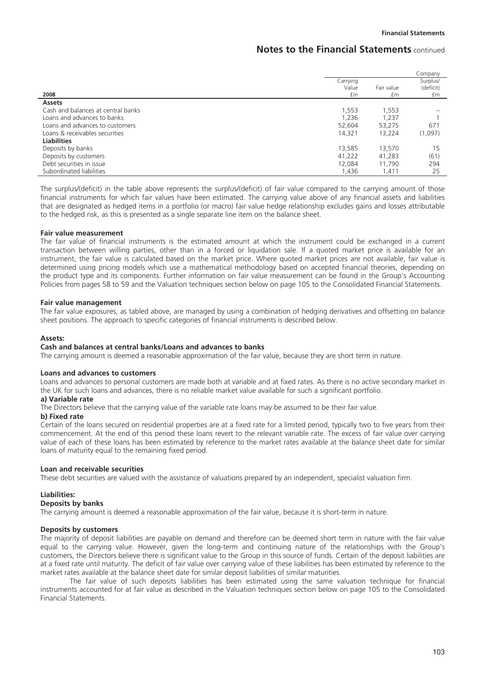|                                    |                         |                  | Company                     |
|------------------------------------|-------------------------|------------------|-----------------------------|
| 2008                               | Carrying<br>Value<br>£m | Fair value<br>£m | Surplus/<br>(deficit)<br>£m |
| <b>Assets</b>                      |                         |                  |                             |
| Cash and balances at central banks | 1,553                   | 1,553            |                             |
| Loans and advances to banks        | 1,236                   | 1,237            |                             |
| Loans and advances to customers    | 52,604                  | 53,275           | 671                         |
| Loans & receivables securities     | 14.321                  | 13,224           | (1,097)                     |
| <b>Liabilities</b>                 |                         |                  |                             |
| Deposits by banks                  | 13,585                  | 13,570           | 15                          |
| Deposits by customers              | 41,222                  | 41,283           | (61)                        |
| Debt securities in issue           | 12.084                  | 11.790           | 294                         |
| Subordinated liabilities           | 1.436                   | 1,411            | 25                          |

The surplus/(deficit) in the table above represents the surplus/(deficit) of fair value compared to the carrying amount of those financial instruments for which fair values have been estimated. The carrying value above of any financial assets and liabilities that are designated as hedged items in a portfolio (or macro) fair value hedge relationship excludes gains and losses attributable to the hedged risk, as this is presented as a single separate line item on the balance sheet.

#### **Fair value measurement**

The fair value of financial instruments is the estimated amount at which the instrument could be exchanged in a current transaction between willing parties, other than in a forced or liquidation sale. If a quoted market price is available for an instrument, the fair value is calculated based on the market price. Where quoted market prices are not available, fair value is determined using pricing models which use a mathematical methodology based on accepted financial theories, depending on the product type and its components. Further information on fair value measurement can be found in the Group's Accounting Policies from pages 58 to 59 and the Valuation techniques section below on page 105 to the Consolidated Financial Statements.

#### **Fair value management**

The fair value exposures, as tabled above, are managed by using a combination of hedging derivatives and offsetting on balance sheet positions. The approach to specific categories of financial instruments is described below.

#### **Assets:**

#### **Cash and balances at central banks/Loans and advances to banks**

The carrying amount is deemed a reasonable approximation of the fair value, because they are short term in nature.

#### **Loans and advances to customers**

Loans and advances to personal customers are made both at variable and at fixed rates. As there is no active secondary market in the UK for such loans and advances, there is no reliable market value available for such a significant portfolio.

### **a) Variable rate**

The Directors believe that the carrying value of the variable rate loans may be assumed to be their fair value.

### **b) Fixed rate**

Certain of the loans secured on residential properties are at a fixed rate for a limited period, typically two to five years from their commencement. At the end of this period these loans revert to the relevant variable rate. The excess of fair value over carrying value of each of these loans has been estimated by reference to the market rates available at the balance sheet date for similar loans of maturity equal to the remaining fixed period.

### **Loan and receivable securities**

These debt securities are valued with the assistance of valuations prepared by an independent, specialist valuation firm.

### **Liabilities:**

### **Deposits by banks**

The carrying amount is deemed a reasonable approximation of the fair value, because it is short-term in nature.

#### **Deposits by customers**

The majority of deposit liabilities are payable on demand and therefore can be deemed short term in nature with the fair value equal to the carrying value. However, given the long-term and continuing nature of the relationships with the Group's customers, the Directors believe there is significant value to the Group in this source of funds. Certain of the deposit liabilities are at a fixed rate until maturity. The deficit of fair value over carrying value of these liabilities has been estimated by reference to the market rates available at the balance sheet date for similar deposit liabilities of similar maturities.

The fair value of such deposits liabilities has been estimated using the same valuation technique for financial instruments accounted for at fair value as described in the Valuation techniques section below on page 105 to the Consolidated Financial Statements.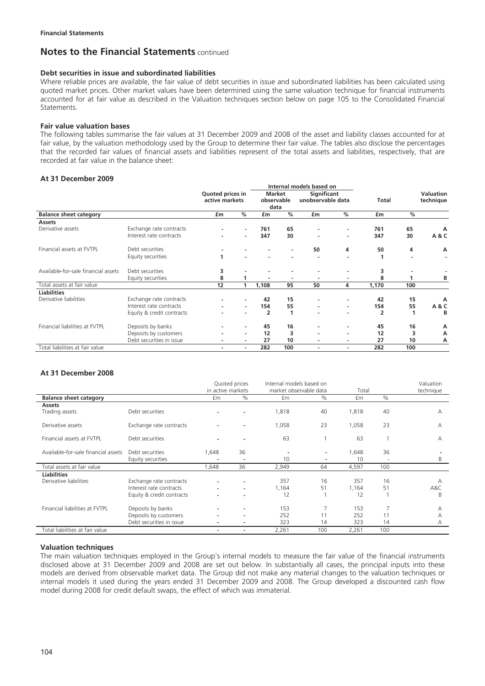### **Debt securities in issue and subordinated liabilities**

Where reliable prices are available, the fair value of debt securities in issue and subordinated liabilities has been calculated using quoted market prices. Other market values have been determined using the same valuation technique for financial instruments accounted for at fair value as described in the Valuation techniques section below on page 105 to the Consolidated Financial **Statements** 

### **Fair value valuation bases**

The following tables summarise the fair values at 31 December 2009 and 2008 of the asset and liability classes accounted for at fair value, by the valuation methodology used by the Group to determine their fair value. The tables also disclose the percentages that the recorded fair values of financial assets and liabilities represent of the total assets and liabilities, respectively, that are recorded at fair value in the balance sheet:

### **At 31 December 2009**

|                                     |                           |                  |                          |                | Internal models based on |                          |                          |                |     |                               |
|-------------------------------------|---------------------------|------------------|--------------------------|----------------|--------------------------|--------------------------|--------------------------|----------------|-----|-------------------------------|
|                                     |                           | Quoted prices in |                          | <b>Market</b>  |                          |                          | Significant              |                |     | <b>Valuation</b><br>technique |
|                                     |                           |                  | active markets           |                | observable               | unobservable data        |                          | <b>Total</b>   |     |                               |
|                                     |                           |                  |                          | data           |                          |                          |                          |                |     |                               |
| <b>Balance sheet category</b>       |                           | £m               | %                        | £m             | $\frac{9}{6}$            | £m                       | %                        | £m             | %   |                               |
| <b>Assets</b>                       |                           |                  |                          |                |                          |                          |                          |                |     |                               |
| Derivative assets                   | Exchange rate contracts   |                  |                          | 761            | 65                       |                          | $\overline{\phantom{a}}$ | 761            | 65  | A                             |
|                                     | Interest rate contracts   |                  |                          | 347            | 30                       |                          | $\overline{\phantom{a}}$ | 347            | 30  | A & C                         |
| Financial assets at FVTPL           | Debt securities           |                  |                          |                | $\overline{\phantom{a}}$ | 50                       | 4                        | 50             | 4   | А                             |
|                                     | Equity securities         | 1                |                          |                |                          |                          | $\overline{\phantom{a}}$ | 1              | ۰   |                               |
| Available-for-sale financial assets | Debt securities           | 3                |                          |                |                          |                          | ٠                        | 3              |     |                               |
|                                     | Equity securities         | 8                |                          |                |                          |                          | $\overline{\phantom{a}}$ | 8              |     | В                             |
| Total assets at fair value          |                           | 12               |                          | 1,108          | 95                       | 50                       | 4                        | 1,170          | 100 |                               |
| <b>Liabilities</b>                  |                           |                  |                          |                |                          |                          |                          |                |     |                               |
| Derivative liabilities              | Exchange rate contracts   |                  |                          | 42             | 15                       |                          |                          | 42             | 15  | Α                             |
|                                     | Interest rate contracts   |                  |                          | 154            | 55                       |                          | $\sim$                   | 154            | 55  | A & C                         |
|                                     | Equity & credit contracts |                  |                          | $\overline{2}$ | 1                        |                          | ٠                        | $\overline{2}$ | 1   | В                             |
| Financial liabilities at FVTPL      | Deposits by banks         |                  |                          | 45             | 16                       |                          | $\overline{\phantom{a}}$ | 45             | 16  | А                             |
|                                     | Deposits by customers     |                  | $\overline{\phantom{a}}$ | 12             | 3                        |                          | ۰                        | 12             | 3   | А                             |
|                                     | Debt securities in issue  | $\blacksquare$   | ۰.                       | 27             | 10                       | $\blacksquare$           | ۰                        | 27             | 10  | А                             |
| Total liabilities at fair value     |                           | ٠                | $\sim$                   | 282            | 100                      | $\overline{\phantom{a}}$ | $\overline{\phantom{a}}$ | 282            | 100 |                               |

### **At 31 December 2008**

|                                              |                                                                                 | Internal models based on<br>Quoted prices<br>market observable data<br>in active markets |                          | Total              |                               | Valuation<br>technique |                                |               |
|----------------------------------------------|---------------------------------------------------------------------------------|------------------------------------------------------------------------------------------|--------------------------|--------------------|-------------------------------|------------------------|--------------------------------|---------------|
| <b>Balance sheet category</b>                |                                                                                 | £m                                                                                       | $\%$                     | f <sub>m</sub>     | $\%$                          | £m                     | $\%$                           |               |
| Assets                                       |                                                                                 |                                                                                          |                          |                    |                               |                        |                                |               |
| Trading assets                               | Debt securities                                                                 |                                                                                          |                          | 1,818              | 40                            | 1,818                  | 40                             | А             |
| Derivative assets                            | Exchange rate contracts                                                         |                                                                                          |                          | 1,058              | 23                            | 1,058                  | 23                             | А             |
| Financial assets at FVTPL                    | Debt securities                                                                 |                                                                                          |                          | 63                 |                               | 63                     |                                | А             |
| Available-for-sale financial assets          | Debt securities<br>Equity securities                                            | 1,648                                                                                    | 36                       | 10                 | $\overline{\phantom{a}}$<br>٠ | 1,648<br>10            | 36<br>$\overline{\phantom{a}}$ | B             |
| Total assets at fair value                   |                                                                                 | 648, ا                                                                                   | 36                       | 2,949              | 64                            | 4,597                  | 100                            |               |
| <b>Liabilities</b><br>Derivative liabilities | Exchange rate contracts<br>Interest rate contracts<br>Equity & credit contracts |                                                                                          | $\overline{\phantom{a}}$ | 357<br>1,164<br>12 | 16<br>51                      | 357<br>1,164<br>12     | 16<br>51                       | А<br>A&C<br>B |
| Financial liabilities at FVTPL               | Deposits by banks<br>Deposits by customers<br>Debt securities in issue          |                                                                                          |                          | 153<br>252<br>323  | 7<br>11<br>14                 | 153<br>252<br>323      | 7<br>11<br>14                  | Α<br>А<br>А   |
| Total liabilities at fair value              |                                                                                 |                                                                                          |                          | 2,261              | 100                           | 2,261                  | 100                            |               |

### **Valuation techniques**

The main valuation techniques employed in the Group's internal models to measure the fair value of the financial instruments disclosed above at 31 December 2009 and 2008 are set out below. In substantially all cases, the principal inputs into these models are derived from observable market data. The Group did not make any material changes to the valuation techniques or internal models it used during the years ended 31 December 2009 and 2008. The Group developed a discounted cash flow model during 2008 for credit default swaps, the effect of which was immaterial.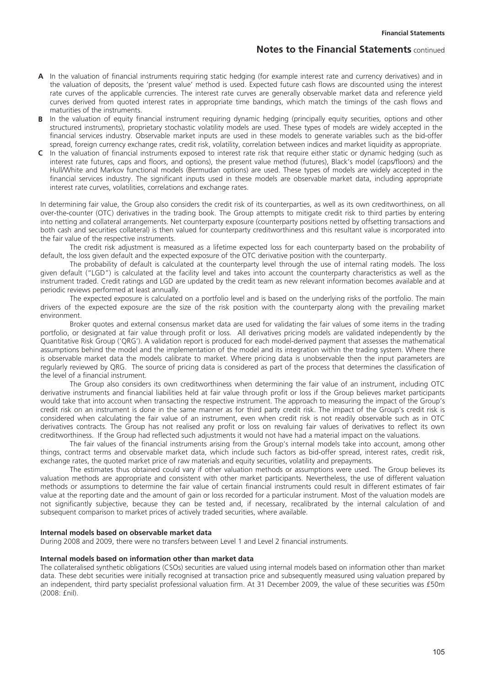- **A** In the valuation of financial instruments requiring static hedging (for example interest rate and currency derivatives) and in the valuation of deposits, the 'present value' method is used. Expected future cash flows are discounted using the interest rate curves of the applicable currencies. The interest rate curves are generally observable market data and reference yield curves derived from quoted interest rates in appropriate time bandings, which match the timings of the cash flows and maturities of the instruments.
- In the valuation of equity financial instrument requiring dynamic hedging (principally equity securities, options and other structured instruments), proprietary stochastic volatility models are used. These types of models are widely accepted in the financial services industry. Observable market inputs are used in these models to generate variables such as the bid-offer spread, foreign currency exchange rates, credit risk, volatility, correlation between indices and market liquidity as appropriate.
- **C** In the valuation of financial instruments exposed to interest rate risk that require either static or dynamic hedging (such as interest rate futures, caps and floors, and options), the present value method (futures), Black's model (caps/floors) and the Hull/White and Markov functional models (Bermudan options) are used. These types of models are widely accepted in the financial services industry. The significant inputs used in these models are observable market data, including appropriate interest rate curves, volatilities, correlations and exchange rates.

In determining fair value, the Group also considers the credit risk of its counterparties, as well as its own creditworthiness, on all over-the-counter (OTC) derivatives in the trading book. The Group attempts to mitigate credit risk to third parties by entering into netting and collateral arrangements. Net counterparty exposure (counterparty positions netted by offsetting transactions and both cash and securities collateral) is then valued for counterparty creditworthiness and this resultant value is incorporated into the fair value of the respective instruments.

The credit risk adjustment is measured as a lifetime expected loss for each counterparty based on the probability of default, the loss given default and the expected exposure of the OTC derivative position with the counterparty.

The probability of default is calculated at the counterparty level through the use of internal rating models. The loss given default ("LGD") is calculated at the facility level and takes into account the counterparty characteristics as well as the instrument traded. Credit ratings and LGD are updated by the credit team as new relevant information becomes available and at periodic reviews performed at least annually.

The expected exposure is calculated on a portfolio level and is based on the underlying risks of the portfolio. The main drivers of the expected exposure are the size of the risk position with the counterparty along with the prevailing market environment.

Broker quotes and external consensus market data are used for validating the fair values of some items in the trading portfolio, or designated at fair value through profit or loss. All derivatives pricing models are validated independently by the Quantitative Risk Group ('QRG'). A validation report is produced for each model-derived payment that assesses the mathematical assumptions behind the model and the implementation of the model and its integration within the trading system. Where there is observable market data the models calibrate to market. Where pricing data is unobservable then the input parameters are regularly reviewed by QRG. The source of pricing data is considered as part of the process that determines the classification of the level of a financial instrument.

The Group also considers its own creditworthiness when determining the fair value of an instrument, including OTC derivative instruments and financial liabilities held at fair value through profit or loss if the Group believes market participants would take that into account when transacting the respective instrument. The approach to measuring the impact of the Group's credit risk on an instrument is done in the same manner as for third party credit risk. The impact of the Group's credit risk is considered when calculating the fair value of an instrument, even when credit risk is not readily observable such as in OTC derivatives contracts. The Group has not realised any profit or loss on revaluing fair values of derivatives to reflect its own creditworthiness. If the Group had reflected such adjustments it would not have had a material impact on the valuations.

The fair values of the financial instruments arising from the Group's internal models take into account, among other things, contract terms and observable market data, which include such factors as bid-offer spread, interest rates, credit risk, exchange rates, the quoted market price of raw materials and equity securities, volatility and prepayments.

The estimates thus obtained could vary if other valuation methods or assumptions were used. The Group believes its valuation methods are appropriate and consistent with other market participants. Nevertheless, the use of different valuation methods or assumptions to determine the fair value of certain financial instruments could result in different estimates of fair value at the reporting date and the amount of gain or loss recorded for a particular instrument. Most of the valuation models are not significantly subjective, because they can be tested and, if necessary, recalibrated by the internal calculation of and subsequent comparison to market prices of actively traded securities, where available.

#### **Internal models based on observable market data**

During 2008 and 2009, there were no transfers between Level 1 and Level 2 financial instruments.

### **Internal models based on information other than market data**

The collateralised synthetic obligations (CSOs) securities are valued using internal models based on information other than market data. These debt securities were initially recognised at transaction price and subsequently measured using valuation prepared by an independent, third party specialist professional valuation firm. At 31 December 2009, the value of these securities was £50m (2008: £nil).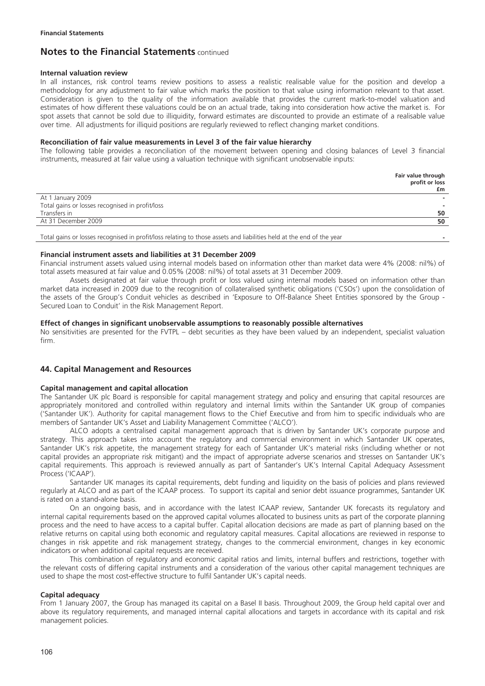### **Internal valuation review**

In all instances, risk control teams review positions to assess a realistic realisable value for the position and develop a methodology for any adjustment to fair value which marks the position to that value using information relevant to that asset. Consideration is given to the quality of the information available that provides the current mark-to-model valuation and estimates of how different these valuations could be on an actual trade, taking into consideration how active the market is. For spot assets that cannot be sold due to illiquidity, forward estimates are discounted to provide an estimate of a realisable value over time. All adjustments for illiquid positions are regularly reviewed to reflect changing market conditions.

### **Reconciliation of fair value measurements in Level 3 of the fair value hierarchy**

The following table provides a reconciliation of the movement between opening and closing balances of Level 3 financial instruments, measured at fair value using a valuation technique with significant unobservable inputs:

|                                                                                                                      | Fair value through<br>profit or loss<br>£m |
|----------------------------------------------------------------------------------------------------------------------|--------------------------------------------|
| At 1 January 2009                                                                                                    |                                            |
| Total gains or losses recognised in profit/loss                                                                      |                                            |
| Transfers in                                                                                                         | 50                                         |
| At 31 December 2009                                                                                                  | 50                                         |
| Total gains or losses recognised in profit/loss relating to those assets and liabilities held at the end of the year |                                            |

### **Financial instrument assets and liabilities at 31 December 2009**

Financial instrument assets valued using internal models based on information other than market data were 4% (2008: nil%) of total assets measured at fair value and 0.05% (2008: nil%) of total assets at 31 December 2009.

Assets designated at fair value through profit or loss valued using internal models based on information other than market data increased in 2009 due to the recognition of collateralised synthetic obligations ('CSOs') upon the consolidation of the assets of the Group's Conduit vehicles as described in 'Exposure to Off-Balance Sheet Entities sponsored by the Group - Secured Loan to Conduit' in the Risk Management Report.

### **Effect of changes in significant unobservable assumptions to reasonably possible alternatives**

No sensitivities are presented for the FVTPL – debt securities as they have been valued by an independent, specialist valuation firm.

# **44. Capital Management and Resources**

### **Capital management and capital allocation**

The Santander UK plc Board is responsible for capital management strategy and policy and ensuring that capital resources are appropriately monitored and controlled within regulatory and internal limits within the Santander UK group of companies ('Santander UK'). Authority for capital management flows to the Chief Executive and from him to specific individuals who are members of Santander UK's Asset and Liability Management Committee ('ALCO').

ALCO adopts a centralised capital management approach that is driven by Santander UK's corporate purpose and strategy. This approach takes into account the regulatory and commercial environment in which Santander UK operates, Santander UK's risk appetite, the management strategy for each of Santander UK's material risks (including whether or not capital provides an appropriate risk mitigant) and the impact of appropriate adverse scenarios and stresses on Santander UK's capital requirements. This approach is reviewed annually as part of Santander's UK's Internal Capital Adequacy Assessment Process ('ICAAP').

Santander UK manages its capital requirements, debt funding and liquidity on the basis of policies and plans reviewed regularly at ALCO and as part of the ICAAP process. To support its capital and senior debt issuance programmes, Santander UK is rated on a stand-alone basis.

On an ongoing basis, and in accordance with the latest ICAAP review, Santander UK forecasts its regulatory and internal capital requirements based on the approved capital volumes allocated to business units as part of the corporate planning process and the need to have access to a capital buffer. Capital allocation decisions are made as part of planning based on the relative returns on capital using both economic and regulatory capital measures. Capital allocations are reviewed in response to changes in risk appetite and risk management strategy, changes to the commercial environment, changes in key economic indicators or when additional capital requests are received.

This combination of regulatory and economic capital ratios and limits, internal buffers and restrictions, together with the relevant costs of differing capital instruments and a consideration of the various other capital management techniques are used to shape the most cost-effective structure to fulfil Santander UK's capital needs.

### **Capital adequacy**

From 1 January 2007, the Group has managed its capital on a Basel II basis. Throughout 2009, the Group held capital over and above its regulatory requirements, and managed internal capital allocations and targets in accordance with its capital and risk management policies.